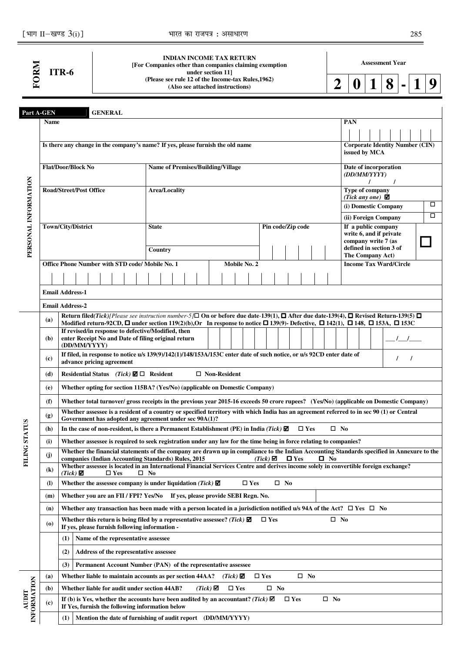|                      |                                          | [भाग II-खण्ड $3(i)$ ]                                                                                                     |                |                                     |    |              |               | भारत का राजपत्र : असाधारण                                                                                                                                                                                                                                                                                                   |                |               |                         |                   |               |              |     |                                                                    |   |          | 285                                    |   |
|----------------------|------------------------------------------|---------------------------------------------------------------------------------------------------------------------------|----------------|-------------------------------------|----|--------------|---------------|-----------------------------------------------------------------------------------------------------------------------------------------------------------------------------------------------------------------------------------------------------------------------------------------------------------------------------|----------------|---------------|-------------------------|-------------------|---------------|--------------|-----|--------------------------------------------------------------------|---|----------|----------------------------------------|---|
|                      |                                          | ITR-6                                                                                                                     |                |                                     |    |              |               | <b>INDIAN INCOME TAX RETURN</b><br>[For Companies other than companies claiming exemption<br>under section 11]                                                                                                                                                                                                              |                |               |                         |                   |               |              |     | <b>Assessment Year</b>                                             |   |          |                                        |   |
| FORM                 |                                          |                                                                                                                           |                |                                     |    |              |               | (Please see rule 12 of the Income-tax Rules, 1962)<br>(Also see attached instructions)                                                                                                                                                                                                                                      |                |               |                         |                   |               | 2            | U   |                                                                    | 8 |          |                                        |   |
|                      | Part A-GEN                               |                                                                                                                           | <b>GENERAL</b> |                                     |    |              |               |                                                                                                                                                                                                                                                                                                                             |                |               |                         |                   |               |              |     |                                                                    |   |          |                                        |   |
|                      | <b>Name</b>                              |                                                                                                                           |                |                                     |    |              |               |                                                                                                                                                                                                                                                                                                                             |                |               |                         |                   |               |              | PAN |                                                                    |   |          |                                        |   |
|                      |                                          | Is there any change in the company's name? If yes, please furnish the old name                                            |                |                                     |    |              |               |                                                                                                                                                                                                                                                                                                                             |                |               |                         |                   |               |              |     | issued by MCA                                                      |   |          | <b>Corporate Identity Number (CIN)</b> |   |
|                      |                                          | <b>Flat/Door/Block No</b>                                                                                                 |                |                                     |    |              |               | <b>Name of Premises/Building/Village</b>                                                                                                                                                                                                                                                                                    |                |               |                         |                   |               |              |     | Date of incorporation<br>(DD/MM/YYYY)<br>$\prime$                  |   |          |                                        |   |
|                      |                                          | <b>Road/Street/Post Office</b>                                                                                            |                |                                     |    |              | Area/Locality |                                                                                                                                                                                                                                                                                                                             |                |               |                         |                   |               |              |     | Type of company<br>(Tick any one) $\blacksquare$                   |   |          |                                        |   |
|                      |                                          |                                                                                                                           |                |                                     |    |              |               |                                                                                                                                                                                                                                                                                                                             |                |               |                         |                   |               |              |     | (i) Domestic Company                                               |   |          |                                        | □ |
|                      |                                          | Town/City/District                                                                                                        |                |                                     |    | <b>State</b> |               |                                                                                                                                                                                                                                                                                                                             |                |               |                         | Pin code/Zip code |               |              |     | (ii) Foreign Company<br>If a public company                        |   |          |                                        | □ |
|                      |                                          |                                                                                                                           |                |                                     |    |              |               |                                                                                                                                                                                                                                                                                                                             |                |               |                         |                   |               |              |     | write 6, and if private                                            |   |          |                                        |   |
| PERSONAL INFORMATION |                                          |                                                                                                                           |                |                                     |    | Country      |               |                                                                                                                                                                                                                                                                                                                             |                |               |                         |                   |               |              |     | company write 7 (as<br>defined in section 3 of<br>The Company Act) |   |          |                                        |   |
|                      |                                          | Office Phone Number with STD code/ Mobile No. 1                                                                           |                |                                     |    |              |               |                                                                                                                                                                                                                                                                                                                             | Mobile No. 2   |               |                         |                   |               |              |     | <b>Income Tax Ward/Circle</b>                                      |   |          |                                        |   |
|                      |                                          |                                                                                                                           |                |                                     |    |              |               |                                                                                                                                                                                                                                                                                                                             |                |               |                         |                   |               |              |     |                                                                    |   |          |                                        |   |
|                      |                                          | <b>Email Address-1</b>                                                                                                    |                |                                     |    |              |               |                                                                                                                                                                                                                                                                                                                             |                |               |                         |                   |               |              |     |                                                                    |   |          |                                        |   |
|                      |                                          | <b>Email Address-2</b>                                                                                                    |                |                                     |    |              |               |                                                                                                                                                                                                                                                                                                                             |                |               |                         |                   |               |              |     |                                                                    |   |          |                                        |   |
|                      | (a)                                      |                                                                                                                           |                |                                     |    |              |               | Return filed(Tick) [Please see instruction number-5] $\Box$ On or before due date-139(1), $\Box$ After due date-139(4), $\Box$ Revised Return-139(5) $\Box$<br>Modified return-92CD, $\Box$ under section 119(2)(b), Or In response to notice $\Box$ 139(9)- Defective, $\Box$ 142(1), $\Box$ 148, $\Box$ 153A, $\Box$ 153C |                |               |                         |                   |               |              |     |                                                                    |   |          |                                        |   |
|                      | (b)                                      | If revised/in response to defective/Modified, then<br>enter Receipt No and Date of filing original return<br>(DD/MM/YYYY) |                |                                     |    |              |               |                                                                                                                                                                                                                                                                                                                             |                |               |                         |                   |               |              |     |                                                                    |   |          |                                        |   |
|                      | (c)                                      | advance pricing agreement                                                                                                 |                |                                     |    |              |               | If filed, in response to notice u/s 139(9)/142(1)/148/153A/153C enter date of such notice, or u/s 92CD enter date of                                                                                                                                                                                                        |                |               |                         |                   |               |              |     |                                                                    |   | $\prime$ |                                        |   |
|                      | (d)                                      | Residential Status (Tick) $\Box$ Resident                                                                                 |                |                                     |    |              |               |                                                                                                                                                                                                                                                                                                                             | □ Non-Resident |               |                         |                   |               |              |     |                                                                    |   |          |                                        |   |
|                      | (e)                                      |                                                                                                                           |                |                                     |    |              |               | Whether opting for section 115BA? (Yes/No) (applicable on Domestic Company)                                                                                                                                                                                                                                                 |                |               |                         |                   |               |              |     |                                                                    |   |          |                                        |   |
|                      | (f)                                      |                                                                                                                           |                |                                     |    |              |               | Whether total turnover/ gross receipts in the previous year 2015-16 exceeds 50 crore rupees? (Yes/No) (applicable on Domestic Company)                                                                                                                                                                                      |                |               |                         |                   |               |              |     |                                                                    |   |          |                                        |   |
|                      | (g)                                      |                                                                                                                           |                |                                     |    |              |               | Whether assessee is a resident of a country or specified territory with which India has an agreement referred to in sec 90 (1) or Central<br>Government has adopted any agreement under sec 90A(1)?                                                                                                                         |                |               |                         |                   |               |              |     |                                                                    |   |          |                                        |   |
| FILING STATUS        | (h)                                      |                                                                                                                           |                |                                     |    |              |               | In the case of non-resident, is there a Permanent Establishment (PE) in India (Tick) $\mathbf{\nabla}$                                                                                                                                                                                                                      |                |               |                         |                   | $\square$ Yes | $\square$ No |     |                                                                    |   |          |                                        |   |
|                      | (i)                                      |                                                                                                                           |                |                                     |    |              |               | Whether assessee is required to seek registration under any law for the time being in force relating to companies?                                                                                                                                                                                                          |                |               |                         |                   |               |              |     |                                                                    |   |          |                                        |   |
|                      | (j)                                      |                                                                                                                           |                |                                     |    |              |               | Whether the financial statements of the company are drawn up in compliance to the Indian Accounting Standards specified in Annexure to the<br>companies (Indian Accounting Standards) Rules, 2015                                                                                                                           |                |               | $(Tick)$ $\blacksquare$ | $\square$ Yes     |               | $\Box$ No    |     |                                                                    |   |          |                                        |   |
|                      | $\mathbf{(k)}$                           | $(Tick)$ $\Box$                                                                                                           | $\square$ Yes  |                                     | No |              |               | Whether assessee is located in an International Financial Services Centre and derives income solely in convertible foreign exchange?                                                                                                                                                                                        |                |               |                         |                   |               |              |     |                                                                    |   |          |                                        |   |
|                      | <b>(I)</b>                               |                                                                                                                           |                |                                     |    |              |               | Whether the assessee company is under liquidation (Tick) $\Box$                                                                                                                                                                                                                                                             |                | $\square$ Yes |                         | $\square$ No      |               |              |     |                                                                    |   |          |                                        |   |
|                      | (m)                                      |                                                                                                                           |                |                                     |    |              |               | Whether you are an FII / FPI? Yes/No If yes, please provide SEBI Regn. No.                                                                                                                                                                                                                                                  |                |               |                         |                   |               |              |     |                                                                    |   |          |                                        |   |
|                      | (n)                                      |                                                                                                                           |                |                                     |    |              |               | Whether any transaction has been made with a person located in a jurisdiction notified u/s 94A of the Act? $\Box$ Yes $\Box$ No                                                                                                                                                                                             |                |               |                         |                   |               |              |     |                                                                    |   |          |                                        |   |
|                      | $\boldsymbol{\left( \mathbf{0} \right)}$ | If yes, please furnish following information -                                                                            |                |                                     |    |              |               | Whether this return is being filed by a representative assessee? (Tick) $\blacksquare$                                                                                                                                                                                                                                      |                |               | $\square$ Yes           |                   |               | $\square$ No |     |                                                                    |   |          |                                        |   |
|                      |                                          | (1)                                                                                                                       |                | Name of the representative assessee |    |              |               |                                                                                                                                                                                                                                                                                                                             |                |               |                         |                   |               |              |     |                                                                    |   |          |                                        |   |

 $\Box$  Yes

 **No** 

**Yes** -

 $\Box$  Yes

 **No**

 **No** 

**(2) Address of the representative assessee**

**AUDIT INFORMATION**  **(3) Permanent Account Number (PAN) of the representative assessee**

(c)  $\begin{bmatrix} \text{If (b) is Yes, whether the accounts have been audited by an accountant? (Tick) } \ \text{If Yes, furnish the following information below.$ 

 **(1) Mention the date of furnishing of audit report (DD/MM/YYYY)** 

**(a)** Whether liable to maintain accounts as per section 44AA? *(Tick)*  $\blacksquare$ 

**(b)** Whether liable for audit under section 44AB? *(Tick)*  $\Box$ 

**If Yes, furnish the following information below**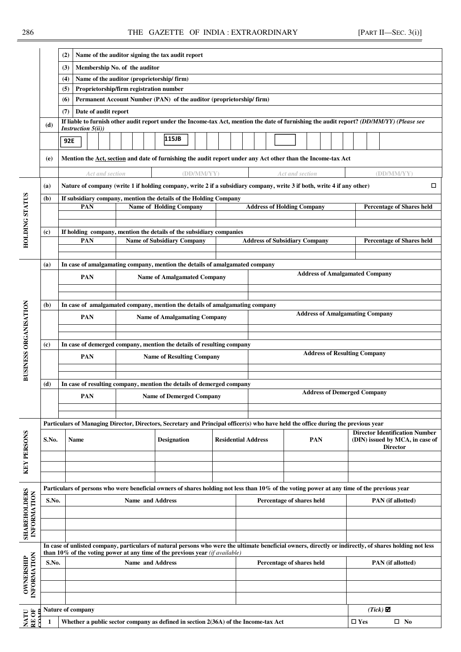## 286 THE GAZETTE OF INDIA : EXTRAORDINARY [PART II—SEC. 3(i)]

|                                                                                                                |                                                                                    | (2)                                                                                |                                         |                 |  |                               | Name of the auditor signing the tax audit report                                                                                                        |            |  |                            |  |                                      |                                        |               |                 |                                  |                                                                          |
|----------------------------------------------------------------------------------------------------------------|------------------------------------------------------------------------------------|------------------------------------------------------------------------------------|-----------------------------------------|-----------------|--|-------------------------------|---------------------------------------------------------------------------------------------------------------------------------------------------------|------------|--|----------------------------|--|--------------------------------------|----------------------------------------|---------------|-----------------|----------------------------------|--------------------------------------------------------------------------|
|                                                                                                                |                                                                                    | (3)                                                                                |                                         |                 |  | Membership No. of the auditor |                                                                                                                                                         |            |  |                            |  |                                      |                                        |               |                 |                                  |                                                                          |
|                                                                                                                |                                                                                    | (4)                                                                                |                                         |                 |  |                               | Name of the auditor (proprietorship/firm)                                                                                                               |            |  |                            |  |                                      |                                        |               |                 |                                  |                                                                          |
|                                                                                                                |                                                                                    | (5)                                                                                |                                         |                 |  |                               | Proprietorship/firm registration number                                                                                                                 |            |  |                            |  |                                      |                                        |               |                 |                                  |                                                                          |
|                                                                                                                |                                                                                    | (6)                                                                                |                                         |                 |  |                               | Permanent Account Number (PAN) of the auditor (proprietorship/firm)                                                                                     |            |  |                            |  |                                      |                                        |               |                 |                                  |                                                                          |
|                                                                                                                |                                                                                    | (7)                                                                                | Date of audit report                    |                 |  |                               |                                                                                                                                                         |            |  |                            |  |                                      |                                        |               |                 |                                  |                                                                          |
|                                                                                                                | (d)                                                                                |                                                                                    |                                         |                 |  |                               | If liable to furnish other audit report under the Income-tax Act, mention the date of furnishing the audit report? (DD/MM/YY) (Please see               |            |  |                            |  |                                      |                                        |               |                 |                                  |                                                                          |
|                                                                                                                |                                                                                    |                                                                                    | <b>Instruction <math>5(ii)</math></b> ) |                 |  |                               |                                                                                                                                                         |            |  |                            |  |                                      |                                        |               |                 |                                  |                                                                          |
|                                                                                                                |                                                                                    | 92E                                                                                |                                         |                 |  |                               | 115JB                                                                                                                                                   |            |  |                            |  |                                      |                                        |               |                 |                                  |                                                                          |
|                                                                                                                | (e)                                                                                |                                                                                    |                                         |                 |  |                               | Mention the Act, section and date of furnishing the audit report under any Act other than the Income-tax Act                                            |            |  |                            |  |                                      |                                        |               |                 |                                  |                                                                          |
|                                                                                                                |                                                                                    |                                                                                    |                                         | Act and section |  |                               | Nature of company (write 1 if holding company, write 2 if a subsidiary company, write 3 if both, write 4 if any other)                                  | (DD/MM/YY) |  |                            |  | Act and section                      |                                        |               |                 | (DD/MM/YY)                       | □                                                                        |
|                                                                                                                | (a)<br>(b)                                                                         |                                                                                    |                                         |                 |  |                               | If subsidiary company, mention the details of the Holding Company                                                                                       |            |  |                            |  |                                      |                                        |               |                 |                                  |                                                                          |
| HOLDING STATUS                                                                                                 |                                                                                    |                                                                                    | PAN                                     |                 |  |                               | <b>Name of Holding Company</b>                                                                                                                          |            |  |                            |  | <b>Address of Holding Company</b>    |                                        |               |                 | <b>Percentage of Shares held</b> |                                                                          |
|                                                                                                                |                                                                                    |                                                                                    |                                         |                 |  |                               |                                                                                                                                                         |            |  |                            |  |                                      |                                        |               |                 |                                  |                                                                          |
|                                                                                                                | (c)                                                                                |                                                                                    | PAN                                     |                 |  |                               | If holding company, mention the details of the subsidiary companies<br><b>Name of Subsidiary Company</b>                                                |            |  |                            |  | <b>Address of Subsidiary Company</b> |                                        |               |                 | <b>Percentage of Shares held</b> |                                                                          |
|                                                                                                                |                                                                                    |                                                                                    |                                         |                 |  |                               |                                                                                                                                                         |            |  |                            |  |                                      |                                        |               |                 |                                  |                                                                          |
|                                                                                                                | (a)                                                                                |                                                                                    |                                         |                 |  |                               | In case of amalgamating company, mention the details of amalgamated company                                                                             |            |  |                            |  |                                      |                                        |               |                 |                                  |                                                                          |
|                                                                                                                |                                                                                    | <b>Address of Amalgamated Company</b><br>PAN<br><b>Name of Amalgamated Company</b> |                                         |                 |  |                               |                                                                                                                                                         |            |  |                            |  |                                      |                                        |               |                 |                                  |                                                                          |
|                                                                                                                | In case of amalgamated company, mention the details of amalgamating company<br>(b) |                                                                                    |                                         |                 |  |                               |                                                                                                                                                         |            |  |                            |  |                                      |                                        |               |                 |                                  |                                                                          |
|                                                                                                                |                                                                                    |                                                                                    | <b>PAN</b>                              |                 |  |                               | <b>Name of Amalgamating Company</b>                                                                                                                     |            |  |                            |  |                                      | <b>Address of Amalgamating Company</b> |               |                 |                                  |                                                                          |
|                                                                                                                |                                                                                    |                                                                                    |                                         |                 |  |                               |                                                                                                                                                         |            |  |                            |  |                                      |                                        |               |                 |                                  |                                                                          |
|                                                                                                                | (c)                                                                                |                                                                                    |                                         |                 |  |                               | In case of demerged company, mention the details of resulting company                                                                                   |            |  |                            |  |                                      |                                        |               |                 |                                  |                                                                          |
| BUSINESS ORGANISATION                                                                                          |                                                                                    |                                                                                    | <b>PAN</b>                              |                 |  |                               | <b>Name of Resulting Company</b>                                                                                                                        |            |  |                            |  |                                      | <b>Address of Resulting Company</b>    |               |                 |                                  |                                                                          |
|                                                                                                                | (d)                                                                                |                                                                                    |                                         |                 |  |                               | In case of resulting company, mention the details of demerged company                                                                                   |            |  |                            |  |                                      |                                        |               |                 |                                  |                                                                          |
|                                                                                                                |                                                                                    |                                                                                    | <b>PAN</b>                              |                 |  |                               | <b>Name of Demerged Company</b>                                                                                                                         |            |  |                            |  |                                      | <b>Address of Demerged Company</b>     |               |                 |                                  |                                                                          |
|                                                                                                                |                                                                                    |                                                                                    |                                         |                 |  |                               |                                                                                                                                                         |            |  |                            |  |                                      |                                        |               |                 |                                  |                                                                          |
|                                                                                                                |                                                                                    |                                                                                    |                                         |                 |  |                               | Particulars of Managing Director, Directors, Secretary and Principal officer(s) who have held the office during the previous year                       |            |  |                            |  |                                      |                                        |               |                 |                                  |                                                                          |
| <b>KEY PERSONS</b>                                                                                             | S.No.                                                                              |                                                                                    | Name                                    |                 |  |                               | <b>Designation</b>                                                                                                                                      |            |  | <b>Residential Address</b> |  |                                      | PAN                                    |               |                 | <b>Director</b>                  | <b>Director Identification Number</b><br>(DIN) issued by MCA, in case of |
|                                                                                                                |                                                                                    |                                                                                    |                                         |                 |  |                               |                                                                                                                                                         |            |  |                            |  |                                      |                                        |               |                 |                                  |                                                                          |
|                                                                                                                |                                                                                    |                                                                                    |                                         |                 |  |                               |                                                                                                                                                         |            |  |                            |  |                                      |                                        |               |                 |                                  |                                                                          |
|                                                                                                                |                                                                                    |                                                                                    |                                         |                 |  |                               | Particulars of persons who were beneficial owners of shares holding not less than 10% of the voting power at any time of the previous year              |            |  |                            |  |                                      |                                        |               |                 |                                  |                                                                          |
|                                                                                                                | S.No.                                                                              |                                                                                    |                                         |                 |  | <b>Name and Address</b>       |                                                                                                                                                         |            |  |                            |  | Percentage of shares held            |                                        |               |                 | <b>PAN</b> (if allotted)         |                                                                          |
|                                                                                                                |                                                                                    |                                                                                    |                                         |                 |  |                               |                                                                                                                                                         |            |  |                            |  |                                      |                                        |               |                 |                                  |                                                                          |
| <b>SHAREHOLDERS</b><br>INFORMATION                                                                             |                                                                                    |                                                                                    |                                         |                 |  |                               |                                                                                                                                                         |            |  |                            |  |                                      |                                        |               |                 |                                  |                                                                          |
|                                                                                                                |                                                                                    |                                                                                    |                                         |                 |  |                               | In case of unlisted company, particulars of natural persons who were the ultimate beneficial owners, directly or indirectly, of shares holding not less |            |  |                            |  |                                      |                                        |               |                 |                                  |                                                                          |
|                                                                                                                |                                                                                    |                                                                                    |                                         |                 |  |                               | than 10% of the voting power at any time of the previous year $(i\hat{f} \text{ available})$                                                            |            |  |                            |  |                                      |                                        |               |                 |                                  |                                                                          |
| INFORMATION<br>OWNERSHIP<br><b>Name and Address</b><br>Percentage of shares held<br>PAN (if allotted)<br>S.No. |                                                                                    |                                                                                    |                                         |                 |  |                               |                                                                                                                                                         |            |  |                            |  |                                      |                                        |               |                 |                                  |                                                                          |
|                                                                                                                |                                                                                    |                                                                                    |                                         |                 |  |                               |                                                                                                                                                         |            |  |                            |  |                                      |                                        |               |                 |                                  |                                                                          |
|                                                                                                                |                                                                                    |                                                                                    |                                         |                 |  |                               |                                                                                                                                                         |            |  |                            |  |                                      |                                        |               |                 |                                  |                                                                          |
|                                                                                                                |                                                                                    |                                                                                    |                                         |                 |  |                               |                                                                                                                                                         |            |  |                            |  |                                      |                                        |               |                 |                                  |                                                                          |
| NATU<br>RE OF<br>mar                                                                                           |                                                                                    |                                                                                    | Nature of company                       |                 |  |                               |                                                                                                                                                         |            |  |                            |  |                                      |                                        |               | $(Tick)$ $\Box$ |                                  |                                                                          |
|                                                                                                                | $\mathbf{1}$                                                                       |                                                                                    |                                         |                 |  |                               | Whether a public sector company as defined in section 2(36A) of the Income-tax Act                                                                      |            |  |                            |  |                                      |                                        | $\square$ Yes |                 | $\square$ No                     |                                                                          |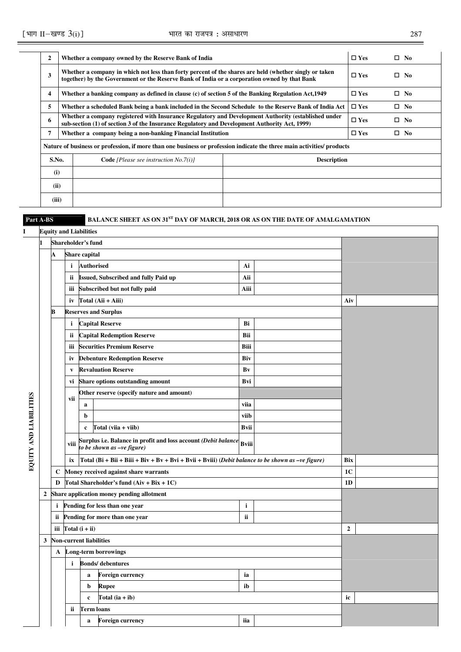| 2     | Whether a company owned by the Reserve Bank of India                                                                                                                                                   |                    | $\Box$ Yes    | $\square$ No  |
|-------|--------------------------------------------------------------------------------------------------------------------------------------------------------------------------------------------------------|--------------------|---------------|---------------|
| 3     | Whether a company in which not less than forty percent of the shares are held (whether singly or taken<br>together) by the Government or the Reserve Bank of India or a corporation owned by that Bank |                    | $\square$ Yes | No.<br>$\Box$ |
| 4     | Whether a banking company as defined in clause (c) of section 5 of the Banking Regulation Act, 1949                                                                                                    |                    | $\square$ Yes | $\square$ No  |
| 5     | Whether a scheduled Bank being a bank included in the Second Schedule to the Reserve Bank of India Act                                                                                                 |                    | $\square$ Yes | $\square$ No  |
| 6     | Whether a company registered with Insurance Regulatory and Development Authority (established under<br>sub-section (1) of section 3 of the Insurance Regulatory and Development Authority Act, 1999)   |                    | $\square$ Yes | $\square$ No  |
| 7     | Whether a company being a non-banking Financial Institution                                                                                                                                            |                    | $\square$ Yes | $\square$ No  |
|       | Nature of business or profession, if more than one business or profession indicate the three main activities/ products                                                                                 |                    |               |               |
| S.No. | <b>Code</b> [Please see instruction $No.7(i)$ ]                                                                                                                                                        | <b>Description</b> |               |               |
| (i)   |                                                                                                                                                                                                        |                    |               |               |
| (ii)  |                                                                                                                                                                                                        |                    |               |               |
| (iii) |                                                                                                                                                                                                        |                    |               |               |

### Part A-BS BALANCE SHEET AS ON 31<sup>ST</sup> DAY OF MARCH, 2018 OR AS ON THE DATE OF AMALGAMATION

# **I Equity and Liabilities**

|                        | 1                |                                  |              | Shareholder's fund             |                                                                                                             |              |                |  |
|------------------------|------------------|----------------------------------|--------------|--------------------------------|-------------------------------------------------------------------------------------------------------------|--------------|----------------|--|
|                        |                  | A                                |              | Share capital                  |                                                                                                             |              |                |  |
|                        |                  |                                  | $\mathbf{i}$ | <b>Authorised</b>              |                                                                                                             | Ai           |                |  |
|                        |                  |                                  | ii.          |                                | <b>Issued, Subscribed and fully Paid up</b>                                                                 | Aii          |                |  |
|                        |                  |                                  | iii          |                                | Subscribed but not fully paid                                                                               | Aiii         |                |  |
|                        |                  |                                  | iv           |                                | Total (Aii + Aiii)                                                                                          |              | Aiv            |  |
|                        |                  | в                                |              |                                | <b>Reserves and Surplus</b>                                                                                 |              |                |  |
|                        |                  |                                  | $\mathbf{i}$ |                                | <b>Capital Reserve</b>                                                                                      | Bi           |                |  |
|                        |                  |                                  | ii.          |                                | <b>Capital Redemption Reserve</b>                                                                           | Bii          |                |  |
|                        |                  |                                  | iii          |                                | <b>Securities Premium Reserve</b>                                                                           | Biii         |                |  |
|                        |                  |                                  | iv           |                                | <b>Debenture Redemption Reserve</b>                                                                         | Biv          |                |  |
|                        |                  |                                  | V            |                                | <b>Revaluation Reserve</b>                                                                                  | Bv           |                |  |
|                        |                  |                                  | vi           |                                | <b>Share options outstanding amount</b>                                                                     | Bvi          |                |  |
|                        |                  |                                  | vii          |                                | Other reserve (specify nature and amount)                                                                   |              |                |  |
|                        |                  |                                  |              | $\bf{a}$                       |                                                                                                             | viia         |                |  |
|                        |                  |                                  |              | b                              |                                                                                                             | viib         |                |  |
|                        |                  |                                  |              | c                              | Total $(viia + viib)$                                                                                       | <b>Bvii</b>  |                |  |
| EQUITY AND LIABILITIES |                  |                                  | viii         |                                | Surplus i.e. Balance in profit and loss account (Debit balance $_{\rm Bviii}$<br>to be shown as -ve figure) |              |                |  |
|                        |                  |                                  | ix           |                                | Total (Bi + Bii + Biii + Biv + Bv + Bvi + Bvii + Bviii) (Debit balance to be shown as $-ve$ figure)         |              | <b>Bix</b>     |  |
|                        |                  | $\mathbf c$                      |              |                                | Money received against share warrants                                                                       |              | 1 <sub>C</sub> |  |
|                        |                  | D                                |              |                                | Total Shareholder's fund $(Aiv + Bix + 1C)$                                                                 |              | 1 <sub>D</sub> |  |
|                        | $\boldsymbol{2}$ |                                  |              |                                | Share application money pending allotment                                                                   |              |                |  |
|                        |                  | i                                |              |                                | Pending for less than one year                                                                              | $\mathbf{i}$ |                |  |
|                        |                  | ii                               |              |                                | Pending for more than one year                                                                              | ii           |                |  |
|                        |                  | iii                              |              | Total $(i + ii)$               |                                                                                                             |              | $\mathbf{2}$   |  |
|                        | 3                |                                  |              | <b>Non-current liabilities</b> |                                                                                                             |              |                |  |
|                        |                  | A                                |              |                                | Long-term borrowings                                                                                        |              |                |  |
|                        |                  |                                  | i            |                                | <b>Bonds/</b> debentures                                                                                    |              |                |  |
|                        |                  |                                  |              | $\bf{a}$                       | Foreign currency                                                                                            | ia           |                |  |
|                        |                  |                                  |              | b                              | Rupee                                                                                                       | ib           |                |  |
|                        |                  | Total $(ia + ib)$<br>$\mathbf c$ |              | ic                             |                                                                                                             |              |                |  |
|                        |                  | ii<br>Term loans                 |              |                                |                                                                                                             |              |                |  |
|                        |                  |                                  |              | a                              | <b>Foreign currency</b>                                                                                     | iia          |                |  |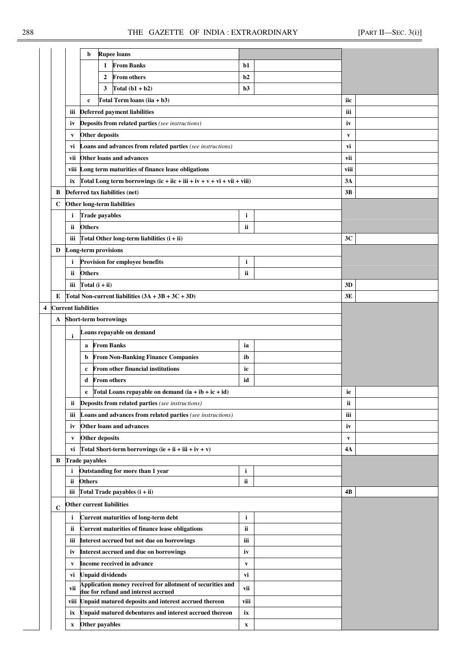|   |             |                                                               | b                                          | <b>Rupee loans</b>                                                                                |                           |              |  |
|---|-------------|---------------------------------------------------------------|--------------------------------------------|---------------------------------------------------------------------------------------------------|---------------------------|--------------|--|
|   |             |                                                               | 1                                          | <b>From Banks</b>                                                                                 | b1                        |              |  |
|   |             |                                                               | 2                                          | <b>From others</b>                                                                                | b2                        |              |  |
|   |             |                                                               | 3                                          | Total $(b1 + b2)$                                                                                 | b3                        |              |  |
|   |             |                                                               | $\mathbf c$                                | Total Term loans (iia + $b3$ )                                                                    |                           | iic          |  |
|   |             | iii                                                           |                                            | <b>Deferred payment liabilities</b>                                                               |                           | iii          |  |
|   |             | iv                                                            |                                            | Deposits from related parties (see instructions)                                                  |                           | iv           |  |
|   |             |                                                               | <b>Other deposits</b>                      |                                                                                                   |                           |              |  |
|   |             | $\mathbf{v}$                                                  |                                            | <b>Loans and advances from related parties</b> (see instructions)                                 |                           | V            |  |
|   |             | vi                                                            |                                            | Other loans and advances                                                                          |                           | vi           |  |
|   |             | vii                                                           |                                            |                                                                                                   |                           | vii          |  |
|   |             |                                                               |                                            | viii Long term maturities of finance lease obligations                                            |                           | viii<br>3A   |  |
|   |             |                                                               |                                            | ix $\int \text{Total Long term borrowings} (ic + iic + ii + iv + v + vi + vi + viii)$             |                           |              |  |
|   | B           |                                                               | Deferred tax liabilities (net)             |                                                                                                   |                           | 3B           |  |
|   | С           |                                                               | Other long-term liabilities                |                                                                                                   |                           |              |  |
|   |             | i.                                                            | <b>Trade payables</b>                      |                                                                                                   | i                         |              |  |
|   |             | ii.                                                           | <b>Others</b>                              |                                                                                                   | ii                        |              |  |
|   |             | iii                                                           |                                            | Total Other long-term liabilities $(i + ii)$                                                      |                           | 3C           |  |
|   | D           |                                                               | Long-term provisions                       |                                                                                                   |                           |              |  |
|   |             | i                                                             |                                            | Provision for employee benefits                                                                   | i                         |              |  |
|   |             | ii.                                                           | <b>Others</b>                              |                                                                                                   | ii                        |              |  |
|   |             |                                                               | iii $Total(i + ii)$                        |                                                                                                   |                           | 3D           |  |
|   | E           |                                                               |                                            | Total Non-current liabilities $(3A + 3B + 3C + 3D)$                                               |                           | 3E           |  |
| 4 |             |                                                               | <b>Current liabilities</b>                 |                                                                                                   |                           |              |  |
|   | A           |                                                               | <b>Short-term borrowings</b>               |                                                                                                   |                           |              |  |
|   |             | i                                                             |                                            | Loans repayable on demand                                                                         |                           |              |  |
|   |             |                                                               | <b>From Banks</b><br>a                     |                                                                                                   | ia                        |              |  |
|   |             |                                                               | b                                          | <b>From Non-Banking Finance Companies</b>                                                         | ib                        |              |  |
|   |             |                                                               | c                                          | From other financial institutions                                                                 | ic                        |              |  |
|   |             |                                                               | <b>From others</b><br>d                    |                                                                                                   | id                        |              |  |
|   |             |                                                               |                                            | Total Loans repayable on demand $(ia + ib + ic + id)$                                             |                           | ie           |  |
|   |             | ii.                                                           |                                            | <b>Deposits from related parties</b> (see instructions)                                           |                           | ii           |  |
|   |             | iii                                                           |                                            | <b>Loans and advances from related parties</b> (see instructions)                                 |                           | iii          |  |
|   |             | iv                                                            |                                            | Other loans and advances                                                                          |                           | iv           |  |
|   |             | V                                                             | <b>Other deposits</b>                      |                                                                                                   |                           | $\mathbf{v}$ |  |
|   |             | vi                                                            |                                            | Total Short-term borrowings (ie + ii + iii + iv + v)                                              |                           | 4А           |  |
|   | В           |                                                               | <b>Trade payables</b>                      |                                                                                                   |                           |              |  |
|   |             | i.                                                            |                                            | Outstanding for more than 1 year                                                                  | i                         |              |  |
|   |             | ii.                                                           | <b>Others</b>                              |                                                                                                   | ii                        |              |  |
|   |             | iii                                                           |                                            | Total Trade payables $(i + ii)$                                                                   |                           | 4В           |  |
|   | $\mathbf C$ |                                                               | Other current liabilities                  |                                                                                                   |                           |              |  |
|   |             | i                                                             |                                            | <b>Current maturities of long-term debt</b>                                                       | $\mathbf{i}$              |              |  |
|   |             | <b>Current maturities of finance lease obligations</b><br>ii. |                                            |                                                                                                   |                           |              |  |
|   |             | iii                                                           | Interest accrued but not due on borrowings |                                                                                                   | iii                       |              |  |
|   |             | iv                                                            | Interest accrued and due on borrowings     |                                                                                                   | iv                        |              |  |
|   |             | V                                                             |                                            | Income received in advance                                                                        | $\mathbf{v}$              |              |  |
|   |             | vi                                                            | <b>Unpaid dividends</b>                    |                                                                                                   | vi                        |              |  |
|   |             | vii                                                           |                                            | Application money received for allotment of securities and<br>due for refund and interest accrued | vii                       |              |  |
|   |             |                                                               |                                            | viii Unpaid matured deposits and interest accrued thereon                                         | viii                      |              |  |
|   |             | ix                                                            |                                            | Unpaid matured debentures and interest accrued thereon                                            | ix                        |              |  |
|   |             | $\boldsymbol{\mathrm{X}}$                                     | Other payables                             |                                                                                                   | $\boldsymbol{\mathrm{X}}$ |              |  |
|   |             |                                                               |                                            |                                                                                                   |                           |              |  |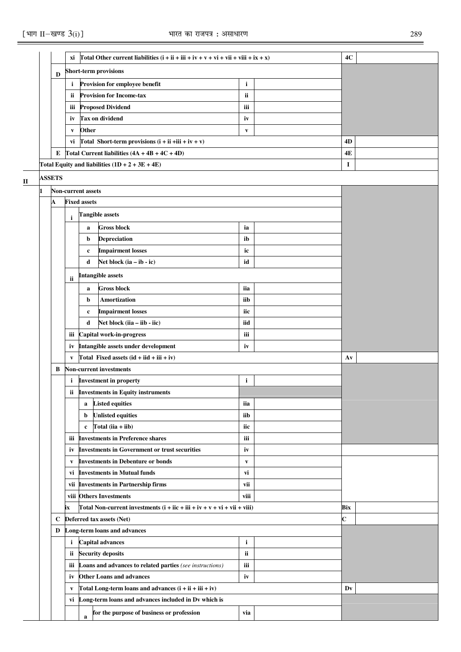|             |               | хi           |                           | Total Other current liabilities $(i + ii + iii + iv + v + vi + vii + viii + ix + x)$             |                    | 4C          |  |
|-------------|---------------|--------------|---------------------------|--------------------------------------------------------------------------------------------------|--------------------|-------------|--|
|             | D             |              |                           | <b>Short-term provisions</b>                                                                     |                    |             |  |
|             |               | i            |                           | Provision for employee benefit                                                                   | $\mathbf{i}$       |             |  |
|             |               | ii.          |                           | <b>Provision for Income-tax</b>                                                                  | ii                 |             |  |
|             |               | iii          |                           | <b>Proposed Dividend</b>                                                                         | iii                |             |  |
|             |               | iv           |                           | <b>Tax on dividend</b>                                                                           | iv                 |             |  |
|             |               | V            | Other                     |                                                                                                  | V                  |             |  |
|             |               | vi           |                           | Total Short-term provisions $(i + ii + iii + iv + v)$                                            |                    | 4D          |  |
|             | E             |              |                           | Total Current liabilities $(4A + 4B + 4C + 4D)$                                                  |                    | 4E          |  |
|             |               |              |                           | Total Equity and liabilities $(1D + 2 + 3E + 4E)$                                                |                    | 1           |  |
| $\mathbf H$ | <b>ASSETS</b> |              |                           |                                                                                                  |                    |             |  |
|             |               |              | <b>Non-current assets</b> |                                                                                                  |                    |             |  |
|             | А             |              | <b>Fixed assets</b>       |                                                                                                  |                    |             |  |
|             |               | i            |                           | <b>Tangible assets</b>                                                                           |                    |             |  |
|             |               |              | a                         | <b>Gross block</b>                                                                               | ia                 |             |  |
|             |               |              | b                         | Depreciation                                                                                     | ib                 |             |  |
|             |               |              | c                         | <b>Impairment losses</b>                                                                         | ic                 |             |  |
|             |               |              | d                         | Net block $(ia - ib - ic)$                                                                       | id                 |             |  |
|             |               | ii           |                           | <b>Intangible assets</b>                                                                         |                    |             |  |
|             |               |              | a                         | <b>Gross block</b>                                                                               | iia                |             |  |
|             |               |              | b                         | Amortization                                                                                     | iib                |             |  |
|             |               |              | $\mathbf c$               | <b>Impairment losses</b>                                                                         | iic                |             |  |
|             |               |              | d                         | Net block (iia - iib - iic)                                                                      | iid                |             |  |
|             |               | iii          |                           | Capital work-in-progress                                                                         | iii                |             |  |
|             |               | iv           |                           | Intangible assets under development                                                              | iv                 |             |  |
|             |               | $\mathbf{v}$ |                           | Total Fixed assets $(id + iid + iii + iv)$                                                       |                    | Av          |  |
|             | В             |              |                           | <b>Non-current investments</b>                                                                   |                    |             |  |
|             |               | i.           |                           | <b>Investment in property</b>                                                                    | $\mathbf{i}$       |             |  |
|             |               | ii -         |                           | <b>Investments in Equity instruments</b>                                                         |                    |             |  |
|             |               |              | a                         | <b>Listed equities</b>                                                                           | iia                |             |  |
|             |               |              | b                         | <b>Unlisted equities</b>                                                                         | iib                |             |  |
|             |               |              | $\mathbf c$               | Total $(iia + iib)$                                                                              | iic                |             |  |
|             |               |              |                           | iii Investments in Preference shares                                                             | iii                |             |  |
|             |               | iv<br>V      |                           | <b>Investments in Government or trust securities</b><br><b>Investments in Debenture or bonds</b> | iv<br>$\mathbf{v}$ |             |  |
|             |               | vi           |                           | <b>Investments in Mutual funds</b>                                                               | vi                 |             |  |
|             |               | vii          |                           | <b>Investments in Partnership firms</b>                                                          | vii                |             |  |
|             |               |              |                           | viii Others Investments                                                                          | viii               |             |  |
|             |               | ix           |                           | Total Non-current investments $(i + ii + iv + v + vi + vi + viii)$                               |                    | Bix         |  |
|             | $\mathbf c$   |              |                           | Deferred tax assets (Net)                                                                        |                    | $\mathbf c$ |  |
|             | D             |              |                           | Long-term loans and advances                                                                     |                    |             |  |
|             |               | $\mathbf{i}$ |                           | <b>Capital advances</b>                                                                          | $\mathbf{i}$       |             |  |
|             |               | ii.          |                           | <b>Security deposits</b>                                                                         | ii                 |             |  |
|             |               | iii          |                           | Loans and advances to related parties (see instructions)                                         | iii                |             |  |
|             |               | iv           |                           | <b>Other Loans and advances</b>                                                                  | iv                 |             |  |
|             |               | V            |                           | Total Long-term loans and advances $(i + ii + iii + iv)$                                         |                    | Dv          |  |
|             |               | vi           |                           | Long-term loans and advances included in Dv which is                                             |                    |             |  |
|             |               |              | $\mathbf{a}$              | for the purpose of business or profession                                                        | via                |             |  |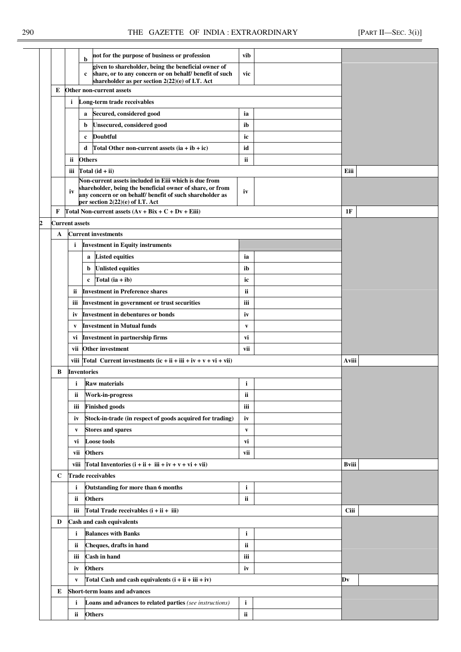|   |                       | not for the purpose of business or profession<br>b                                                                                                                                                                 | vib          |             |  |
|---|-----------------------|--------------------------------------------------------------------------------------------------------------------------------------------------------------------------------------------------------------------|--------------|-------------|--|
|   |                       | given to shareholder, being the beneficial owner of<br>share, or to any concern or on behalf/ benefit of such<br>$\mathbf{c}$<br>shareholder as per section 2(22)(e) of I.T. Act                                   | vic          |             |  |
| E |                       | Other non-current assets                                                                                                                                                                                           |              |             |  |
|   | i                     | Long-term trade receivables                                                                                                                                                                                        |              |             |  |
|   |                       | Secured, considered good<br>a                                                                                                                                                                                      | ia           |             |  |
|   |                       | Unsecured, considered good<br>b                                                                                                                                                                                    | ib           |             |  |
|   |                       | <b>Doubtful</b><br>$\mathbf c$                                                                                                                                                                                     | ic           |             |  |
|   |                       | d<br>Total Other non-current assets $(ia + ib + ic)$                                                                                                                                                               | id           |             |  |
|   | ii                    | <b>Others</b>                                                                                                                                                                                                      | ii           |             |  |
|   | iii                   | Total $(id + ii)$                                                                                                                                                                                                  |              | Eiii        |  |
|   | iv                    | Non-current assets included in Eiii which is due from<br>shareholder, being the beneficial owner of share, or from<br>any concern or on behalf/ benefit of such shareholder as<br>per section 2(22)(e) of I.T. Act | iv           |             |  |
| F |                       | Total Non-current assets $(Av + Bix + C + Dv + Eiii)$                                                                                                                                                              |              | 1F          |  |
|   | <b>Current assets</b> |                                                                                                                                                                                                                    |              |             |  |
| A |                       | <b>Current investments</b>                                                                                                                                                                                         |              |             |  |
|   | i                     | <b>Investment in Equity instruments</b>                                                                                                                                                                            |              |             |  |
|   |                       | <b>Listed equities</b><br>a                                                                                                                                                                                        | ia           |             |  |
|   |                       | <b>Unlisted equities</b><br>b                                                                                                                                                                                      | ib           |             |  |
|   |                       | Total $(ia + ib)$<br>$\mathbf c$                                                                                                                                                                                   | ic           |             |  |
|   | ii.                   | <b>Investment in Preference shares</b>                                                                                                                                                                             | ii           |             |  |
|   | iii                   | Investment in government or trust securities                                                                                                                                                                       | iii          |             |  |
|   | iv                    | <b>Investment in debentures or bonds</b>                                                                                                                                                                           | iv           |             |  |
|   | V                     | <b>Investment in Mutual funds</b>                                                                                                                                                                                  | V            |             |  |
|   | vi                    | <b>Investment in partnership firms</b>                                                                                                                                                                             | vi           |             |  |
|   |                       | vii Other investment                                                                                                                                                                                               | vii          |             |  |
|   |                       | viii Total Current investments $(ic + ii + iii + iv + v + vi + vii)$                                                                                                                                               |              | Aviii       |  |
| B |                       | <b>Inventories</b>                                                                                                                                                                                                 |              |             |  |
|   | i.                    | <b>Raw materials</b>                                                                                                                                                                                               | i            |             |  |
|   | ii.                   | Work-in-progress                                                                                                                                                                                                   | ii           |             |  |
|   | iii                   | <b>Finished goods</b>                                                                                                                                                                                              | iii          |             |  |
|   | iv                    | Stock-in-trade (in respect of goods acquired for trading)                                                                                                                                                          | iv           |             |  |
|   | V                     | <b>Stores and spares</b>                                                                                                                                                                                           | $\mathbf{v}$ |             |  |
|   | vi                    | <b>Loose tools</b>                                                                                                                                                                                                 | vi           |             |  |
|   | vii                   | <b>Others</b>                                                                                                                                                                                                      | vii          |             |  |
|   | viii                  | Total Inventories $(i + ii + iii + iv + v + vi + vii)$                                                                                                                                                             |              | Bviii       |  |
| C |                       | <b>Trade receivables</b>                                                                                                                                                                                           |              |             |  |
|   | i                     | Outstanding for more than 6 months                                                                                                                                                                                 | i            |             |  |
|   | ii                    | <b>Others</b>                                                                                                                                                                                                      | ii           |             |  |
|   | iii                   | Total Trade receivables $(i + ii + iii)$                                                                                                                                                                           |              | <b>Ciii</b> |  |
| D |                       | Cash and cash equivalents                                                                                                                                                                                          |              |             |  |
|   | i                     | <b>Balances with Banks</b>                                                                                                                                                                                         | $\mathbf{i}$ |             |  |
|   | ii                    | Cheques, drafts in hand                                                                                                                                                                                            | ii           |             |  |
|   | iii                   | <b>Cash in hand</b>                                                                                                                                                                                                | iii          |             |  |
|   | iv                    | <b>Others</b>                                                                                                                                                                                                      | iv           |             |  |
|   | V                     | Total Cash and cash equivalents $(i + ii + iii + iv)$                                                                                                                                                              |              | Dv          |  |
| E |                       | <b>Short-term loans and advances</b>                                                                                                                                                                               |              |             |  |
|   | i                     | <b>Loans and advances to related parties</b> (see instructions)                                                                                                                                                    | $\mathbf{i}$ |             |  |
|   | ii                    | <b>Others</b>                                                                                                                                                                                                      | ii           |             |  |
|   |                       |                                                                                                                                                                                                                    |              |             |  |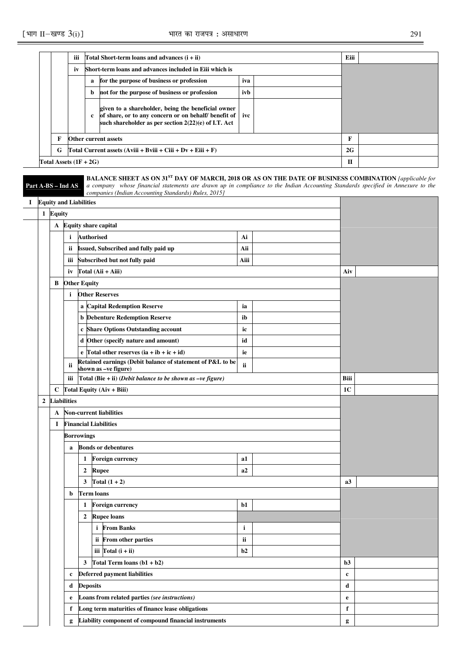|   | iii                                                           |   | Total Short-term loans and advances $(i + ii)$                                                                                                                           |     |  | Eiii |  |
|---|---------------------------------------------------------------|---|--------------------------------------------------------------------------------------------------------------------------------------------------------------------------|-----|--|------|--|
|   | iv                                                            |   | Short-term loans and advances included in Eiji which is                                                                                                                  |     |  |      |  |
|   |                                                               | a | for the purpose of business or profession                                                                                                                                | iva |  |      |  |
|   |                                                               | b | not for the purpose of business or profession                                                                                                                            |     |  |      |  |
|   |                                                               | c | given to a shareholder, being the beneficial owner<br>of share, or to any concern or on behalf/ benefit of ive<br>such shareholder as per section $2(22)(e)$ of I.T. Act |     |  |      |  |
|   |                                                               |   | Other current assets                                                                                                                                                     |     |  | F    |  |
| G | Total Current assets $(Aviii + Bviii + Ciii + Dv + Eiii + F)$ |   |                                                                                                                                                                          |     |  | 2G   |  |
|   | Total Assets $(1F + 2G)$                                      |   |                                                                                                                                                                          |     |  | п    |  |

|    |              |          | Part A-BS - Ind AS | <b>BALANCE SHEET AS ON 31ST DAY OF MARCH, 2018 OR AS ON THE DATE OF BUSINESS COMBINATION (applicable for</b><br>a company whose financial statements are drawn up in compliance to the Indian Accounting Standards specified in Annexure to the<br>companies (Indian Accounting Standards) Rules, 2015] |             |                |  |
|----|--------------|----------|--------------------|---------------------------------------------------------------------------------------------------------------------------------------------------------------------------------------------------------------------------------------------------------------------------------------------------------|-------------|----------------|--|
| Ι. |              |          |                    | <b>Equity and Liabilities</b>                                                                                                                                                                                                                                                                           |             |                |  |
|    |              | 1 Equity |                    |                                                                                                                                                                                                                                                                                                         |             |                |  |
|    |              | A        |                    | <b>Equity share capital</b>                                                                                                                                                                                                                                                                             |             |                |  |
|    |              |          | i                  | <b>Authorised</b>                                                                                                                                                                                                                                                                                       | Ai          |                |  |
|    |              |          | ii.                | Issued, Subscribed and fully paid up                                                                                                                                                                                                                                                                    | Aii         |                |  |
|    |              |          |                    | iii Subscribed but not fully paid                                                                                                                                                                                                                                                                       | Aiii        |                |  |
|    |              |          | iv                 | Total (Aii + Aiii)                                                                                                                                                                                                                                                                                      |             | Aiv            |  |
|    |              | B        |                    | <b>Other Equity</b>                                                                                                                                                                                                                                                                                     |             |                |  |
|    |              |          | $\mathbf{i}$       | <b>Other Reserves</b>                                                                                                                                                                                                                                                                                   |             |                |  |
|    |              |          |                    | a Capital Redemption Reserve                                                                                                                                                                                                                                                                            | ia          |                |  |
|    |              |          |                    | <b>b</b> Debenture Redemption Reserve                                                                                                                                                                                                                                                                   | ib          |                |  |
|    |              |          |                    | c Share Options Outstanding account                                                                                                                                                                                                                                                                     | ic          |                |  |
|    |              |          |                    | d Other (specify nature and amount)                                                                                                                                                                                                                                                                     | id          |                |  |
|    |              |          |                    | e Total other reserves $(ia + ib + ic + id)$                                                                                                                                                                                                                                                            | ie          |                |  |
|    |              |          | ii                 | Retained earnings (Debit balance of statement of P&L to be<br>shown as -ve figure)                                                                                                                                                                                                                      | ii          |                |  |
|    |              |          | iii                | Total (Bie + ii) (Debit balance to be shown as $-ve$ figure)                                                                                                                                                                                                                                            |             | Biii           |  |
|    |              | C        |                    | Total Equity (Aiv + Biii)                                                                                                                                                                                                                                                                               |             | 1 <sub>C</sub> |  |
|    | $\mathbf{2}$ |          | <b>Liabilities</b> |                                                                                                                                                                                                                                                                                                         |             |                |  |
|    |              | A        |                    | <b>Non-current liabilities</b>                                                                                                                                                                                                                                                                          |             |                |  |
|    |              | 1        |                    | <b>Financial Liabilities</b>                                                                                                                                                                                                                                                                            |             |                |  |
|    |              |          |                    | Borrowings                                                                                                                                                                                                                                                                                              |             |                |  |
|    |              |          | a                  | <b>Bonds or debentures</b>                                                                                                                                                                                                                                                                              |             |                |  |
|    |              |          |                    | <b>Foreign currency</b><br>1                                                                                                                                                                                                                                                                            | a1          |                |  |
|    |              |          |                    | <b>Rupee</b><br>$\overline{2}$                                                                                                                                                                                                                                                                          | a2          |                |  |
|    |              |          |                    | Total $(1 + 2)$<br>3                                                                                                                                                                                                                                                                                    |             | a3             |  |
|    |              |          | b                  | <b>Term loans</b>                                                                                                                                                                                                                                                                                       |             |                |  |
|    |              |          |                    | <b>Foreign currency</b><br>1                                                                                                                                                                                                                                                                            | b1          |                |  |
|    |              |          |                    | <b>Rupee loans</b><br>$\boldsymbol{2}$                                                                                                                                                                                                                                                                  |             |                |  |
|    |              |          |                    | i From Banks                                                                                                                                                                                                                                                                                            | i           |                |  |
|    |              |          |                    | ii From other parties                                                                                                                                                                                                                                                                                   | ii          |                |  |
|    |              |          |                    | iii $\Gamma$ otal (i + ii)                                                                                                                                                                                                                                                                              | b2          |                |  |
|    |              |          |                    | Total Term loans $(b1 + b2)$<br>3                                                                                                                                                                                                                                                                       |             | b3             |  |
|    |              |          | $\mathbf c$        | <b>Deferred payment liabilities</b>                                                                                                                                                                                                                                                                     | $\mathbf c$ |                |  |
|    |              |          | d                  | <b>Deposits</b>                                                                                                                                                                                                                                                                                         |             | d              |  |
|    |              |          | e                  | Loans from related parties (see instructions)                                                                                                                                                                                                                                                           |             | $\mathbf e$    |  |
|    |              |          | f                  | Long term maturities of finance lease obligations                                                                                                                                                                                                                                                       |             | f              |  |
|    |              |          | g                  | Liability component of compound financial instruments                                                                                                                                                                                                                                                   |             | g              |  |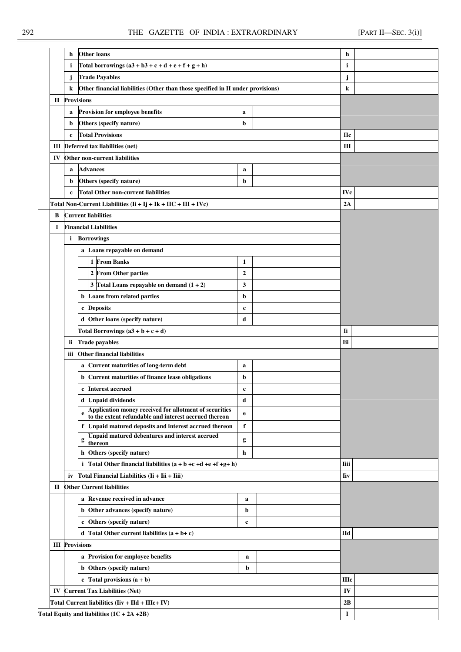|                                                  | h                     | <b>Other loans</b>                                                                                                   |                  |   | h            |  |
|--------------------------------------------------|-----------------------|----------------------------------------------------------------------------------------------------------------------|------------------|---|--------------|--|
|                                                  | i.                    | Total borrowings $(a3 + b3 + c + d + e + f + g + h)$                                                                 |                  | i |              |  |
|                                                  | j                     | <b>Trade Payables</b>                                                                                                |                  |   | j            |  |
|                                                  | k                     | Other financial liabilities (Other than those specified in II under provisions)                                      |                  | k |              |  |
|                                                  | <b>II</b> Provisions  |                                                                                                                      |                  |   |              |  |
|                                                  | a                     | Provision for employee benefits                                                                                      | a                |   |              |  |
|                                                  | b                     | Others (specify nature)                                                                                              | b                |   |              |  |
|                                                  | $\mathbf c$           | <b>Total Provisions</b>                                                                                              |                  |   | <b>Hc</b>    |  |
|                                                  |                       | <b>III</b> Deferred tax liabilities (net)                                                                            |                  |   | Ш            |  |
| IV                                               |                       | Other non-current liabilities                                                                                        |                  |   |              |  |
|                                                  | a                     | <b>Advances</b>                                                                                                      | a                |   |              |  |
|                                                  | b                     | Others (specify nature)                                                                                              | b                |   |              |  |
|                                                  | $\mathbf{c}$          | <b>Total Other non-current liabilities</b>                                                                           |                  |   | <b>IVc</b>   |  |
|                                                  |                       | Total Non-Current Liabilities $(II + Ij + Ik + IIC + III + IVc)$                                                     |                  |   | 2A           |  |
| B                                                |                       | <b>Current liabilities</b>                                                                                           |                  |   |              |  |
| I                                                |                       | <b>Financial Liabilities</b>                                                                                         |                  |   |              |  |
|                                                  | i.                    | <b>Borrowings</b>                                                                                                    |                  |   |              |  |
|                                                  |                       | a Loans repayable on demand                                                                                          |                  |   |              |  |
|                                                  |                       | 1 From Banks                                                                                                         | 1                |   |              |  |
|                                                  |                       | 2 From Other parties                                                                                                 | $\boldsymbol{2}$ |   |              |  |
|                                                  |                       | 3 Total Loans repayable on demand $(1 + 2)$                                                                          | 3                |   |              |  |
|                                                  |                       | Loans from related parties<br>b                                                                                      | b                |   |              |  |
|                                                  |                       | c Deposits                                                                                                           | $\mathbf c$      |   |              |  |
|                                                  |                       | d Other loans (specify nature)                                                                                       | d                |   |              |  |
|                                                  |                       | Total Borrowings $(a3 + b + c + d)$                                                                                  |                  |   | Ii           |  |
|                                                  | ii.                   | <b>Trade payables</b>                                                                                                |                  |   | Iii          |  |
|                                                  | iii                   | <b>Other financial liabilities</b>                                                                                   |                  |   |              |  |
|                                                  |                       | <b>Current maturities of long-term debt</b><br>a                                                                     | a                |   |              |  |
|                                                  |                       | <b>Current maturities of finance lease obligations</b><br>b                                                          | b                |   |              |  |
|                                                  |                       | <b>Interest accrued</b><br>$\mathbf c$                                                                               | c                |   |              |  |
|                                                  |                       | d Unpaid dividends                                                                                                   | d                |   |              |  |
|                                                  |                       | Application money received for allotment of securities<br>to the extent refundable and interest accrued thereon<br>e | e                |   |              |  |
|                                                  |                       | f Unpaid matured deposits and interest accrued thereon                                                               | $\mathbf f$      |   |              |  |
|                                                  |                       | <b>Unpaid matured debentures and interest accrued</b><br>g<br>thereon                                                | g                |   |              |  |
|                                                  |                       | h Others (specify nature)                                                                                            | h                |   |              |  |
|                                                  |                       | i Total Other financial liabilities $(a + b + c + d + e + f + g + h)$                                                |                  |   | <b>Iiii</b>  |  |
|                                                  | iv                    | Total Financial Liabilities (Ii + Iii + Iiii)                                                                        |                  |   | <b>Iiv</b>   |  |
| П                                                |                       | <b>Other Current liabilities</b>                                                                                     |                  |   |              |  |
|                                                  |                       | Revenue received in advance<br>a                                                                                     | a                |   |              |  |
|                                                  |                       | Other advances (specify nature)<br>b                                                                                 | b                |   |              |  |
|                                                  |                       | Others (specify nature)<br>c                                                                                         | $\mathbf c$      |   |              |  |
|                                                  |                       | d Total Other current liabilities $(a + b + c)$                                                                      |                  |   | IId          |  |
|                                                  | <b>III</b> Provisions |                                                                                                                      |                  |   |              |  |
|                                                  |                       | Provision for employee benefits<br>a                                                                                 |                  |   |              |  |
| Others (specify nature)<br>b<br>b                |                       |                                                                                                                      |                  |   |              |  |
|                                                  |                       | c Total provisions $(a + b)$                                                                                         |                  |   | <b>III</b> c |  |
|                                                  |                       | <b>IV Current Tax Liabilities (Net)</b>                                                                              |                  |   | IV           |  |
| Total Current liabilities (Iiv + IId + IIIc+ IV) |                       |                                                                                                                      |                  |   |              |  |
|                                                  |                       | Total Equity and liabilities $(1C + 2A + 2B)$                                                                        |                  |   | I            |  |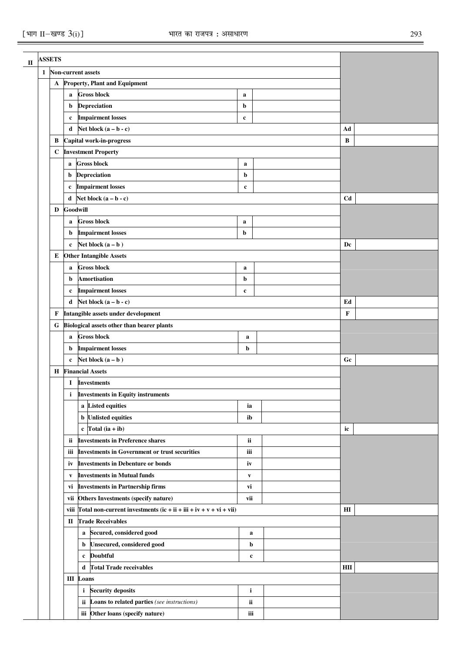$\overline{\phantom{0}}$ 

| <b>ASSETS</b> |                                |                                                                          |              |  |                        |  |
|---------------|--------------------------------|--------------------------------------------------------------------------|--------------|--|------------------------|--|
|               |                                | 1 Non-current assets                                                     |              |  |                        |  |
| A             |                                | <b>Property, Plant and Equipment</b>                                     |              |  |                        |  |
|               |                                | <b>Gross block</b><br>$\mathbf a$                                        | a            |  |                        |  |
|               |                                | <b>Depreciation</b><br>b                                                 | b            |  |                        |  |
|               |                                | <b>Impairment losses</b><br>c                                            | c            |  |                        |  |
|               |                                | Net block $(a - b - c)$<br>d                                             |              |  | Ad                     |  |
| В             |                                | Capital work-in-progress                                                 |              |  | $\bf{B}$               |  |
| $\mathbf C$   |                                | <b>Investment Property</b>                                               |              |  |                        |  |
|               |                                | <b>Gross block</b><br>a                                                  | a            |  |                        |  |
|               |                                | <b>Depreciation</b><br>b                                                 | b            |  |                        |  |
|               |                                | <b>Impairment losses</b><br>$\mathbf c$                                  | $\mathbf c$  |  |                        |  |
|               |                                | Net block $(a - b - c)$<br>d                                             |              |  | C <sub>d</sub>         |  |
| D             |                                | Goodwill                                                                 |              |  |                        |  |
|               |                                | <b>Gross block</b><br>a                                                  | $\mathbf a$  |  |                        |  |
|               |                                | <b>Impairment losses</b><br>b                                            | b            |  |                        |  |
|               |                                | Net block $(a - b)$<br>$\mathbf c$                                       |              |  | Dc                     |  |
| Е             |                                | <b>Other Intangible Assets</b>                                           |              |  |                        |  |
|               |                                | <b>Gross block</b><br>a                                                  | a            |  |                        |  |
|               |                                | <b>Amortisation</b><br>b                                                 | b            |  |                        |  |
|               |                                | <b>Impairment losses</b><br>c                                            | $\mathbf c$  |  |                        |  |
|               |                                | Net block $(a - b - c)$<br>d                                             |              |  | Ed                     |  |
| F             |                                | Intangible assets under development                                      |              |  | $\mathbf F$            |  |
| G             |                                | Biological assets other than bearer plants                               |              |  |                        |  |
|               |                                | <b>Gross block</b><br>$\mathbf a$                                        | $\mathbf a$  |  |                        |  |
|               |                                | <b>Impairment losses</b><br>b                                            | b            |  |                        |  |
|               |                                | Net block $(a - b)$<br>$\mathbf c$                                       |              |  | Gc                     |  |
| Н             |                                | <b>Financial Assets</b>                                                  |              |  |                        |  |
|               |                                | <b>Investments</b><br>I                                                  |              |  |                        |  |
|               |                                | <i>i</i> Investments in Equity instruments                               |              |  |                        |  |
|               |                                | a Listed equities                                                        | ia           |  |                        |  |
|               |                                | <b>b</b> Unlisted equities                                               | ib           |  |                        |  |
|               |                                | c Total $(ia + ib)$                                                      |              |  | ic                     |  |
|               |                                | <b>Investments in Preference shares</b><br><b>ii</b>                     | ii           |  |                        |  |
|               |                                | <b>Investments in Government or trust securities</b><br>iii              | iii          |  |                        |  |
|               |                                | <b>Investments in Debenture or bonds</b><br>iv                           | iv           |  |                        |  |
|               |                                | <b>Investments in Mutual funds</b><br>V                                  | $\mathbf{v}$ |  |                        |  |
|               |                                | <b>Investments in Partnership firms</b><br>vi                            | vi           |  |                        |  |
|               |                                | vii Others Investments (specify nature)                                  | vii          |  |                        |  |
|               |                                | viii Total non-current investments $(ic + ii + iii + iv + v + vi + vii)$ |              |  | $\mathbf{H}\mathbf{I}$ |  |
|               |                                | <b>Trade Receivables</b><br>П                                            |              |  |                        |  |
|               |                                | a Secured, considered good                                               | $\mathbf a$  |  |                        |  |
|               | b Unsecured, considered good   |                                                                          |              |  |                        |  |
|               | <b>Doubtful</b><br>$\mathbf c$ |                                                                          |              |  |                        |  |
|               |                                | d Total Trade receivables                                                |              |  | HII                    |  |
|               |                                | <b>III</b> Loans                                                         |              |  |                        |  |
|               |                                | <i>i</i> Security deposits                                               | i            |  |                        |  |
|               |                                | ii Loans to related parties (see instructions)                           | ii           |  |                        |  |
|               |                                | iii Other loans (specify nature)                                         | iii          |  |                        |  |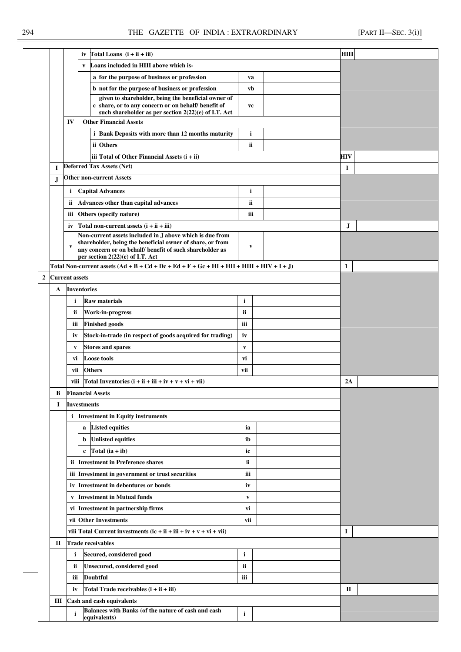|              |   |                       |                          | iv Total Loans $(i + ii + iii)$                                                                                                                                    |              |  | <b>HIII</b>  |  |
|--------------|---|-----------------------|--------------------------|--------------------------------------------------------------------------------------------------------------------------------------------------------------------|--------------|--|--------------|--|
|              |   |                       | V                        | Loans included in HIII above which is-                                                                                                                             |              |  |              |  |
|              |   |                       |                          | a for the purpose of business or profession                                                                                                                        | va           |  |              |  |
|              |   |                       |                          | b not for the purpose of business or profession                                                                                                                    | vb           |  |              |  |
|              |   |                       |                          | given to shareholder, being the beneficial owner of<br>c share, or to any concern or on behalf/ benefit of<br>such shareholder as per section 2(22)(e) of I.T. Act | vc           |  |              |  |
|              |   | IV                    |                          | <b>Other Financial Assets</b>                                                                                                                                      |              |  |              |  |
|              |   |                       |                          | <i>i</i> Bank Deposits with more than 12 months maturity                                                                                                           | i            |  |              |  |
|              |   |                       |                          | ii Others                                                                                                                                                          | ii           |  |              |  |
|              |   |                       |                          | iii Total of Other Financial Assets $(i + ii)$                                                                                                                     |              |  | HIV          |  |
|              | I |                       |                          | <b>Deferred Tax Assets (Net)</b>                                                                                                                                   |              |  | 1            |  |
|              | J |                       |                          | <b>Other non-current Assets</b>                                                                                                                                    |              |  |              |  |
|              |   | $\mathbf{i}$          |                          | <b>Capital Advances</b>                                                                                                                                            | i            |  |              |  |
|              |   | ii                    |                          | Advances other than capital advances                                                                                                                               | ii           |  |              |  |
|              |   | iii                   |                          | Others (specify nature)                                                                                                                                            | iii          |  |              |  |
|              |   | iv                    |                          | Total non-current assets $(i + ii + iii)$                                                                                                                          |              |  | J            |  |
|              |   |                       |                          | Non-current assets included in J above which is due from<br>shareholder, being the beneficial owner of share, or from                                              |              |  |              |  |
|              |   | V                     |                          | any concern or on behalf/ benefit of such shareholder as                                                                                                           | V            |  |              |  |
|              |   |                       |                          | per section 2(22)(e) of I.T. Act                                                                                                                                   |              |  |              |  |
|              |   |                       |                          | Total Non-current assets $(Ad + B + Cd + Dc + Ed + F + Gc + HI + HII + HIII + HW + I + J)$                                                                         |              |  | $\mathbf{1}$ |  |
| $\mathbf{2}$ |   | <b>Current assets</b> |                          |                                                                                                                                                                    |              |  |              |  |
|              | A |                       | <b>Inventories</b>       |                                                                                                                                                                    |              |  |              |  |
|              |   | i                     |                          | <b>Raw materials</b>                                                                                                                                               | i            |  |              |  |
|              |   | ii.                   |                          | <b>Work-in-progress</b>                                                                                                                                            | <b>ii</b>    |  |              |  |
|              |   | iii                   |                          | <b>Finished goods</b>                                                                                                                                              | iii          |  |              |  |
|              |   | iv                    |                          | Stock-in-trade (in respect of goods acquired for trading)                                                                                                          | iv           |  |              |  |
|              |   | $\mathbf{v}$          |                          | <b>Stores and spares</b>                                                                                                                                           | V            |  |              |  |
|              |   | vi                    |                          | <b>Loose tools</b>                                                                                                                                                 | vi           |  |              |  |
|              |   | vii                   | <b>Others</b>            |                                                                                                                                                                    | vii          |  |              |  |
|              |   | viii                  |                          | Total Inventories $(i + ii + iii + iv + v + vi + vi)$                                                                                                              |              |  | 2A           |  |
|              | В |                       | <b>Financial Assets</b>  |                                                                                                                                                                    |              |  |              |  |
|              | 1 |                       | <b>Investments</b>       |                                                                                                                                                                    |              |  |              |  |
|              |   | $\mathbf{i}$          |                          | <b>Investment in Equity instruments</b>                                                                                                                            |              |  |              |  |
|              |   |                       | a                        | <b>Listed equities</b>                                                                                                                                             | ia           |  |              |  |
|              |   |                       | b                        | <b>Unlisted equities</b>                                                                                                                                           | ib           |  |              |  |
|              |   |                       | c                        | Total $(ia + ib)$                                                                                                                                                  | ic           |  |              |  |
|              |   | ii                    |                          | <b>Investment in Preference shares</b>                                                                                                                             | ii           |  |              |  |
|              |   | iii                   |                          | Investment in government or trust securities                                                                                                                       | iii          |  |              |  |
|              |   | iv                    |                          | <b>Investment in debentures or bonds</b>                                                                                                                           | iv           |  |              |  |
|              |   | V                     |                          | <b>Investment in Mutual funds</b>                                                                                                                                  | $\mathbf{v}$ |  |              |  |
|              |   | vi                    |                          | <b>Investment in partnership firms</b>                                                                                                                             | vi           |  |              |  |
|              |   |                       |                          | vii Other Investments                                                                                                                                              | vii          |  |              |  |
|              |   |                       |                          | viii Total Current investments $(ic + ii + iii + iv + v + vi + vii)$                                                                                               |              |  | 1            |  |
|              | П |                       | <b>Trade receivables</b> |                                                                                                                                                                    |              |  |              |  |
|              |   | $\mathbf{i}$          |                          | Secured, considered good                                                                                                                                           | i            |  |              |  |
|              |   | ii                    |                          | <b>Unsecured, considered good</b>                                                                                                                                  | ii           |  |              |  |
|              |   | iii                   | <b>Doubtful</b>          |                                                                                                                                                                    | iii          |  |              |  |
|              |   | iv                    |                          | Total Trade receivables (i + ii + iii)                                                                                                                             |              |  | П            |  |
|              | Ш |                       |                          | Cash and cash equivalents<br>Balances with Banks (of the nature of cash and cash                                                                                   |              |  |              |  |
|              |   | i                     |                          | equivalents)                                                                                                                                                       | $\mathbf{i}$ |  |              |  |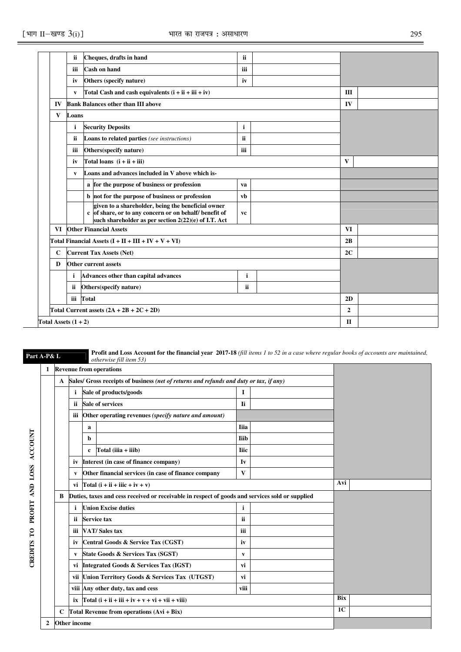|              | ii                     | Cheques, drafts in hand                                                                                                                                              | ii.          |              |                |  |
|--------------|------------------------|----------------------------------------------------------------------------------------------------------------------------------------------------------------------|--------------|--------------|----------------|--|
|              | iii                    | <b>Cash on hand</b>                                                                                                                                                  | iii          |              |                |  |
|              | iv                     | Others (specify nature)                                                                                                                                              | iv           |              |                |  |
|              | V                      | Total Cash and cash equivalents $(i + ii + iii + iv)$                                                                                                                |              |              | III            |  |
| IV           |                        | <b>Bank Balances other than III above</b>                                                                                                                            |              |              | IV             |  |
| $\mathbf{V}$ | Loans                  |                                                                                                                                                                      |              |              |                |  |
|              | i                      | <b>Security Deposits</b>                                                                                                                                             | $\mathbf{i}$ |              |                |  |
|              | ii                     | <b>Loans to related parties</b> (see instructions)                                                                                                                   | ii           |              |                |  |
|              | iii                    | Others(specify nature)                                                                                                                                               |              |              |                |  |
|              | iv                     | Total loans $(i + ii + iii)$                                                                                                                                         |              | $\mathbf{V}$ |                |  |
|              | V                      | Loans and advances included in V above which is-                                                                                                                     |              |              |                |  |
|              |                        | a for the purpose of business or profession                                                                                                                          | va           |              |                |  |
|              |                        | b not for the purpose of business or profession                                                                                                                      | vb           |              |                |  |
|              |                        | given to a shareholder, being the beneficial owner<br>c of share, or to any concern or on behalf/ benefit of<br>such shareholder as per section 2(22)(e) of I.T. Act | vc           |              |                |  |
| <b>VI</b>    |                        | <b>Other Financial Assets</b>                                                                                                                                        |              |              | <b>VI</b>      |  |
|              |                        | Total Financial Assets $(I + II + III + IV + V + VI)$                                                                                                                |              |              | 2B             |  |
| $\mathbf C$  |                        | <b>Current Tax Assets (Net)</b>                                                                                                                                      |              |              | 2C             |  |
| D            |                        | Other current assets                                                                                                                                                 |              |              |                |  |
|              | $\mathbf i$            | Advances other than capital advances                                                                                                                                 | $\mathbf{i}$ |              |                |  |
|              | ii                     | Others(specify nature)                                                                                                                                               | ii           |              |                |  |
|              | iii                    | Total                                                                                                                                                                |              |              | 2D             |  |
|              |                        | Total Current assets $(2A + 2B + 2C + 2D)$                                                                                                                           |              |              | $\overline{2}$ |  |
|              | Total Assets $(1 + 2)$ |                                                                                                                                                                      | $\mathbf{I}$ |              |                |  |
|              |                        |                                                                                                                                                                      |              |              |                |  |

**Part A-P& L Profit and Loss Account for the financial year 2017-18** *(fill items 1 to 52 in a case where regular books of accounts are maintained, otherwise fill item 53*)

|                |   |                     |     | 1 Revenue from operations                                                                       |                |  |     |  |
|----------------|---|---------------------|-----|-------------------------------------------------------------------------------------------------|----------------|--|-----|--|
|                |   | $\mathbf{A}$        |     | Sales/ Gross receipts of business (net of returns and refunds and duty or tax, if any)          |                |  |     |  |
|                |   |                     | i.  | Sale of products/goods                                                                          | 1              |  |     |  |
|                |   |                     | ii. | <b>Sale of services</b>                                                                         | Ii             |  |     |  |
|                |   |                     |     | iii Other operating revenues (specify nature and amount)                                        |                |  |     |  |
|                |   |                     |     | a                                                                                               | <b>I</b> iia   |  |     |  |
|                |   |                     |     | b                                                                                               | <b>Iiib</b>    |  |     |  |
| <b>ACCOUNT</b> |   |                     |     | Total (iiia + iiib)<br>$\mathbf c$                                                              | <b>Iiic</b>    |  |     |  |
|                |   |                     | iv  | Interest (in case of finance company)                                                           | Iv             |  |     |  |
| <b>LOSS</b>    |   |                     | V   | Other financial services (in case of finance company                                            | V              |  |     |  |
| AND            |   |                     |     | vi Total $(i + ii + iii + iv + v)$                                                              | Avi            |  |     |  |
|                |   | B                   |     | Duties, taxes and cess received or receivable in respect of goods and services sold or supplied |                |  |     |  |
| PROFIT         |   |                     | i.  | <b>Union Excise duties</b>                                                                      | $\mathbf{i}$   |  |     |  |
|                |   |                     | ii  | Service tax                                                                                     | <b>ii</b>      |  |     |  |
| $\mathbf{C}$   |   |                     | ш   | <b>VAT/Sales tax</b>                                                                            | iii            |  |     |  |
|                |   |                     | iv  | Central Goods & Service Tax (CGST)                                                              | iv             |  |     |  |
| <b>CREDITS</b> |   |                     | V   | State Goods & Services Tax (SGST)                                                               | V              |  |     |  |
|                |   |                     |     | vi Integrated Goods & Services Tax (IGST)                                                       | vi             |  |     |  |
|                |   |                     |     | vii Union Territory Goods & Services Tax (UTGST)                                                | vi             |  |     |  |
|                |   |                     |     | viii Any other duty, tax and cess                                                               | viii           |  |     |  |
|                |   |                     |     | ix $\int \text{Total} (i + ii + iii + iv + v + vi + vii + viii)$                                |                |  | Bix |  |
|                |   | C                   |     | Total Revenue from operations (Avi + Bix)                                                       | 1 <sub>C</sub> |  |     |  |
|                | 2 | <b>Other income</b> |     |                                                                                                 |                |  |     |  |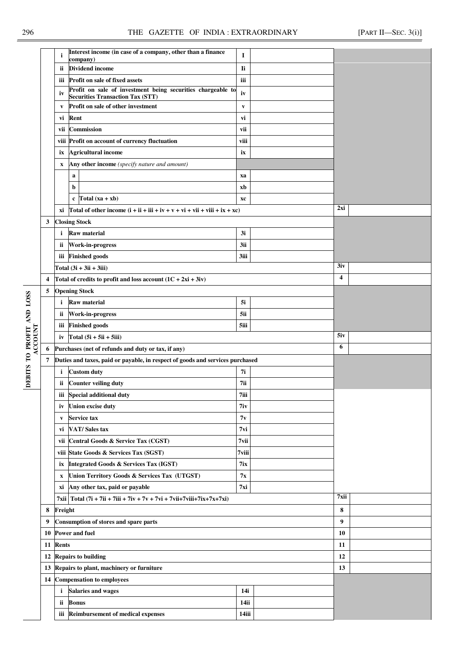|                                      |                         | i                         | Interest income (in case of a company, other than a finance<br>company)          | 1            |  |      |  |
|--------------------------------------|-------------------------|---------------------------|----------------------------------------------------------------------------------|--------------|--|------|--|
|                                      |                         | ii                        | <b>Dividend income</b>                                                           | Ιi           |  |      |  |
|                                      |                         | ш                         | Profit on sale of fixed assets                                                   | iii          |  |      |  |
|                                      |                         | iv                        | Profit on sale of investment being securities chargeable to                      | iv           |  |      |  |
|                                      |                         |                           | <b>Securities Transaction Tax (STT)</b><br>Profit on sale of other investment    | $\mathbf{v}$ |  |      |  |
|                                      |                         | V                         | Rent                                                                             | vi           |  |      |  |
|                                      |                         | vi<br>vii                 | <b>Commission</b>                                                                | vii          |  |      |  |
|                                      |                         |                           | viii Profit on account of currency fluctuation                                   | viii         |  |      |  |
|                                      |                         | ix                        | <b>Agricultural income</b>                                                       | ix           |  |      |  |
|                                      |                         | $\mathbf X$               | Any other income (specify nature and amount)                                     |              |  |      |  |
|                                      |                         |                           | a                                                                                | xa           |  |      |  |
|                                      |                         |                           | b                                                                                | xb           |  |      |  |
|                                      |                         |                           | $c$ Total $(xa + xb)$                                                            | xc           |  |      |  |
|                                      |                         |                           | xi  Total of other income $(i + ii + iii + iv + v + vi + vii + viii + ix + xc)$  |              |  | 2xi  |  |
|                                      | 3                       |                           | <b>Closing Stock</b>                                                             |              |  |      |  |
|                                      |                         | i.                        | <b>Raw material</b>                                                              | 3i           |  |      |  |
|                                      |                         | <b>ii</b>                 | <b>Work-in-progress</b>                                                          | 3ii          |  |      |  |
|                                      |                         |                           | iii Finished goods                                                               | 3iii         |  |      |  |
|                                      |                         |                           | Total $(3i + 3ii + 3iii)$                                                        |              |  | 3iv  |  |
|                                      | $\overline{\mathbf{4}}$ |                           | Total of credits to profit and loss account $(1C + 2xi + 3iy)$                   |              |  | 4    |  |
|                                      | 5                       |                           | <b>Opening Stock</b>                                                             |              |  |      |  |
|                                      |                         | i                         | <b>Raw material</b>                                                              | 5i           |  |      |  |
|                                      |                         | ii                        | Work-in-progress                                                                 | 5ii          |  |      |  |
|                                      |                         |                           | iii Finished goods                                                               | 5iii         |  |      |  |
| DEBITS TO PROFIT AND LOSS<br>ACCOUNT |                         | iv                        | Total $(5i + 5ii + 5iii)$                                                        |              |  | 5iv  |  |
|                                      | 6                       |                           | Purchases (net of refunds and duty or tax, if any)                               |              |  | 6    |  |
|                                      | 7                       |                           | Duties and taxes, paid or payable, in respect of goods and services purchased    |              |  |      |  |
|                                      |                         | i                         | <b>Custom duty</b>                                                               | 7i           |  |      |  |
|                                      |                         | <b>ii</b>                 | <b>Counter veiling duty</b>                                                      | 7ii          |  |      |  |
|                                      |                         |                           | iii Special additional duty                                                      | $7$ iii      |  |      |  |
|                                      |                         | iv                        | <b>Union excise duty</b>                                                         | 7iv          |  |      |  |
|                                      |                         | V                         | <b>Service tax</b>                                                               | 7v           |  |      |  |
|                                      |                         | vi                        | <b>VAT/Sales tax</b>                                                             | $7$ vi       |  |      |  |
|                                      |                         |                           | vii Central Goods & Service Tax (CGST)                                           | 7vii         |  |      |  |
|                                      |                         |                           | viii State Goods & Services Tax (SGST)                                           | 7viii        |  |      |  |
|                                      |                         | ix                        | <b>Integrated Goods &amp; Services Tax (IGST)</b>                                | 7ix          |  |      |  |
|                                      |                         | $\boldsymbol{\mathrm{X}}$ | Union Territory Goods & Services Tax (UTGST)                                     | 7x           |  |      |  |
|                                      |                         | хi                        | Any other tax, paid or payable                                                   | 7xi          |  |      |  |
|                                      |                         |                           | 7xii   Total $(7i + 7ii + 7ii + 7iv + 7v + 7vi + 7vii + 7viii + 7ix + 7x + 7xi)$ |              |  | 7xii |  |
|                                      | 8                       | Freight                   |                                                                                  | 8            |  |      |  |
|                                      | 9                       |                           | Consumption of stores and spare parts                                            |              |  | 9    |  |
|                                      | 10                      |                           | <b>Power and fuel</b>                                                            |              |  | 10   |  |
|                                      | 11                      | Rents                     |                                                                                  |              |  | 11   |  |
|                                      | 12                      |                           | <b>Repairs to building</b>                                                       |              |  | 12   |  |
|                                      | 13                      |                           | Repairs to plant, machinery or furniture                                         |              |  | 13   |  |
|                                      | 14                      |                           | <b>Compensation to employees</b>                                                 |              |  |      |  |
|                                      |                         |                           | i Salaries and wages                                                             | 14i          |  |      |  |
|                                      |                         | ii                        | <b>Bonus</b>                                                                     | 14ii         |  |      |  |
|                                      |                         |                           | iii Reimbursement of medical expenses                                            | 14iii        |  |      |  |
|                                      |                         |                           |                                                                                  |              |  |      |  |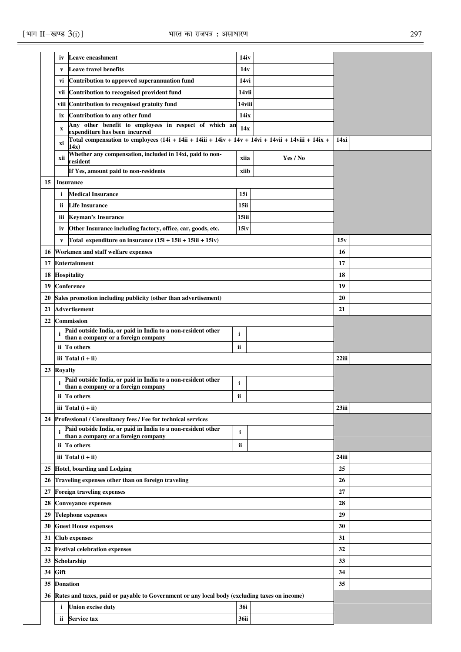|    | iv              | <b>Leave encashment</b>                                                                                                                      | 14iv         |          |          |  |
|----|-----------------|----------------------------------------------------------------------------------------------------------------------------------------------|--------------|----------|----------|--|
|    | V               | <b>Leave travel benefits</b>                                                                                                                 | 14v          |          |          |  |
|    | vi              | Contribution to approved superannuation fund                                                                                                 | 14vi         |          |          |  |
|    | vii             | Contribution to recognised provident fund                                                                                                    | 14vii        |          |          |  |
|    | viii            | Contribution to recognised gratuity fund                                                                                                     | 14viii       |          |          |  |
|    | ix              | Contribution to any other fund                                                                                                               | 14ix         |          |          |  |
|    | $\mathbf x$     | Any other benefit to employees in respect of which an                                                                                        | 14x          |          |          |  |
|    | xi              | expenditure has been incurred<br>Total compensation to employees $(14i + 14ii + 14iii + 14iv + 14v + 14vi + 14vii + 14ivii + 14ix +$<br>14x) |              |          | 14xi     |  |
|    | xii             | Whether any compensation, included in 14xi, paid to non-<br>resident                                                                         | xiia         | Yes / No |          |  |
|    |                 | If Yes, amount paid to non-residents                                                                                                         | xiib         |          |          |  |
| 15 |                 | <b>Insurance</b>                                                                                                                             |              |          |          |  |
|    | $\mathbf{i}$    | <b>Medical Insurance</b>                                                                                                                     | 15i          |          |          |  |
|    | ii              | <b>Life Insurance</b>                                                                                                                        | 15ii         |          |          |  |
|    | iii             | <b>Keyman's Insurance</b>                                                                                                                    | 15iii        |          |          |  |
|    | iv              | Other Insurance including factory, office, car, goods, etc.                                                                                  | 15iv         |          |          |  |
|    | $\mathbf{v}$    | Total expenditure on insurance (15i + 15ii + 15iii + 15iv)                                                                                   |              |          | 15v      |  |
| 16 |                 | Workmen and staff welfare expenses                                                                                                           |              |          | 16       |  |
| 17 |                 | <b>Entertainment</b>                                                                                                                         |              |          | 17       |  |
| 18 |                 | Hospitality                                                                                                                                  |              |          | 18       |  |
| 19 |                 | <b>Conference</b>                                                                                                                            |              |          | 19       |  |
| 20 |                 | Sales promotion including publicity (other than advertisement)                                                                               |              |          | 20       |  |
| 21 |                 | <b>Advertisement</b>                                                                                                                         |              |          | 21       |  |
| 22 |                 | <b>Commission</b>                                                                                                                            |              |          |          |  |
|    |                 | Paid outside India, or paid in India to a non-resident other<br>than a company or a foreign company                                          | i            |          |          |  |
|    |                 | ii To others                                                                                                                                 | ii           |          |          |  |
|    |                 | iii $\text{Total}$ (i + ii)                                                                                                                  |              |          | 22iii    |  |
|    | 23 Royalty      |                                                                                                                                              |              |          |          |  |
|    | i               | Paid outside India, or paid in India to a non-resident other<br>than a company or a foreign company                                          | i            |          |          |  |
|    |                 | ii To others                                                                                                                                 | ii           |          |          |  |
|    |                 | iii $\text{Total}$ (i + ii)                                                                                                                  |              |          | $23$ iii |  |
| 24 |                 | Professional / Consultancy fees / Fee for technical services                                                                                 |              |          |          |  |
|    | i               | Paid outside India, or paid in India to a non-resident other<br>than a company or a foreign company                                          | $\mathbf{i}$ |          |          |  |
|    |                 | ii To others                                                                                                                                 | ii           |          |          |  |
|    |                 | iii $Total(i + ii)$                                                                                                                          |              |          | 24iii    |  |
| 25 |                 | <b>Hotel, boarding and Lodging</b>                                                                                                           |              |          | 25       |  |
| 26 |                 | Traveling expenses other than on foreign traveling                                                                                           |              |          | 26       |  |
| 27 |                 | <b>Foreign traveling expenses</b>                                                                                                            |              |          | 27       |  |
| 28 |                 | <b>Conveyance expenses</b>                                                                                                                   |              |          | 28       |  |
| 29 |                 | <b>Telephone expenses</b>                                                                                                                    |              |          | 29       |  |
| 30 |                 | <b>Guest House expenses</b>                                                                                                                  |              |          | 30       |  |
| 31 |                 | <b>Club</b> expenses                                                                                                                         |              |          | 31       |  |
| 32 |                 | <b>Festival celebration expenses</b>                                                                                                         |              |          | 32       |  |
| 33 |                 | Scholarship                                                                                                                                  |              |          | 33       |  |
| 34 | Gift            |                                                                                                                                              |              |          | 34       |  |
| 35 | <b>Donation</b> |                                                                                                                                              |              |          | 35       |  |
| 36 |                 | Rates and taxes, paid or payable to Government or any local body (excluding taxes on income)                                                 |              |          |          |  |
|    | i               | <b>Union excise duty</b>                                                                                                                     | 36i          |          |          |  |
|    | ii.             | <b>Service tax</b>                                                                                                                           | <b>36ii</b>  |          |          |  |
|    |                 |                                                                                                                                              |              |          |          |  |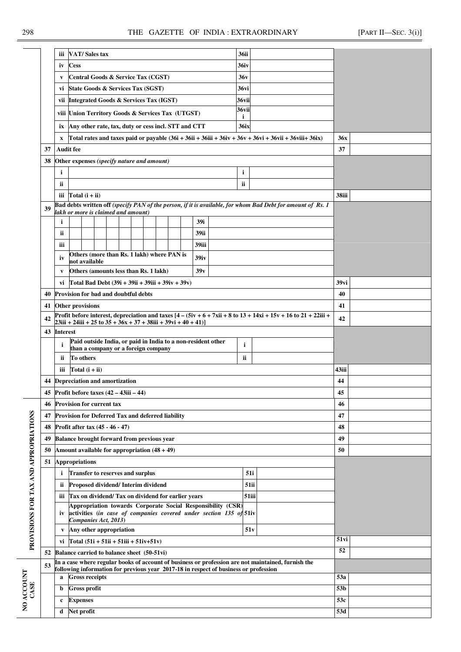|                                       |    | VAT/Sales tax<br>iii                                                                                                                                                                                  |                                                              |  |  |  |  |  | 36ii |       |                                                                                      |             |     |                                                                                                    |                  |  |  |  |  |
|---------------------------------------|----|-------------------------------------------------------------------------------------------------------------------------------------------------------------------------------------------------------|--------------------------------------------------------------|--|--|--|--|--|------|-------|--------------------------------------------------------------------------------------|-------------|-----|----------------------------------------------------------------------------------------------------|------------------|--|--|--|--|
|                                       |    | iv                                                                                                                                                                                                    | <b>Cess</b>                                                  |  |  |  |  |  |      |       |                                                                                      | 36iv        |     |                                                                                                    |                  |  |  |  |  |
|                                       |    | V                                                                                                                                                                                                     | Central Goods & Service Tax (CGST)                           |  |  |  |  |  |      |       |                                                                                      | 36v         |     |                                                                                                    |                  |  |  |  |  |
|                                       |    |                                                                                                                                                                                                       | vi State Goods & Services Tax (SGST)                         |  |  |  |  |  |      |       |                                                                                      | 36vi        |     |                                                                                                    |                  |  |  |  |  |
|                                       |    |                                                                                                                                                                                                       | vii Integrated Goods & Services Tax (IGST)                   |  |  |  |  |  |      |       |                                                                                      | 36vii       |     |                                                                                                    |                  |  |  |  |  |
|                                       |    |                                                                                                                                                                                                       | viii Union Territory Goods & Services Tax (UTGST)            |  |  |  |  |  |      |       |                                                                                      | 36vii<br>j. |     |                                                                                                    |                  |  |  |  |  |
|                                       |    | iх                                                                                                                                                                                                    | Any other rate, tax, duty or cess incl. STT and CTT          |  |  |  |  |  |      |       |                                                                                      | <b>36ix</b> |     |                                                                                                    |                  |  |  |  |  |
|                                       |    | X                                                                                                                                                                                                     |                                                              |  |  |  |  |  |      |       |                                                                                      |             |     | Total rates and taxes paid or payable $(36i + 36ii + 36ii + 36iv + 36v + 36vi + 36vii + 36iix)$    | <b>36x</b>       |  |  |  |  |
|                                       | 37 |                                                                                                                                                                                                       | <b>Audit fee</b>                                             |  |  |  |  |  |      |       |                                                                                      |             |     |                                                                                                    | 37               |  |  |  |  |
|                                       | 38 |                                                                                                                                                                                                       | Other expenses (specify nature and amount)                   |  |  |  |  |  |      |       |                                                                                      |             |     |                                                                                                    |                  |  |  |  |  |
|                                       |    | $\mathbf{i}$<br>i                                                                                                                                                                                     |                                                              |  |  |  |  |  |      |       |                                                                                      |             |     |                                                                                                    |                  |  |  |  |  |
|                                       |    | ii<br>ii                                                                                                                                                                                              |                                                              |  |  |  |  |  |      |       |                                                                                      |             |     |                                                                                                    |                  |  |  |  |  |
|                                       |    |                                                                                                                                                                                                       | iii $Total(i + ii)$                                          |  |  |  |  |  |      |       |                                                                                      |             |     |                                                                                                    | 38iii            |  |  |  |  |
|                                       | 39 | Bad debts written off (specify PAN of the person, if it is available, for whom Bad Debt for amount of Rs. 1                                                                                           |                                                              |  |  |  |  |  |      |       |                                                                                      |             |     |                                                                                                    |                  |  |  |  |  |
|                                       |    | lakh or more is claimed and amount)<br>$\mathbf{i}$<br>39i                                                                                                                                            |                                                              |  |  |  |  |  |      |       |                                                                                      |             |     |                                                                                                    |                  |  |  |  |  |
|                                       |    | ii                                                                                                                                                                                                    |                                                              |  |  |  |  |  |      | 39ii  |                                                                                      |             |     |                                                                                                    |                  |  |  |  |  |
|                                       |    | iii                                                                                                                                                                                                   |                                                              |  |  |  |  |  |      | 39iii |                                                                                      |             |     |                                                                                                    |                  |  |  |  |  |
|                                       |    |                                                                                                                                                                                                       |                                                              |  |  |  |  |  |      |       |                                                                                      |             |     |                                                                                                    |                  |  |  |  |  |
|                                       |    | Others (more than Rs. 1 lakh) where PAN is<br>39 <sub>iv</sub><br>iv<br>not available                                                                                                                 |                                                              |  |  |  |  |  |      |       |                                                                                      |             |     |                                                                                                    |                  |  |  |  |  |
|                                       |    | V                                                                                                                                                                                                     | 39v<br>Others (amounts less than Rs. 1 lakh)                 |  |  |  |  |  |      |       |                                                                                      |             |     |                                                                                                    |                  |  |  |  |  |
|                                       |    | vi Total Bad Debt $(39i + 39i + 39i + 39i + 39i)$                                                                                                                                                     |                                                              |  |  |  |  |  |      |       |                                                                                      | 39vi        |     |                                                                                                    |                  |  |  |  |  |
|                                       | 40 | <b>Provision for bad and doubtful debts</b>                                                                                                                                                           |                                                              |  |  |  |  |  |      |       |                                                                                      | 40          |     |                                                                                                    |                  |  |  |  |  |
|                                       | 41 | Other provisions                                                                                                                                                                                      |                                                              |  |  |  |  |  |      |       |                                                                                      | 41          |     |                                                                                                    |                  |  |  |  |  |
|                                       | 42 | Profit before interest, depreciation and taxes $[4 - (5iv + 6 + 7xii + 8 to 13 + 14xi + 15v + 16 to 21 + 22iii + 15v + 16v + 11]$<br>$23iii + 24iii + 25$ to $35 + 36x + 37 + 38iii + 39vi + 40 + 41$ |                                                              |  |  |  |  |  |      |       |                                                                                      |             | 42  |                                                                                                    |                  |  |  |  |  |
|                                       | 43 | <b>Interest</b>                                                                                                                                                                                       |                                                              |  |  |  |  |  |      |       |                                                                                      |             |     |                                                                                                    |                  |  |  |  |  |
|                                       |    | i                                                                                                                                                                                                     | Paid outside India, or paid in India to a non-resident other |  |  |  |  |  |      |       |                                                                                      | i           |     |                                                                                                    |                  |  |  |  |  |
|                                       |    | ii.                                                                                                                                                                                                   | than a company or a foreign company<br>To others             |  |  |  |  |  |      |       |                                                                                      | ii.         |     |                                                                                                    |                  |  |  |  |  |
|                                       |    | Total $(i + ii)$<br>iii                                                                                                                                                                               |                                                              |  |  |  |  |  |      | 43iii |                                                                                      |             |     |                                                                                                    |                  |  |  |  |  |
|                                       |    |                                                                                                                                                                                                       | 44 Depreciation and amortization                             |  |  |  |  |  |      |       |                                                                                      |             |     | 44                                                                                                 |                  |  |  |  |  |
|                                       |    |                                                                                                                                                                                                       | 45 Profit before taxes $(42 - 43iii - 44)$                   |  |  |  |  |  |      |       |                                                                                      |             |     |                                                                                                    | 45               |  |  |  |  |
|                                       | 46 |                                                                                                                                                                                                       | <b>Provision for current tax</b>                             |  |  |  |  |  |      |       |                                                                                      |             |     |                                                                                                    | 46               |  |  |  |  |
|                                       | 47 |                                                                                                                                                                                                       | Provision for Deferred Tax and deferred liability            |  |  |  |  |  |      |       |                                                                                      |             |     |                                                                                                    | 47               |  |  |  |  |
|                                       | 48 |                                                                                                                                                                                                       | Profit after tax (45 - 46 - 47)                              |  |  |  |  |  |      |       |                                                                                      |             |     |                                                                                                    | 48               |  |  |  |  |
|                                       | 49 |                                                                                                                                                                                                       | <b>Balance brought forward from previous year</b>            |  |  |  |  |  |      |       |                                                                                      |             |     |                                                                                                    | 49               |  |  |  |  |
|                                       | 50 |                                                                                                                                                                                                       | Amount available for appropriation $(48 + 49)$               |  |  |  |  |  |      |       |                                                                                      |             |     |                                                                                                    | 50               |  |  |  |  |
|                                       | 51 |                                                                                                                                                                                                       | <b>Appropriations</b>                                        |  |  |  |  |  |      |       |                                                                                      |             |     |                                                                                                    |                  |  |  |  |  |
|                                       |    | i.                                                                                                                                                                                                    | <b>Transfer to reserves and surplus</b>                      |  |  |  |  |  |      |       |                                                                                      | 51i         |     |                                                                                                    |                  |  |  |  |  |
|                                       |    | ii.                                                                                                                                                                                                   | Proposed dividend/Interim dividend                           |  |  |  |  |  |      |       |                                                                                      | 51ii        |     |                                                                                                    |                  |  |  |  |  |
|                                       |    |                                                                                                                                                                                                       | iii Tax on dividend/ Tax on dividend for earlier years       |  |  |  |  |  |      |       |                                                                                      | 51iii       |     |                                                                                                    |                  |  |  |  |  |
|                                       |    |                                                                                                                                                                                                       |                                                              |  |  |  |  |  |      |       | Appropriation towards Corporate Social Responsibility (CSR)                          |             |     |                                                                                                    |                  |  |  |  |  |
| PROVISIONS FOR TAX AND APPROPRIATIONS |    | iv                                                                                                                                                                                                    | Companies Act, 2013)                                         |  |  |  |  |  |      |       | activities (in case of companies covered under section 135 of 51iv                   |             |     |                                                                                                    |                  |  |  |  |  |
|                                       |    | V                                                                                                                                                                                                     | Any other appropriation                                      |  |  |  |  |  |      |       |                                                                                      | 51v         |     |                                                                                                    |                  |  |  |  |  |
|                                       |    | vi Total $(51i + 51ii + 51iii + 51iv + 51v)$                                                                                                                                                          |                                                              |  |  |  |  |  |      |       | $51$ vi                                                                              |             |     |                                                                                                    |                  |  |  |  |  |
|                                       | 52 |                                                                                                                                                                                                       | Balance carried to balance sheet (50-51vi)                   |  |  |  |  |  |      |       |                                                                                      |             |     |                                                                                                    | 52               |  |  |  |  |
|                                       | 53 |                                                                                                                                                                                                       |                                                              |  |  |  |  |  |      |       | following information for previous year 2017-18 in respect of business or profession |             |     | In a case where regular books of account of business or profession are not maintained, furnish the |                  |  |  |  |  |
|                                       |    | <b>Gross receipts</b><br>a                                                                                                                                                                            |                                                              |  |  |  |  |  |      |       |                                                                                      |             | 53a |                                                                                                    |                  |  |  |  |  |
| CASE                                  |    | b                                                                                                                                                                                                     | <b>Gross profit</b>                                          |  |  |  |  |  |      |       |                                                                                      |             |     |                                                                                                    | $\overline{53b}$ |  |  |  |  |
| NO ACCOUNT                            |    | c                                                                                                                                                                                                     | <b>Expenses</b>                                              |  |  |  |  |  |      |       |                                                                                      |             |     |                                                                                                    | 53c              |  |  |  |  |
|                                       |    | Net profit<br>d                                                                                                                                                                                       |                                                              |  |  |  |  |  |      |       | 53d                                                                                  |             |     |                                                                                                    |                  |  |  |  |  |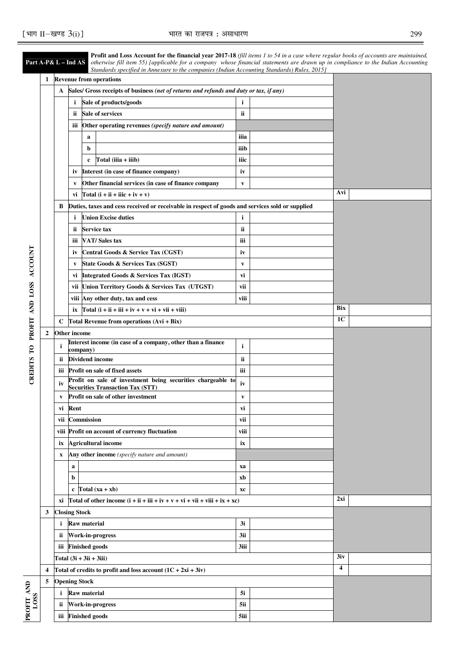**DEBITS TO** 

|                    |                  |                           |             |                     | Profit and Loss Account for the financial year 2017-18 (fill items 1 to 54 in a case where regular books of accounts are maintained,<br><b>Part A-P&amp; L – Ind AS</b> otherwise fill item 55) [applicable for a company whose financial statements are drawn up in compliance to the Indian Accounting<br>Standards specified in Annexure to the companies (Indian Accounting Standards) Rules, 2015] |              |                         |                |  |  |  |  |
|--------------------|------------------|---------------------------|-------------|---------------------|---------------------------------------------------------------------------------------------------------------------------------------------------------------------------------------------------------------------------------------------------------------------------------------------------------------------------------------------------------------------------------------------------------|--------------|-------------------------|----------------|--|--|--|--|
|                    | $\mathbf{1}$     |                           |             |                     | <b>Revenue from operations</b>                                                                                                                                                                                                                                                                                                                                                                          |              |                         |                |  |  |  |  |
|                    |                  | A                         |             |                     | Sales/ Gross receipts of business (net of returns and refunds and duty or tax, if any)                                                                                                                                                                                                                                                                                                                  |              |                         |                |  |  |  |  |
|                    |                  |                           | i           |                     | Sale of products/goods                                                                                                                                                                                                                                                                                                                                                                                  | i            |                         |                |  |  |  |  |
|                    |                  |                           | ii.         |                     | <b>Sale of services</b>                                                                                                                                                                                                                                                                                                                                                                                 | ii           |                         |                |  |  |  |  |
|                    |                  |                           | iii         |                     | Other operating revenues (specify nature and amount)                                                                                                                                                                                                                                                                                                                                                    |              |                         |                |  |  |  |  |
|                    |                  |                           |             | a                   |                                                                                                                                                                                                                                                                                                                                                                                                         | iiia         |                         |                |  |  |  |  |
|                    |                  |                           |             | b                   |                                                                                                                                                                                                                                                                                                                                                                                                         | iiib         |                         |                |  |  |  |  |
|                    |                  |                           |             | c                   | Total $(iiia + iiib)$                                                                                                                                                                                                                                                                                                                                                                                   | iiic         |                         |                |  |  |  |  |
|                    |                  |                           | İV          |                     | Interest (in case of finance company)                                                                                                                                                                                                                                                                                                                                                                   | iv           |                         |                |  |  |  |  |
|                    |                  |                           | V           |                     | Other financial services (in case of finance company                                                                                                                                                                                                                                                                                                                                                    | $\mathbf{v}$ |                         |                |  |  |  |  |
|                    |                  |                           | vi          |                     | Total $(i + ii + ii)c + iv + v)$                                                                                                                                                                                                                                                                                                                                                                        |              |                         | Avi            |  |  |  |  |
|                    |                  | В                         |             |                     | Duties, taxes and cess received or receivable in respect of goods and services sold or supplied                                                                                                                                                                                                                                                                                                         |              |                         |                |  |  |  |  |
|                    |                  |                           | i           |                     | <b>Union Excise duties</b>                                                                                                                                                                                                                                                                                                                                                                              | i            |                         |                |  |  |  |  |
|                    |                  |                           | ii.         |                     | <b>Service tax</b>                                                                                                                                                                                                                                                                                                                                                                                      | ii           |                         |                |  |  |  |  |
|                    |                  |                           | iii         |                     | <b>VAT/Sales tax</b>                                                                                                                                                                                                                                                                                                                                                                                    | iii          |                         |                |  |  |  |  |
|                    |                  |                           | iv          |                     | Central Goods & Service Tax (CGST)                                                                                                                                                                                                                                                                                                                                                                      | iv           |                         |                |  |  |  |  |
| <b>ACCOUNT</b>     |                  |                           | V           |                     | State Goods & Services Tax (SGST)                                                                                                                                                                                                                                                                                                                                                                       | V            |                         |                |  |  |  |  |
|                    |                  |                           | vi          |                     | <b>Integrated Goods &amp; Services Tax (IGST)</b>                                                                                                                                                                                                                                                                                                                                                       | vi           |                         |                |  |  |  |  |
|                    |                  |                           |             |                     | vii Union Territory Goods & Services Tax (UTGST)                                                                                                                                                                                                                                                                                                                                                        | vii          |                         |                |  |  |  |  |
|                    |                  |                           |             |                     | viii Any other duty, tax and cess                                                                                                                                                                                                                                                                                                                                                                       | viii         |                         |                |  |  |  |  |
| AND LOSS<br>PROFIT |                  |                           | ix          |                     | Total $(i + ii + iii + iv + v + vi + vii + viii)$                                                                                                                                                                                                                                                                                                                                                       |              |                         | Bix            |  |  |  |  |
|                    |                  | C                         |             |                     | Total Revenue from operations (Avi + Bix)                                                                                                                                                                                                                                                                                                                                                               |              |                         | 1 <sub>C</sub> |  |  |  |  |
|                    |                  | Other income              |             |                     |                                                                                                                                                                                                                                                                                                                                                                                                         |              |                         |                |  |  |  |  |
|                    | $\boldsymbol{2}$ |                           |             |                     | Interest income (in case of a company, other than a finance                                                                                                                                                                                                                                                                                                                                             |              |                         |                |  |  |  |  |
| $\mathbf{C}$       |                  | i                         |             | company)            |                                                                                                                                                                                                                                                                                                                                                                                                         | i            |                         |                |  |  |  |  |
|                    |                  | ii                        |             |                     | <b>Dividend income</b>                                                                                                                                                                                                                                                                                                                                                                                  | ii           |                         |                |  |  |  |  |
| <b>CREDITS</b>     |                  | iii                       |             |                     | <b>Profit on sale of fixed assets</b>                                                                                                                                                                                                                                                                                                                                                                   | iii          |                         |                |  |  |  |  |
|                    |                  | iv                        |             |                     | Profit on sale of investment being securities chargeable to<br><b>Securities Transaction Tax (STT)</b>                                                                                                                                                                                                                                                                                                  | iv           |                         |                |  |  |  |  |
|                    |                  | V                         |             |                     | <b>Profit on sale of other investment</b>                                                                                                                                                                                                                                                                                                                                                               | V            |                         |                |  |  |  |  |
|                    |                  | vi                        | Rent        |                     |                                                                                                                                                                                                                                                                                                                                                                                                         | vi           |                         |                |  |  |  |  |
|                    |                  | vii                       |             | <b>Commission</b>   |                                                                                                                                                                                                                                                                                                                                                                                                         | vii          |                         |                |  |  |  |  |
|                    |                  |                           |             |                     | viii Profit on account of currency fluctuation                                                                                                                                                                                                                                                                                                                                                          | viii         |                         |                |  |  |  |  |
|                    |                  | ix                        |             |                     | <b>Agricultural income</b>                                                                                                                                                                                                                                                                                                                                                                              | ix           |                         |                |  |  |  |  |
|                    |                  | x                         |             |                     | Any other income (specify nature and amount)                                                                                                                                                                                                                                                                                                                                                            |              |                         |                |  |  |  |  |
|                    |                  |                           | $\mathbf a$ |                     |                                                                                                                                                                                                                                                                                                                                                                                                         | xa           |                         |                |  |  |  |  |
|                    |                  |                           | b           |                     |                                                                                                                                                                                                                                                                                                                                                                                                         | xb           |                         |                |  |  |  |  |
|                    |                  |                           |             |                     | c Total $(xa + xb)$                                                                                                                                                                                                                                                                                                                                                                                     | xc           |                         |                |  |  |  |  |
|                    |                  | хi                        |             |                     | Total of other income $(i + ii + iii + iv + v + vi + vii + viii + ix + xc)$                                                                                                                                                                                                                                                                                                                             |              |                         | 2xi            |  |  |  |  |
|                    | 3                | <b>Closing Stock</b>      |             |                     |                                                                                                                                                                                                                                                                                                                                                                                                         |              |                         |                |  |  |  |  |
|                    |                  | i                         |             | <b>Raw material</b> |                                                                                                                                                                                                                                                                                                                                                                                                         | 3i           |                         |                |  |  |  |  |
|                    |                  | ij.                       |             |                     | <b>Work-in-progress</b>                                                                                                                                                                                                                                                                                                                                                                                 | 3ii          |                         |                |  |  |  |  |
|                    |                  | iii                       |             |                     | <b>Finished goods</b>                                                                                                                                                                                                                                                                                                                                                                                   | 3iii         |                         |                |  |  |  |  |
|                    |                  | Total $(3i + 3ii + 3iii)$ |             |                     |                                                                                                                                                                                                                                                                                                                                                                                                         |              |                         | 3iv            |  |  |  |  |
|                    | 4                |                           |             |                     | Total of credits to profit and loss account $(1C + 2xi + 3iy)$                                                                                                                                                                                                                                                                                                                                          |              | $\overline{\mathbf{4}}$ |                |  |  |  |  |
|                    |                  |                           |             |                     |                                                                                                                                                                                                                                                                                                                                                                                                         |              |                         |                |  |  |  |  |
| PROFIT AND         | 5                | <b>Opening Stock</b><br>i |             | <b>Raw material</b> |                                                                                                                                                                                                                                                                                                                                                                                                         | 5i           |                         |                |  |  |  |  |
| <b>LOSS</b>        |                  |                           |             |                     |                                                                                                                                                                                                                                                                                                                                                                                                         |              |                         |                |  |  |  |  |
|                    |                  | ii.                       |             |                     | <b>Work-in-progress</b>                                                                                                                                                                                                                                                                                                                                                                                 | 5ii          |                         |                |  |  |  |  |
|                    |                  |                           |             |                     | iii Finished goods                                                                                                                                                                                                                                                                                                                                                                                      | 5iii         |                         |                |  |  |  |  |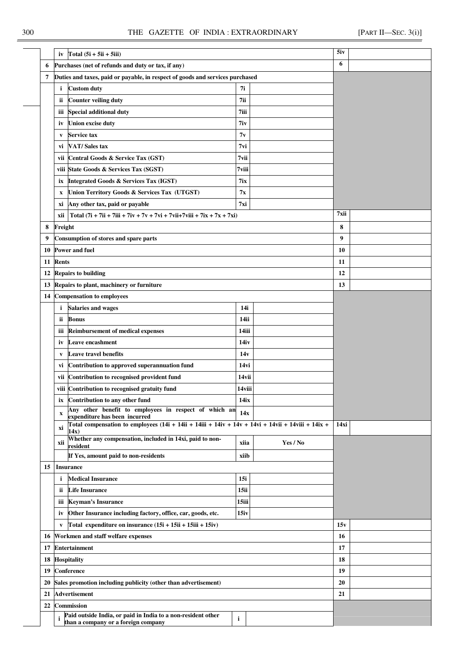|    | iv           | Total $(5i + 5ii + 5iii)$                                                                                   | 5iv     |          |      |  |
|----|--------------|-------------------------------------------------------------------------------------------------------------|---------|----------|------|--|
| 6  |              | Purchases (net of refunds and duty or tax, if any)                                                          |         |          | 6    |  |
| 7  |              | Duties and taxes, paid or payable, in respect of goods and services purchased                               |         |          |      |  |
|    | i            | <b>Custom duty</b>                                                                                          | 7i      |          |      |  |
|    | ii.          | <b>Counter veiling duty</b>                                                                                 | 7ii     |          |      |  |
|    | Ш            | <b>Special additional duty</b>                                                                              | $7$ iii |          |      |  |
|    | iv           | <b>Union excise duty</b>                                                                                    | 7iv     |          |      |  |
|    | V            | Service tax                                                                                                 | 7v      |          |      |  |
|    | vi           | <b>VAT/Sales tax</b>                                                                                        | 7vi     |          |      |  |
|    | vii          | Central Goods & Service Tax (GST)                                                                           | 7vii    |          |      |  |
|    |              | viii State Goods & Services Tax (SGST)                                                                      | 7viii   |          |      |  |
|    | iх           | <b>Integrated Goods &amp; Services Tax (IGST)</b>                                                           | 7ix     |          |      |  |
|    | X            | Union Territory Goods & Services Tax (UTGST)                                                                | 7x      |          |      |  |
|    | хi           | Any other tax, paid or payable                                                                              | 7xi     |          |      |  |
|    | xii          | Total $(7i + 7ii + 7iii + 7iv + 7v + 7vi + 7vii + 7viii + 7ix + 7x + 7xi)$                                  |         |          | 7xii |  |
| 8  | Freight      |                                                                                                             |         |          | 8    |  |
| 9  |              | Consumption of stores and spare parts                                                                       |         |          | 9    |  |
| 10 |              | <b>Power and fuel</b>                                                                                       |         |          | 10   |  |
| 11 | <b>Rents</b> |                                                                                                             |         |          | 11   |  |
| 12 |              | <b>Repairs to building</b>                                                                                  |         |          | 12   |  |
| 13 |              | Repairs to plant, machinery or furniture                                                                    |         |          | 13   |  |
| 14 |              | <b>Compensation to employees</b>                                                                            |         |          |      |  |
|    | i            | <b>Salaries and wages</b>                                                                                   | 14i     |          |      |  |
|    | ii.          | <b>Bonus</b>                                                                                                | 14ii    |          |      |  |
|    |              |                                                                                                             |         |          |      |  |
|    | ш            | <b>Reimbursement of medical expenses</b>                                                                    | 14iii   |          |      |  |
|    | iv           | Leave encashment                                                                                            | 14iv    |          |      |  |
|    | V            | <b>Leave travel benefits</b>                                                                                | 14v     |          |      |  |
|    | vi           | Contribution to approved superannuation fund                                                                | 14vi    |          |      |  |
|    | vii          | Contribution to recognised provident fund                                                                   | 14vii   |          |      |  |
|    |              | viii Contribution to recognised gratuity fund                                                               | 14viii  |          |      |  |
|    | ix           | Contribution to any other fund<br>Any other benefit to employees in respect of which an                     | 14ix    |          |      |  |
|    | $\mathbf X$  | expenditure has been incurred                                                                               | 14x     |          |      |  |
|    | хi           | Total compensation to employees $(14i + 14ii + 14iii + 14iv + 14v + 14vi + 14vii + 14ivii + 14ix +$<br>14x) |         |          | 14xi |  |
|    | xii          | Whether any compensation, included in 14xi, paid to non-<br>resident                                        | xiia    | Yes / No |      |  |
|    |              | If Yes, amount paid to non-residents                                                                        | xiib    |          |      |  |
| 15 |              | <b>Insurance</b>                                                                                            |         |          |      |  |
|    | i            | <b>Medical Insurance</b>                                                                                    | 15i     |          |      |  |
|    | ii           | <b>Life Insurance</b>                                                                                       | 15ii    |          |      |  |
|    | Ш            | <b>Keyman's Insurance</b>                                                                                   | 15iii   |          |      |  |
|    | iv           | Other Insurance including factory, office, car, goods, etc.                                                 | 15iv    |          |      |  |
|    | V            | Total expenditure on insurance (15i + 15ii + 15iii + 15iv)                                                  |         |          | 15v  |  |
| 16 |              | Workmen and staff welfare expenses                                                                          |         |          | 16   |  |
| 17 |              | <b>Entertainment</b>                                                                                        |         | 17       |      |  |
| 18 |              | <b>Hospitality</b>                                                                                          |         |          | 18   |  |
| 19 |              | Conference                                                                                                  |         |          | 19   |  |
| 20 |              | Sales promotion including publicity (other than advertisement)                                              |         |          | 20   |  |
| 21 |              | <b>Advertisement</b>                                                                                        |         |          | 21   |  |
| 22 |              | <b>Commission</b>                                                                                           |         |          |      |  |
|    | $\mathbf{i}$ | Paid outside India, or paid in India to a non-resident other                                                |         |          |      |  |
|    |              | than a company or a foreign company                                                                         | i       |          |      |  |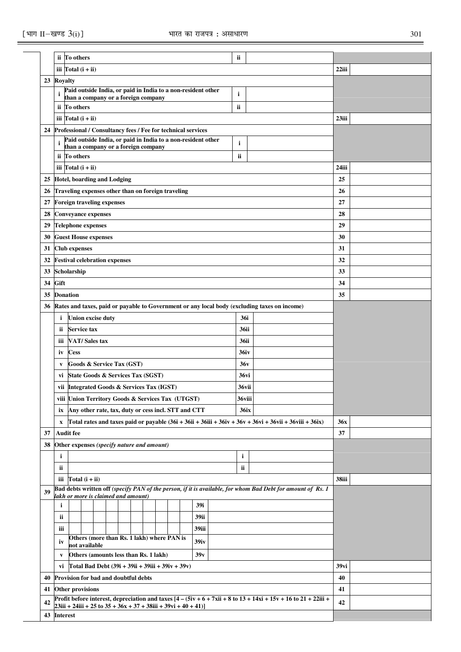|    |                                                                                                                                                                                       | ii To others                |  |  |                                                     |  |  |  |  |  |    |                                                              |       | ii          |  |                                                                                                             |       |  |
|----|---------------------------------------------------------------------------------------------------------------------------------------------------------------------------------------|-----------------------------|--|--|-----------------------------------------------------|--|--|--|--|--|----|--------------------------------------------------------------|-------|-------------|--|-------------------------------------------------------------------------------------------------------------|-------|--|
|    |                                                                                                                                                                                       | iii $\text{Total}$ (i + ii) |  |  |                                                     |  |  |  |  |  |    |                                                              |       |             |  |                                                                                                             | 22iii |  |
| 23 | <b>Royalty</b>                                                                                                                                                                        |                             |  |  |                                                     |  |  |  |  |  |    |                                                              |       |             |  |                                                                                                             |       |  |
|    |                                                                                                                                                                                       |                             |  |  |                                                     |  |  |  |  |  |    | Paid outside India, or paid in India to a non-resident other |       | i           |  |                                                                                                             |       |  |
|    |                                                                                                                                                                                       |                             |  |  | than a company or a foreign company                 |  |  |  |  |  |    |                                                              |       |             |  |                                                                                                             |       |  |
|    |                                                                                                                                                                                       | ii To others                |  |  |                                                     |  |  |  |  |  |    |                                                              |       | ii          |  |                                                                                                             |       |  |
|    |                                                                                                                                                                                       | iii $\text{Total}$ (i + ii) |  |  |                                                     |  |  |  |  |  |    |                                                              |       |             |  |                                                                                                             | 23iii |  |
| 24 |                                                                                                                                                                                       |                             |  |  |                                                     |  |  |  |  |  |    | Professional / Consultancy fees / Fee for technical services |       |             |  |                                                                                                             |       |  |
|    | i                                                                                                                                                                                     |                             |  |  | than a company or a foreign company                 |  |  |  |  |  |    | Paid outside India, or paid in India to a non-resident other |       | i           |  |                                                                                                             |       |  |
|    |                                                                                                                                                                                       | ii To others                |  |  |                                                     |  |  |  |  |  |    |                                                              |       | ii          |  |                                                                                                             |       |  |
|    | iii $\text{Total}$ (i + ii)                                                                                                                                                           |                             |  |  |                                                     |  |  |  |  |  |    |                                                              | 24iii |             |  |                                                                                                             |       |  |
| 25 | <b>Hotel, boarding and Lodging</b>                                                                                                                                                    |                             |  |  |                                                     |  |  |  |  |  |    |                                                              | 25    |             |  |                                                                                                             |       |  |
| 26 |                                                                                                                                                                                       |                             |  |  | Traveling expenses other than on foreign traveling  |  |  |  |  |  |    |                                                              |       |             |  |                                                                                                             | 26    |  |
| 27 | <b>Foreign traveling expenses</b>                                                                                                                                                     |                             |  |  |                                                     |  |  |  |  |  |    |                                                              |       | 27          |  |                                                                                                             |       |  |
|    | <b>Conveyance expenses</b><br>28                                                                                                                                                      |                             |  |  |                                                     |  |  |  |  |  |    |                                                              |       | 28          |  |                                                                                                             |       |  |
| 29 |                                                                                                                                                                                       |                             |  |  |                                                     |  |  |  |  |  |    |                                                              |       | 29          |  |                                                                                                             |       |  |
|    | <b>Telephone expenses</b>                                                                                                                                                             |                             |  |  |                                                     |  |  |  |  |  |    |                                                              |       |             |  |                                                                                                             |       |  |
| 30 | <b>Guest House expenses</b>                                                                                                                                                           |                             |  |  |                                                     |  |  |  |  |  |    |                                                              |       | 30          |  |                                                                                                             |       |  |
| 31 | <b>Club</b> expenses                                                                                                                                                                  |                             |  |  |                                                     |  |  |  |  |  |    |                                                              | 31    |             |  |                                                                                                             |       |  |
| 32 | <b>Festival celebration expenses</b>                                                                                                                                                  |                             |  |  |                                                     |  |  |  |  |  |    |                                                              | 32    |             |  |                                                                                                             |       |  |
| 33 |                                                                                                                                                                                       | Scholarship                 |  |  |                                                     |  |  |  |  |  |    |                                                              |       |             |  |                                                                                                             | 33    |  |
| 34 | Gift                                                                                                                                                                                  |                             |  |  |                                                     |  |  |  |  |  |    |                                                              |       |             |  |                                                                                                             | 34    |  |
| 35 | <b>Donation</b>                                                                                                                                                                       |                             |  |  |                                                     |  |  |  |  |  |    |                                                              | 35    |             |  |                                                                                                             |       |  |
| 36 | Rates and taxes, paid or payable to Government or any local body (excluding taxes on income)                                                                                          |                             |  |  |                                                     |  |  |  |  |  |    |                                                              |       |             |  |                                                                                                             |       |  |
|    | <b>Union excise duty</b><br>36i<br>i                                                                                                                                                  |                             |  |  |                                                     |  |  |  |  |  |    |                                                              |       |             |  |                                                                                                             |       |  |
|    | <b>Service tax</b><br>36ii<br>ii                                                                                                                                                      |                             |  |  |                                                     |  |  |  |  |  |    |                                                              |       |             |  |                                                                                                             |       |  |
|    | <b>VAT/Sales tax</b><br>36ii<br>iii                                                                                                                                                   |                             |  |  |                                                     |  |  |  |  |  |    |                                                              |       |             |  |                                                                                                             |       |  |
|    | iv                                                                                                                                                                                    | <b>Cess</b>                 |  |  |                                                     |  |  |  |  |  |    |                                                              |       | 36iv        |  |                                                                                                             |       |  |
|    | V                                                                                                                                                                                     |                             |  |  | <b>Goods &amp; Service Tax (GST)</b>                |  |  |  |  |  |    |                                                              |       | 36v         |  |                                                                                                             |       |  |
|    | vi                                                                                                                                                                                    |                             |  |  | State Goods & Services Tax (SGST)                   |  |  |  |  |  |    |                                                              |       | 36vi        |  |                                                                                                             |       |  |
|    |                                                                                                                                                                                       |                             |  |  | vii Integrated Goods & Services Tax (IGST)          |  |  |  |  |  |    |                                                              |       | 36vii       |  |                                                                                                             |       |  |
|    |                                                                                                                                                                                       |                             |  |  | viii Union Territory Goods & Services Tax (UTGST)   |  |  |  |  |  |    |                                                              |       | 36viii      |  |                                                                                                             |       |  |
|    | ix                                                                                                                                                                                    |                             |  |  | Any other rate, tax, duty or cess incl. STT and CTT |  |  |  |  |  |    |                                                              |       | <b>36ix</b> |  |                                                                                                             |       |  |
|    | $\mathbf X$                                                                                                                                                                           |                             |  |  |                                                     |  |  |  |  |  |    |                                                              |       |             |  | Total rates and taxes paid or payable $(36i + 36ii + 36ii + 36iv + 36v + 36v + 36vii + 36vii + 36ix)$       | 36x   |  |
| 37 |                                                                                                                                                                                       | <b>Audit fee</b>            |  |  |                                                     |  |  |  |  |  |    |                                                              |       |             |  |                                                                                                             | 37    |  |
| 38 |                                                                                                                                                                                       |                             |  |  | Other expenses (specify nature and amount)          |  |  |  |  |  |    |                                                              |       |             |  |                                                                                                             |       |  |
|    | i                                                                                                                                                                                     |                             |  |  |                                                     |  |  |  |  |  |    |                                                              |       | i           |  |                                                                                                             |       |  |
|    | ii                                                                                                                                                                                    |                             |  |  |                                                     |  |  |  |  |  |    |                                                              |       | ii          |  |                                                                                                             |       |  |
|    |                                                                                                                                                                                       |                             |  |  |                                                     |  |  |  |  |  |    |                                                              |       |             |  |                                                                                                             |       |  |
|    | iii                                                                                                                                                                                   | Total $(i + ii)$            |  |  |                                                     |  |  |  |  |  |    |                                                              |       |             |  | Bad debts written off (specify PAN of the person, if it is available, for whom Bad Debt for amount of Rs. 1 | 38iii |  |
| 39 |                                                                                                                                                                                       |                             |  |  | lakh or more is claimed and amount)                 |  |  |  |  |  |    |                                                              |       |             |  |                                                                                                             |       |  |
|    | $\mathbf{i}$                                                                                                                                                                          |                             |  |  |                                                     |  |  |  |  |  |    | 39i                                                          |       |             |  |                                                                                                             |       |  |
|    | ii                                                                                                                                                                                    |                             |  |  |                                                     |  |  |  |  |  |    | 39ii                                                         |       |             |  |                                                                                                             |       |  |
|    | iii                                                                                                                                                                                   |                             |  |  |                                                     |  |  |  |  |  |    | 39iii                                                        |       |             |  |                                                                                                             |       |  |
|    | iv                                                                                                                                                                                    |                             |  |  | Others (more than Rs. 1 lakh) where PAN is          |  |  |  |  |  |    | 39 <sub>iv</sub>                                             |       |             |  |                                                                                                             |       |  |
|    | V                                                                                                                                                                                     | not available               |  |  | Others (amounts less than Rs. 1 lakh)               |  |  |  |  |  |    | 39v                                                          |       |             |  |                                                                                                             |       |  |
|    | vi                                                                                                                                                                                    |                             |  |  |                                                     |  |  |  |  |  |    |                                                              |       |             |  |                                                                                                             | 39vi  |  |
|    | Total Bad Debt (39i + 39ii + 39iii + 39iv + 39v)<br>Provision for bad and doubtful debts<br>40                                                                                        |                             |  |  |                                                     |  |  |  |  |  |    |                                                              | 40    |             |  |                                                                                                             |       |  |
|    |                                                                                                                                                                                       |                             |  |  |                                                     |  |  |  |  |  |    |                                                              |       |             |  |                                                                                                             |       |  |
| 41 |                                                                                                                                                                                       | Other provisions            |  |  |                                                     |  |  |  |  |  |    |                                                              |       |             |  |                                                                                                             | 41    |  |
| 42 | Profit before interest, depreciation and taxes $[4 - (5iv + 6 + 7xii + 8 to 13 + 14xi + 15v + 16 to 21 + 22iii +$<br>$23iii + 24iii + 25$ to $35 + 36x + 37 + 38iii + 39vi + 40 + 41$ |                             |  |  |                                                     |  |  |  |  |  | 42 |                                                              |       |             |  |                                                                                                             |       |  |
|    | 43 Interest                                                                                                                                                                           |                             |  |  |                                                     |  |  |  |  |  |    |                                                              |       |             |  |                                                                                                             |       |  |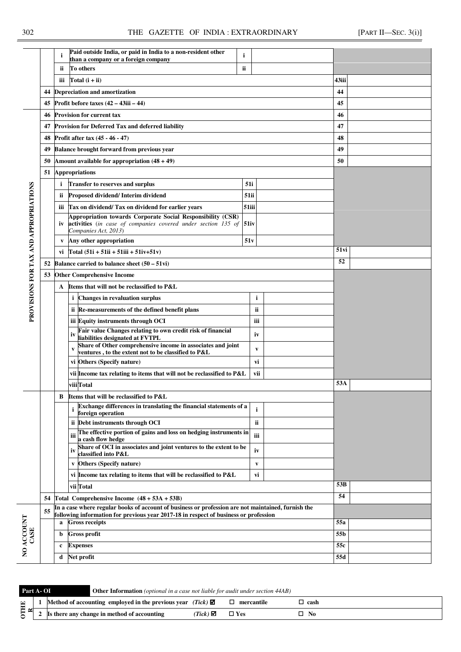|                                       |    | i                                 | Paid outside India, or paid in India to a non-resident other<br>than a company or a foreign company                                                         | i  |  |  |  |  |  |  |  |  |  |  |
|---------------------------------------|----|-----------------------------------|-------------------------------------------------------------------------------------------------------------------------------------------------------------|----|--|--|--|--|--|--|--|--|--|--|
|                                       |    | ii                                | To others                                                                                                                                                   | ii |  |  |  |  |  |  |  |  |  |  |
|                                       |    | iii                               | Total (i + ii)                                                                                                                                              |    |  |  |  |  |  |  |  |  |  |  |
|                                       |    |                                   | 44 Depreciation and amortization                                                                                                                            |    |  |  |  |  |  |  |  |  |  |  |
|                                       | 45 |                                   | Profit before taxes $(42 - 43)$ iii $- 44$ )                                                                                                                |    |  |  |  |  |  |  |  |  |  |  |
|                                       | 46 |                                   | <b>Provision for current tax</b>                                                                                                                            |    |  |  |  |  |  |  |  |  |  |  |
|                                       | 47 |                                   | <b>Provision for Deferred Tax and deferred liability</b>                                                                                                    |    |  |  |  |  |  |  |  |  |  |  |
|                                       | 48 |                                   | Profit after tax $(45 - 46 - 47)$                                                                                                                           |    |  |  |  |  |  |  |  |  |  |  |
|                                       | 49 |                                   | <b>Balance brought forward from previous year</b>                                                                                                           |    |  |  |  |  |  |  |  |  |  |  |
|                                       | 50 |                                   | Amount available for appropriation $(48 + 49)$                                                                                                              |    |  |  |  |  |  |  |  |  |  |  |
|                                       | 51 | <b>Appropriations</b>             |                                                                                                                                                             |    |  |  |  |  |  |  |  |  |  |  |
|                                       |    | i                                 | <b>Transfer to reserves and surplus</b>                                                                                                                     |    |  |  |  |  |  |  |  |  |  |  |
|                                       |    | ii                                | Proposed dividend/Interim dividend                                                                                                                          | ś  |  |  |  |  |  |  |  |  |  |  |
|                                       |    | iii                               | Tax on dividend/ Tax on dividend for earlier years                                                                                                          | 5  |  |  |  |  |  |  |  |  |  |  |
| PROVISIONS FOR TAX AND APPROPRIATIONS |    | iv                                | Appropriation towards Corporate Social Responsibility (CSR)<br><b>activities</b> (in case of companies covered under section 135 of<br>Companies Act, 2013) | 5  |  |  |  |  |  |  |  |  |  |  |
|                                       |    | V                                 | Any other appropriation                                                                                                                                     |    |  |  |  |  |  |  |  |  |  |  |
|                                       |    | vi                                | $[Total (51i + 51ii + 51iii + 51iv+51v)]$                                                                                                                   |    |  |  |  |  |  |  |  |  |  |  |
|                                       | 52 |                                   | Balance carried to balance sheet $(50 - 51\text{vi})$                                                                                                       |    |  |  |  |  |  |  |  |  |  |  |
|                                       | 53 | <b>Other Comprehensive Income</b> |                                                                                                                                                             |    |  |  |  |  |  |  |  |  |  |  |
|                                       |    | A                                 | Items that will not be reclassified to P&L                                                                                                                  |    |  |  |  |  |  |  |  |  |  |  |
|                                       |    |                                   | i<br><b>Changes in revaluation surplus</b>                                                                                                                  |    |  |  |  |  |  |  |  |  |  |  |
|                                       |    |                                   | ii Re-measurements of the defined benefit plans                                                                                                             |    |  |  |  |  |  |  |  |  |  |  |
|                                       |    |                                   | iii Equity instruments through OCI                                                                                                                          |    |  |  |  |  |  |  |  |  |  |  |
|                                       |    |                                   | <b>Fair value Changes relating to own credit risk of financial</b><br>liabilities designated at FVTPL                                                       |    |  |  |  |  |  |  |  |  |  |  |
|                                       |    |                                   | Share of Other comprehensive income in associates and joint<br>V<br>ventures, to the extent not to be classified to P&L                                     |    |  |  |  |  |  |  |  |  |  |  |
|                                       |    |                                   | vi Others (Specify nature)                                                                                                                                  |    |  |  |  |  |  |  |  |  |  |  |
|                                       |    |                                   | vii Income tax relating to items that will not be reclassified to P&L                                                                                       |    |  |  |  |  |  |  |  |  |  |  |
|                                       |    |                                   | viii Total                                                                                                                                                  |    |  |  |  |  |  |  |  |  |  |  |
|                                       |    | B                                 | Items that will be reclassified to P&L                                                                                                                      |    |  |  |  |  |  |  |  |  |  |  |
|                                       |    |                                   | Exchange differences in translating the financial statements of a<br>i<br>foreign operation                                                                 |    |  |  |  |  |  |  |  |  |  |  |
|                                       |    |                                   | $\ddot{\mathbf{u}}$ Deht instruments through OCI                                                                                                            |    |  |  |  |  |  |  |  |  |  |  |

|                                       |    | ii. | To others<br>ii.                                                                                                                                                                           |              |                 |  |
|---------------------------------------|----|-----|--------------------------------------------------------------------------------------------------------------------------------------------------------------------------------------------|--------------|-----------------|--|
|                                       |    | iii | Total $(i + ii)$                                                                                                                                                                           |              | 43iii           |  |
|                                       | 44 |     | <b>Depreciation and amortization</b>                                                                                                                                                       |              | 44              |  |
|                                       | 45 |     | Profit before taxes $(42 - 43ii - 44)$                                                                                                                                                     |              | 45              |  |
|                                       | 46 |     | <b>Provision for current tax</b>                                                                                                                                                           |              | 46              |  |
|                                       | 47 |     | Provision for Deferred Tax and deferred liability                                                                                                                                          |              | 47              |  |
|                                       | 48 |     | Profit after tax (45 - 46 - 47)                                                                                                                                                            |              | 48              |  |
|                                       | 49 |     | <b>Balance brought forward from previous year</b>                                                                                                                                          |              | 49              |  |
|                                       | 50 |     | Amount available for appropriation $(48 + 49)$                                                                                                                                             | 50           |                 |  |
|                                       | 51 |     | <b>Appropriations</b>                                                                                                                                                                      |              |                 |  |
|                                       |    | i.  | <b>Transfer to reserves and surplus</b>                                                                                                                                                    | 51i          |                 |  |
|                                       |    | ii. | Proposed dividend/ Interim dividend                                                                                                                                                        | 51ii         |                 |  |
|                                       |    |     | iii Tax on dividend/Tax on dividend for earlier years                                                                                                                                      | 51iii        |                 |  |
| PROVISIONS FOR TAX AND APPROPRIATIONS |    |     | Appropriation towards Corporate Social Responsibility (CSR)<br>iv activities (in case of companies covered under section 135 of 51iv<br>Companies Act, 2013)                               |              |                 |  |
|                                       |    | V   | Any other appropriation                                                                                                                                                                    | 51v          |                 |  |
|                                       |    |     | vi Total $(51i + 51ii + 51iii + 51iv+51v)$                                                                                                                                                 | 51 vi        |                 |  |
|                                       | 52 |     | Balance carried to balance sheet $(50 - 51\text{vi})$                                                                                                                                      | 52           |                 |  |
|                                       | 53 |     | <b>Other Comprehensive Income</b>                                                                                                                                                          |              |                 |  |
|                                       |    |     | A Items that will not be reclassified to P&L                                                                                                                                               |              |                 |  |
|                                       |    |     | <i>i</i> Changes in revaluation surplus                                                                                                                                                    | i            |                 |  |
|                                       |    |     | ii Re-measurements of the defined benefit plans                                                                                                                                            | ii.          |                 |  |
|                                       |    |     | iii Equity instruments through OCI                                                                                                                                                         | iii          |                 |  |
|                                       |    |     | Fair value Changes relating to own credit risk of financial<br>iv<br>liabilities designated at FVTPL                                                                                       | iv           |                 |  |
|                                       |    |     | Share of Other comprehensive income in associates and joint<br>ventures , to the extent not to be classified to P&L                                                                        | $\mathbf{v}$ |                 |  |
|                                       |    |     | vi Others (Specify nature)                                                                                                                                                                 | vi           |                 |  |
|                                       |    |     | vii Income tax relating to items that will not be reclassified to P&L                                                                                                                      | vii          |                 |  |
|                                       |    |     | viii <sup>Total</sup>                                                                                                                                                                      |              | 53A             |  |
|                                       |    | В   | Items that will be reclassified to P&L                                                                                                                                                     |              |                 |  |
|                                       |    |     | Exchange differences in translating the financial statements of a<br>1<br>foreign operation                                                                                                | i            |                 |  |
|                                       |    |     | ii Debt instruments through OCI                                                                                                                                                            | <b>ii</b>    |                 |  |
|                                       |    |     | The effective portion of gains and loss on hedging instruments in<br>iii<br>a cash flow hedge                                                                                              | iii          |                 |  |
|                                       |    |     | Share of OCI in associates and joint ventures to the extent to be<br>iv<br>classified into P&L                                                                                             | iv           |                 |  |
|                                       |    |     | <b>Others (Specify nature)</b>                                                                                                                                                             | V            |                 |  |
|                                       |    |     | vi Income tax relating to items that will be reclassified to P&L                                                                                                                           | vi           |                 |  |
|                                       |    |     | vii Total                                                                                                                                                                                  |              | 53B             |  |
|                                       | 54 |     | Total Comprehensive Income $(48 + 53A + 53B)$                                                                                                                                              |              | 54              |  |
|                                       | 55 |     | In a case where regular books of account of business or profession are not maintained, furnish the<br>following information for previous year 2017-18 in respect of business or profession |              |                 |  |
| NO ACCOUNT                            |    | a   | <b>Gross receipts</b>                                                                                                                                                                      |              | 55a             |  |
| CASE                                  |    | b   | <b>Gross profit</b>                                                                                                                                                                        |              | 55 <sub>b</sub> |  |
|                                       |    | c   | <b>Expenses</b>                                                                                                                                                                            | 55c          |                 |  |
|                                       |    | d   | Net profit                                                                                                                                                                                 | 55d          |                 |  |

| Part A-OI   | <b>Other Information</b> ( <i>optional in a case not liable for audit under section 44AB</i> ) |                                  |            |        |
|-------------|------------------------------------------------------------------------------------------------|----------------------------------|------------|--------|
| $\mathbb H$ | Method of accounting employed in the previous year (Tick) $\boxtimes$                          |                                  | mercantile | ` cash |
|             | Is there any change in method of accounting                                                    | Tick) $\mathbf{\mathbf{\Sigma}}$ | $\Box$ Yes | No     |
|             |                                                                                                |                                  |            |        |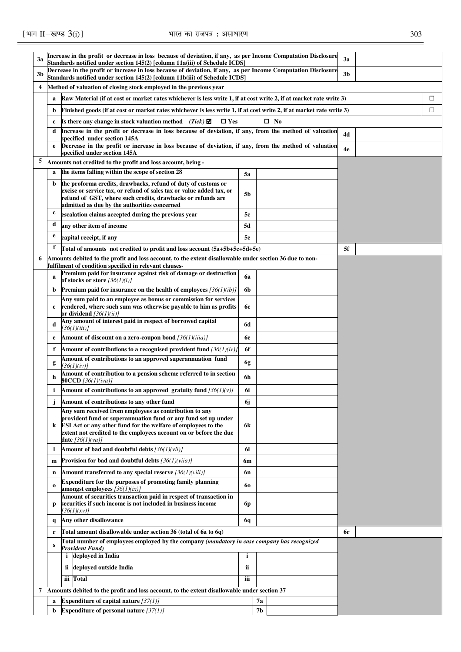# [भाग II-खण्ड  $3(i)$ ] सारत का राजपत्र: असाधारण

| I<br>×<br>v | ۰.<br>۰. | I<br>×<br>v |
|-------------|----------|-------------|

| 3a             |              | Increase in the profit or decrease in loss because of deviation, if any, as per Income Computation Disclosure                                                                               |           | 3a             |  |                |   |
|----------------|--------------|---------------------------------------------------------------------------------------------------------------------------------------------------------------------------------------------|-----------|----------------|--|----------------|---|
|                |              | Standards notified under section 145(2) [column 11a(iii) of Schedule ICDS]<br>Decrease in the profit or increase in loss because of deviation, if any, as per Income Computation Disclosure |           |                |  |                |   |
| 3b             |              | Standards notified under section 145(2) [column 11b(iii) of Schedule ICDS]                                                                                                                  |           |                |  | 3 <sub>b</sub> |   |
| $\overline{4}$ |              | Method of valuation of closing stock employed in the previous year                                                                                                                          |           |                |  |                |   |
|                | a            | Raw Material (if at cost or market rates whichever is less write 1, if at cost write 2, if at market rate write 3)                                                                          |           |                |  |                | □ |
|                | b            | Finished goods (if at cost or market rates whichever is less write 1, if at cost write 2, if at market rate write 3)                                                                        |           | □              |  |                |   |
|                | c            | Is there any change in stock valuation method $(Tick) \boxtimes$<br>$\Box$ Yes                                                                                                              |           |                |  |                |   |
|                | d            | Increase in the profit or decrease in loss because of deviation, if any, from the method of valuation                                                                                       | 4d        |                |  |                |   |
|                | e            | specified under section 145A<br>Decrease in the profit or increase in loss because of deviation, if any, from the method of valuation                                                       |           |                |  |                |   |
| 5              |              | specified under section 145A                                                                                                                                                                |           |                |  | 4e             |   |
|                |              | Amounts not credited to the profit and loss account, being -<br>the items falling within the scope of section 28                                                                            |           |                |  |                |   |
|                | a            |                                                                                                                                                                                             | 5a        |                |  |                |   |
|                | b            | the proforma credits, drawbacks, refund of duty of customs or<br>excise or service tax, or refund of sales tax or value added tax, or                                                       | 5b        |                |  |                |   |
|                |              | refund of GST, where such credits, drawbacks or refunds are<br>admitted as due by the authorities concerned                                                                                 |           |                |  |                |   |
|                | c            | escalation claims accepted during the previous year                                                                                                                                         | 5c        |                |  |                |   |
|                | d            | any other item of income                                                                                                                                                                    | 5d        |                |  |                |   |
|                | e            | capital receipt, if any                                                                                                                                                                     | <b>5e</b> |                |  |                |   |
|                | f            | Total of amounts not credited to profit and loss account (5a+5b+5c+5d+5e)                                                                                                                   |           |                |  | 5f             |   |
| 6              |              | Amounts debited to the profit and loss account, to the extent disallowable under section 36 due to non-                                                                                     |           |                |  |                |   |
|                |              | fulfilment of condition specified in relevant clauses-                                                                                                                                      |           |                |  |                |   |
|                | a            | Premium paid for insurance against risk of damage or destruction<br>of stocks or store $[36(1)(i)]$                                                                                         | 6a        |                |  |                |   |
|                | b            | Premium paid for insurance on the health of employees $[36(1)(ib)]$                                                                                                                         | 6b        |                |  |                |   |
|                |              | Any sum paid to an employee as bonus or commission for services                                                                                                                             |           |                |  |                |   |
|                | c            | rendered, where such sum was otherwise payable to him as profits<br>or dividend $[36(1)(ii)]$                                                                                               | 6с        |                |  |                |   |
|                | d            | Any amount of interest paid in respect of borrowed capital                                                                                                                                  | 6d        |                |  |                |   |
|                | e            | [36(1)(iii)]<br>Amount of discount on a zero-coupon bond $[36(1)(iiia)]$                                                                                                                    | 6e        |                |  |                |   |
|                | f            | Amount of contributions to a recognised provident fund $[36(1)(iv)]$                                                                                                                        | 6f        |                |  |                |   |
|                |              | Amount of contributions to an approved superannuation fund                                                                                                                                  |           |                |  |                |   |
|                | g            | 136(1)(iv)1                                                                                                                                                                                 | 6g        |                |  |                |   |
|                | h            | Amount of contribution to a pension scheme referred to in section<br><b>80CCD</b> [36(1)(iva)]                                                                                              | 6h        |                |  |                |   |
|                | i.           | Amount of contributions to an approved gratuity fund $[36(1)(v)]$                                                                                                                           | 6i        |                |  |                |   |
|                | Ĵ            | Amount of contributions to any other fund                                                                                                                                                   | 6j        |                |  |                |   |
|                |              | Any sum received from employees as contribution to any                                                                                                                                      |           |                |  |                |   |
|                | k            | provident fund or superannuation fund or any fund set up under<br>ESI Act or any other fund for the welfare of employees to the                                                             | 6k        |                |  |                |   |
|                |              | extent not credited to the employees account on or before the due                                                                                                                           |           |                |  |                |   |
|                | 1            | <b>date</b> $[36(1)(va)]$<br>Amount of bad and doubtful debts $[36(1)(vii)]$                                                                                                                | 61        |                |  |                |   |
|                | $\mathbf{m}$ | <b>Provision for bad and doubtful debts</b> $[36(1)(via)]$                                                                                                                                  | 6m        |                |  |                |   |
|                | n            | Amount transferred to any special reserve $[36(1)(viii)]$                                                                                                                                   | 6n        |                |  |                |   |
|                |              | Expenditure for the purposes of promoting family planning                                                                                                                                   |           |                |  |                |   |
|                | $\bf{0}$     | amongst employees $[36(1)(ix)]$                                                                                                                                                             | 60        |                |  |                |   |
|                | p            | Amount of securities transaction paid in respect of transaction in<br>securities if such income is not included in business income                                                          | 6p        |                |  |                |   |
|                |              | [36(1)(xy)]                                                                                                                                                                                 |           |                |  |                |   |
|                | q            | Any other disallowance                                                                                                                                                                      | 6q        |                |  |                |   |
|                | r            | Total amount disallowable under section 36 (total of 6a to 6q)                                                                                                                              | 6r        |                |  |                |   |
|                | S            | Total number of employees employed by the company (mandatory in case company has recognized<br><b>Provident Fund)</b>                                                                       |           |                |  |                |   |
|                |              | <i>i</i> deployed in India                                                                                                                                                                  |           |                |  |                |   |
|                |              | ii deployed outside India                                                                                                                                                                   | ii.       |                |  |                |   |
|                |              | iii Total                                                                                                                                                                                   | iii       |                |  |                |   |
|                |              | 7 Amounts debited to the profit and loss account, to the extent disallowable under section 37                                                                                               |           |                |  |                |   |
|                | a            | Expenditure of capital nature $[37(1)]$                                                                                                                                                     |           | 7a             |  |                |   |
|                | b            | Expenditure of personal nature $[37(1)]$                                                                                                                                                    |           | 7 <sub>b</sub> |  |                |   |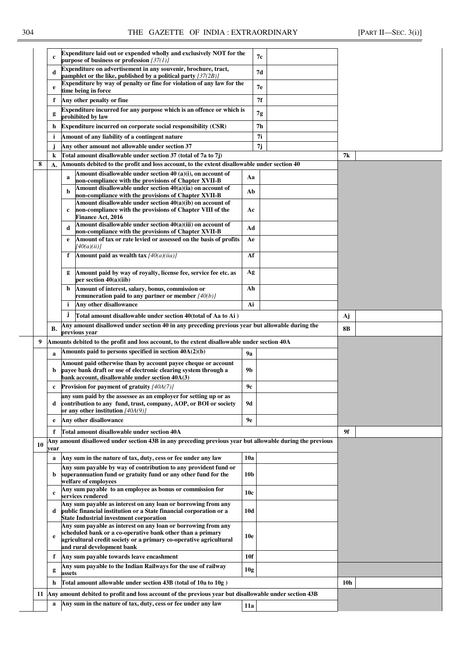|    | $\mathbf c$  | Expenditure laid out or expended wholly and exclusively NOT for the<br>purpose of business or profession $[37(1)]$                                                                  |                 | 7с |     |  |
|----|--------------|-------------------------------------------------------------------------------------------------------------------------------------------------------------------------------------|-----------------|----|-----|--|
|    | d            | Expenditure on advertisement in any souvenir, brochure, tract,                                                                                                                      | 7d              |    |     |  |
|    |              | pamphlet or the like, published by a political party $(37(2B))$<br>Expenditure by way of penalty or fine for violation of any law for the                                           |                 |    |     |  |
|    | e            | time being in force                                                                                                                                                                 |                 | 7е |     |  |
|    | f            | Any other penalty or fine                                                                                                                                                           | 7f              |    |     |  |
|    | g            | Expenditure incurred for any purpose which is an offence or which is<br>prohibited by law                                                                                           | 7g              |    |     |  |
|    | h            | Expenditure incurred on corporate social responsibility (CSR)                                                                                                                       | 7h              |    |     |  |
|    | i            | Amount of any liability of a contingent nature                                                                                                                                      | 7i              |    |     |  |
|    | j            | Any other amount not allowable under section 37                                                                                                                                     | 7j              |    |     |  |
|    | $\bf k$      | Total amount disallowable under section 37 (total of 7a to 7j)                                                                                                                      |                 |    | 7k  |  |
| 8  | A.           | Amounts debited to the profit and loss account, to the extent disallowable under section 40                                                                                         |                 |    |     |  |
|    |              | Amount disallowable under section 40 (a)(i), on account of<br>a<br>non-compliance with the provisions of Chapter XVII-B                                                             | Aa              |    |     |  |
|    |              | Amount disallowable under section 40(a)(ia) on account of                                                                                                                           | Ab              |    |     |  |
|    |              | non-compliance with the provisions of Chapter XVII-B<br>Amount disallowable under section 40(a)(ib) on account of                                                                   |                 |    |     |  |
|    |              | non-compliance with the provisions of Chapter VIII of the<br>c<br><b>Finance Act, 2016</b>                                                                                          | Ac              |    |     |  |
|    |              | Amount disallowable under section 40(a)(iii) on account of<br>d                                                                                                                     | Ad              |    |     |  |
|    |              | non-compliance with the provisions of Chapter XVII-B<br>Amount of tax or rate levied or assessed on the basis of profits<br>e                                                       | Ae              |    |     |  |
|    |              | [40(a)(ii)]                                                                                                                                                                         |                 |    |     |  |
|    |              | Amount paid as wealth tax $[40(a)(iia)]$<br>f                                                                                                                                       | Af              |    |     |  |
|    |              | Amount paid by way of royalty, license fee, service fee etc. as<br>per section $40(a)(iib)$                                                                                         | Ag              |    |     |  |
|    |              | h<br>Amount of interest, salary, bonus, commission or<br>remuneration paid to any partner or member $[40(b)]$                                                                       | Ah              |    |     |  |
|    |              | Any other disallowance<br>i                                                                                                                                                         | Ai              |    |     |  |
|    |              | Ĵ<br>Total amount disallowable under section 40(total of Aa to Ai)                                                                                                                  |                 | Aj |     |  |
|    | В.           | Any amount disallowed under section 40 in any preceding previous year but allowable during the<br>previous year                                                                     |                 |    | 8B  |  |
|    |              |                                                                                                                                                                                     |                 |    |     |  |
|    |              |                                                                                                                                                                                     |                 |    |     |  |
| 9  |              | Amounts debited to the profit and loss account, to the extent disallowable under section 40A                                                                                        |                 |    |     |  |
|    | a            | Amounts paid to persons specified in section 40A(2)(b)                                                                                                                              | <b>9a</b>       |    |     |  |
|    | b            | Amount paid otherwise than by account payee cheque or account<br>payee bank draft or use of electronic clearing system through a<br>bank account, disallowable under section 40A(3) | 9 <sub>b</sub>  |    |     |  |
|    | $\mathbf c$  | Provision for payment of gratuity $[40A(7)]$                                                                                                                                        | 9с              |    |     |  |
|    | d            | any sum paid by the assessee as an employer for setting up or as<br>contribution to any fund, trust, company, AOP, or BOI or society<br>or any other institution $[40A(9)]$         | <b>9d</b>       |    |     |  |
|    | e            | Any other disallowance                                                                                                                                                              | 9e              |    |     |  |
|    | f            | Total amount disallowable under section 40A                                                                                                                                         |                 |    | 9f  |  |
|    |              | Any amount disallowed under section 43B in any preceding previous year but allowable during the previous                                                                            |                 |    |     |  |
| 10 | vear         |                                                                                                                                                                                     |                 |    |     |  |
|    | a            | Any sum in the nature of tax, duty, cess or fee under any law                                                                                                                       | 10a             |    |     |  |
|    | b.           | Any sum payable by way of contribution to any provident fund or<br>superannuation fund or gratuity fund or any other fund for the                                                   | 10 <sub>b</sub> |    |     |  |
|    | $\mathbf{c}$ | welfare of employees<br>Any sum payable to an employee as bonus or commission for<br>services rendered                                                                              | 10c             |    |     |  |
|    | d            | Any sum payable as interest on any loan or borrowing from any<br>public financial institution or a State financial corporation or a                                                 | 10d             |    |     |  |
|    |              | <b>State Industrial investment corporation</b><br>Any sum payable as interest on any loan or borrowing from any                                                                     |                 |    |     |  |
|    | e            | scheduled bank or a co-operative bank other than a primary<br>agricultural credit society or a primary co-operative agricultural<br>and rural development bank                      | <b>10e</b>      |    |     |  |
|    | f            | Any sum payable towards leave encashment                                                                                                                                            | 10f             |    |     |  |
|    |              | Any sum payable to the Indian Railways for the use of railway                                                                                                                       |                 |    |     |  |
|    | g            | assets                                                                                                                                                                              | 10g             |    |     |  |
|    | h            | Total amount allowable under section 43B (total of 10a to 10g)                                                                                                                      |                 |    | 10h |  |
|    | a            | 11 Any amount debited to profit and loss account of the previous year but disallowable under section 43B<br>Any sum in the nature of tax, duty, cess or fee under any law           | 11a             |    |     |  |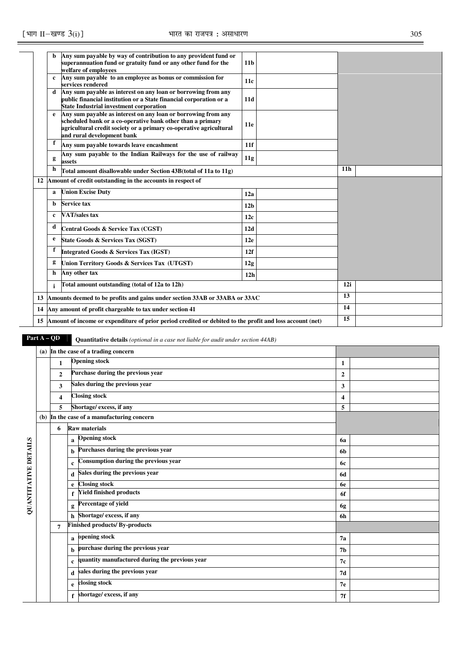|   | Any sum payable by way of contribution to any provident fund or<br>superannuation fund or gratuity fund or any other fund for the | 11 <sub>b</sub>                                                                                                                                                                                                                                                                                                                                                                                                                                                                                                                                                                                                                                                                                                                                                                                                                                                                                                                                                                      |                                                                               |                                                                                                             |  |
|---|-----------------------------------------------------------------------------------------------------------------------------------|--------------------------------------------------------------------------------------------------------------------------------------------------------------------------------------------------------------------------------------------------------------------------------------------------------------------------------------------------------------------------------------------------------------------------------------------------------------------------------------------------------------------------------------------------------------------------------------------------------------------------------------------------------------------------------------------------------------------------------------------------------------------------------------------------------------------------------------------------------------------------------------------------------------------------------------------------------------------------------------|-------------------------------------------------------------------------------|-------------------------------------------------------------------------------------------------------------|--|
| c | services rendered                                                                                                                 | 11c                                                                                                                                                                                                                                                                                                                                                                                                                                                                                                                                                                                                                                                                                                                                                                                                                                                                                                                                                                                  |                                                                               |                                                                                                             |  |
| d | public financial institution or a State financial corporation or a<br><b>State Industrial investment corporation</b>              | 11d                                                                                                                                                                                                                                                                                                                                                                                                                                                                                                                                                                                                                                                                                                                                                                                                                                                                                                                                                                                  |                                                                               |                                                                                                             |  |
| e |                                                                                                                                   | 11e                                                                                                                                                                                                                                                                                                                                                                                                                                                                                                                                                                                                                                                                                                                                                                                                                                                                                                                                                                                  |                                                                               |                                                                                                             |  |
| f |                                                                                                                                   | 11f                                                                                                                                                                                                                                                                                                                                                                                                                                                                                                                                                                                                                                                                                                                                                                                                                                                                                                                                                                                  |                                                                               |                                                                                                             |  |
| g | Any sum payable to the Indian Railways for the use of railway                                                                     | 11g                                                                                                                                                                                                                                                                                                                                                                                                                                                                                                                                                                                                                                                                                                                                                                                                                                                                                                                                                                                  |                                                                               |                                                                                                             |  |
| h |                                                                                                                                   |                                                                                                                                                                                                                                                                                                                                                                                                                                                                                                                                                                                                                                                                                                                                                                                                                                                                                                                                                                                      |                                                                               | 11 <sub>h</sub>                                                                                             |  |
|   |                                                                                                                                   |                                                                                                                                                                                                                                                                                                                                                                                                                                                                                                                                                                                                                                                                                                                                                                                                                                                                                                                                                                                      |                                                                               |                                                                                                             |  |
| a |                                                                                                                                   | 12a                                                                                                                                                                                                                                                                                                                                                                                                                                                                                                                                                                                                                                                                                                                                                                                                                                                                                                                                                                                  |                                                                               |                                                                                                             |  |
| b |                                                                                                                                   | 12 <sub>b</sub>                                                                                                                                                                                                                                                                                                                                                                                                                                                                                                                                                                                                                                                                                                                                                                                                                                                                                                                                                                      |                                                                               |                                                                                                             |  |
| c |                                                                                                                                   | 12c                                                                                                                                                                                                                                                                                                                                                                                                                                                                                                                                                                                                                                                                                                                                                                                                                                                                                                                                                                                  |                                                                               |                                                                                                             |  |
| d |                                                                                                                                   | 12d                                                                                                                                                                                                                                                                                                                                                                                                                                                                                                                                                                                                                                                                                                                                                                                                                                                                                                                                                                                  |                                                                               |                                                                                                             |  |
| e |                                                                                                                                   | 12e                                                                                                                                                                                                                                                                                                                                                                                                                                                                                                                                                                                                                                                                                                                                                                                                                                                                                                                                                                                  |                                                                               |                                                                                                             |  |
| f |                                                                                                                                   | 12f                                                                                                                                                                                                                                                                                                                                                                                                                                                                                                                                                                                                                                                                                                                                                                                                                                                                                                                                                                                  |                                                                               |                                                                                                             |  |
|   |                                                                                                                                   | 12g                                                                                                                                                                                                                                                                                                                                                                                                                                                                                                                                                                                                                                                                                                                                                                                                                                                                                                                                                                                  |                                                                               |                                                                                                             |  |
| h |                                                                                                                                   | 12 <sub>h</sub>                                                                                                                                                                                                                                                                                                                                                                                                                                                                                                                                                                                                                                                                                                                                                                                                                                                                                                                                                                      |                                                                               |                                                                                                             |  |
|   |                                                                                                                                   |                                                                                                                                                                                                                                                                                                                                                                                                                                                                                                                                                                                                                                                                                                                                                                                                                                                                                                                                                                                      |                                                                               | 12i                                                                                                         |  |
|   |                                                                                                                                   |                                                                                                                                                                                                                                                                                                                                                                                                                                                                                                                                                                                                                                                                                                                                                                                                                                                                                                                                                                                      | 13                                                                            |                                                                                                             |  |
|   |                                                                                                                                   |                                                                                                                                                                                                                                                                                                                                                                                                                                                                                                                                                                                                                                                                                                                                                                                                                                                                                                                                                                                      | 14                                                                            |                                                                                                             |  |
|   |                                                                                                                                   |                                                                                                                                                                                                                                                                                                                                                                                                                                                                                                                                                                                                                                                                                                                                                                                                                                                                                                                                                                                      |                                                                               | 15                                                                                                          |  |
|   |                                                                                                                                   | welfare of employees<br>Any sum payable to an employee as bonus or commission for<br>Any sum payable as interest on any loan or borrowing from any<br>Any sum payable as interest on any loan or borrowing from any<br>scheduled bank or a co-operative bank other than a primary<br>agricultural credit society or a primary co-operative agricultural<br>and rural development bank<br>Any sum payable towards leave encashment<br>assets<br>Total amount disallowable under Section 43B (total of 11a to 11g)<br>Amount of credit outstanding in the accounts in respect of<br><b>Union Excise Duty</b><br><b>Service tax</b><br><b>VAT/sales tax</b><br>Central Goods & Service Tax (CGST)<br><b>State Goods &amp; Services Tax (SGST)</b><br><b>Integrated Goods &amp; Services Tax (IGST)</b><br>Union Territory Goods & Services Tax (UTGST)<br>Any other tax<br>Total amount outstanding (total of 12a to 12h)<br>14 Any amount of profit chargeable to tax under section 41 | 13 Amounts deemed to be profits and gains under section 33AB or 33ABA or 33AC | 15 Amount of income or expenditure of prior period credited or debited to the profit and loss account (net) |  |

**Part A – QD** Quantitative details *(optional in a case not liable for audit under section 44AB)* 

|                     |                | (a) In the case of a trading concern                          |                |  |  |  |
|---------------------|----------------|---------------------------------------------------------------|----------------|--|--|--|
|                     | $\mathbf{1}$   | <b>Opening stock</b>                                          | 1              |  |  |  |
|                     | $\overline{2}$ | Purchase during the previous year                             | $\overline{2}$ |  |  |  |
|                     | 3              | Sales during the previous year                                | 3              |  |  |  |
|                     | 4              | <b>Closing stock</b>                                          | 4              |  |  |  |
|                     | 5              | Shortage/ excess, if any                                      | 5              |  |  |  |
|                     |                | (b) In the case of a manufacturing concern                    |                |  |  |  |
|                     | 6              | <b>Raw materials</b>                                          |                |  |  |  |
| Š                   |                | <b>Opening stock</b><br>$\mathbf a$                           | 6a             |  |  |  |
| DETAIL              |                | Purchases during the previous year<br>b                       | 6b             |  |  |  |
|                     |                | Consumption during the previous year<br>$\mathbf c$           | 6с             |  |  |  |
|                     |                | Sales during the previous year<br>d                           | 6d             |  |  |  |
|                     |                | <b>Closing stock</b><br>e                                     | 6e             |  |  |  |
|                     |                | <b>Yield finished products</b>                                | 6f             |  |  |  |
| <b>QUANTITATIVE</b> |                | Percentage of yield<br>g                                      | 6g             |  |  |  |
|                     |                | Shortage/ excess, if any<br>h                                 | 6h             |  |  |  |
|                     |                | <b>Finished products/By-products</b>                          |                |  |  |  |
|                     |                | opening stock<br>a                                            | 7a             |  |  |  |
|                     |                | purchase during the previous year<br>b                        | 7b             |  |  |  |
|                     |                | quantity manufactured during the previous year<br>$\mathbf c$ | 7с             |  |  |  |
|                     |                | sales during the previous year<br>d                           | 7d             |  |  |  |
|                     |                | closing stock<br>e                                            | 7е             |  |  |  |
|                     |                | shortage/excess, if any<br>f                                  | 7f             |  |  |  |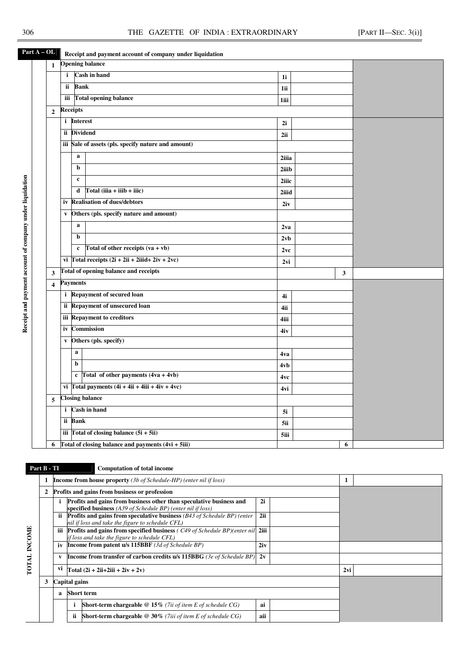**Receipt and payment account of company under liquidation** 

Receipt and payment account of company under liquidation

Part A – OL Receipt and payment account of company under liquidation

| $\mathbf{1}$            |              | <b>Opening balance</b>                               |                 |  |              |  |
|-------------------------|--------------|------------------------------------------------------|-----------------|--|--------------|--|
|                         | i            | Cash in hand                                         | 1i              |  |              |  |
|                         | ii.          | <b>Bank</b>                                          | 1ii             |  |              |  |
|                         |              | iii Total opening balance                            | 1iii            |  |              |  |
| $\overline{2}$          |              | <b>Receipts</b>                                      |                 |  |              |  |
|                         |              | i Interest                                           | 2i              |  |              |  |
|                         |              | ii Dividend                                          | 2ii             |  |              |  |
|                         |              | iii Sale of assets (pls. specify nature and amount)  |                 |  |              |  |
|                         |              | $\mathbf a$                                          | 2iiia           |  |              |  |
|                         |              | b                                                    | 2iiib           |  |              |  |
|                         |              | $\mathbf c$                                          | 2iiic           |  |              |  |
|                         |              | $Total (iiia + iiib + iiic)$<br>d                    | 2iiid           |  |              |  |
|                         |              | iv Realisation of dues/debtors                       | 2iv             |  |              |  |
|                         | $\mathbf{v}$ | Others (pls. specify nature and amount)              |                 |  |              |  |
|                         |              | a                                                    | 2 <sub>va</sub> |  |              |  |
|                         |              | b                                                    | 2vb             |  |              |  |
|                         |              | Total of other receipts $(va + vb)$<br>$\mathbf{c}$  | 2vc             |  |              |  |
|                         |              | vi Total receipts $(2i + 2ii + 2iiid + 2iv + 2vc)$   | 2vi             |  |              |  |
| $\mathbf{3}$            |              | Total of opening balance and receipts                |                 |  | $\mathbf{3}$ |  |
| $\overline{\mathbf{4}}$ |              | <b>Payments</b>                                      |                 |  |              |  |
|                         |              | i Repayment of secured loan                          | 4i              |  |              |  |
|                         |              | ii Repayment of unsecured loan                       | 4ii             |  |              |  |
|                         |              | iii Repayment to creditors                           | 4iii            |  |              |  |
|                         |              | iv Commission                                        | 4iv             |  |              |  |
|                         |              | v Others (pls. specify)                              |                 |  |              |  |
|                         |              | $\mathbf{a}$                                         | 4va             |  |              |  |
|                         |              | $\mathbf b$                                          | 4vb             |  |              |  |
|                         |              | c Total of other payments $(4va + 4vb)$              | 4vc             |  |              |  |
|                         |              | vi Total payments $(4i + 4ii + 4iii + 4iv + 4vc)$    | 4vi             |  |              |  |
| 5                       |              | <b>Closing balance</b>                               |                 |  |              |  |
|                         |              | i Cash in hand                                       | 5i              |  |              |  |
|                         |              | ii Bank                                              | 5ii             |  |              |  |
|                         |              | iii Total of closing balance $(5i + 5ii)$            |                 |  |              |  |
| 6                       |              | Total of closing balance and payments $(4vi + 5iii)$ | 6               |  |              |  |

**TOTAL INCOME** 

TOTAL INCOME

# **Part B - TI** Computation of total income

|   |               |     | <b>Income from house property</b> (3b of Schedule-HP) (enter nil if loss)                                                              |     |     |  |
|---|---------------|-----|----------------------------------------------------------------------------------------------------------------------------------------|-----|-----|--|
| 2 |               |     | Profits and gains from business or profession                                                                                          |     |     |  |
|   |               |     | Profits and gains from business other than speculative business and<br>specified business (A39 of Schedule BP) (enter nil if loss)     | 2i  |     |  |
|   | ii.           |     | <b>Profits and gains from speculative business</b> $(B43 of Schedule BP)$ (enter<br>nil if loss and take the figure to schedule CFL)   | 2ii |     |  |
|   | iii           |     | <b>Profits and gains from specified business (C49 of Schedule BP) (enter nil 2iii)</b><br>if loss and take the figure to schedule CFL) |     |     |  |
|   | iv            |     | <b>Income from patent u/s 115BBF</b> (3d of Schedule BP)                                                                               | 2iv |     |  |
|   | V             |     | <b>Income from transfer of carbon credits u/s 115BBG</b> (3e of Schedule BP)                                                           | 2v  |     |  |
|   | vi            |     | Total $(2i + 2ii + 2iii + 2iv + 2v)$                                                                                                   |     | 2vi |  |
| 3 | Capital gains |     |                                                                                                                                        |     |     |  |
|   | a             |     | <b>Short term</b>                                                                                                                      |     |     |  |
|   |               |     | <b>Short-term chargeable</b> @ 15% (7ii of item E of schedule CG)                                                                      | ai  |     |  |
|   |               | ii. | <b>Short-term chargeable</b> $@30\%$ (7iii of item E of schedule CG)                                                                   | aii |     |  |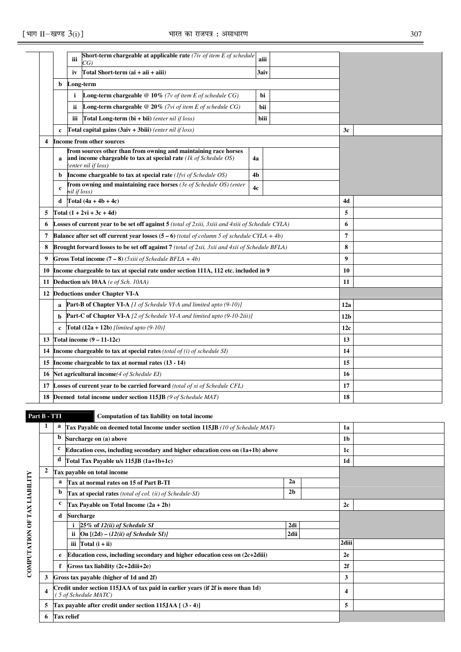|    |              | iii          | Short-term chargeable at applicable rate $(7iv)$ of item E of schedule<br>CG)                                                                                | aiii |  |                  |  |
|----|--------------|--------------|--------------------------------------------------------------------------------------------------------------------------------------------------------------|------|--|------------------|--|
|    |              | iv           | Total Short-term (ai + aii + aiii)                                                                                                                           | 3aiv |  |                  |  |
|    | b            |              | Long-term                                                                                                                                                    |      |  |                  |  |
|    |              | i            | <b>Long-term chargeable</b> $@10\%$ (7v of item E of schedule CG)                                                                                            | bi   |  |                  |  |
|    |              | ii           | <b>Long-term chargeable</b> $@$ 20% ( <i>7vi of item E of schedule CG</i> )                                                                                  | bii  |  |                  |  |
|    |              | iii          | <b>Total Long-term (bi + bii)</b> (enter nil if loss)                                                                                                        | biii |  |                  |  |
|    | $\mathbf c$  |              | Total capital gains (3aiv + 3biii) (enter nil if loss)                                                                                                       |      |  | 3c               |  |
| 4  |              |              | <b>Income from other sources</b>                                                                                                                             |      |  |                  |  |
|    | a            |              | from sources other than from owning and maintaining race horses<br>and income chargeable to tax at special rate $(lk of Schedule OS)$<br>(enter nil if loss) | 4a   |  |                  |  |
|    | b            |              | Income chargeable to tax at special rate (Ifvi of Schedule OS)                                                                                               | 4b   |  |                  |  |
|    | c            | nil if loss) | from owning and maintaining race horses (3e of Schedule OS) (enter                                                                                           | 4c   |  |                  |  |
|    | d            |              | Total $(4a + 4b + 4c)$                                                                                                                                       |      |  | 4d               |  |
| 5  |              |              | Total $(1 + 2vi + 3c + 4d)$                                                                                                                                  |      |  | 5                |  |
| 6  |              |              | <b>Losses of current year to be set off against 5</b> (total of 2xiii, 3xiii and 4xiii of Schedule CYLA)                                                     |      |  | 6                |  |
| 7  |              |              | <b>Balance after set off current year losses (5 – 6)</b> (total of column 5 of schedule CYLA + 4b)                                                           |      |  | 7                |  |
| 8  |              |              | <b>Brought forward losses to be set off against 7</b> (total of 2xii, 3xii and 4xii of Schedule BFLA)                                                        |      |  | 8                |  |
| 9  |              |              | Gross Total income $(7-8)$ ( <i>Sxiii of Schedule BFLA + 4b</i> )                                                                                            |      |  | $\boldsymbol{9}$ |  |
| 10 |              |              | Income chargeable to tax at special rate under section 111A, 112 etc. included in 9                                                                          |      |  | 10               |  |
| 11 |              |              | <b>Deduction u/s 10AA</b> (e of Sch. 10AA)                                                                                                                   |      |  | 11               |  |
| 12 |              |              | <b>Deductions under Chapter VI-A</b>                                                                                                                         |      |  |                  |  |
|    | a            |              | <b>Part-B of Chapter VI-A</b> [1 of Schedule VI-A and limited upto $(9-10)$ ]                                                                                |      |  | 12a              |  |
|    | b            |              | <b>Part-C of Chapter VI-A</b> [2 of Schedule VI-A and limited upto (9-10-2iii)]                                                                              |      |  | 12 <sub>b</sub>  |  |
|    | $\mathbf{c}$ |              | <b>Total</b> $(12a + 12b)$ [limited upto $(9-10)$ ]                                                                                                          |      |  | 12c              |  |
| 13 |              |              | Total income $(9 - 11 - 12c)$                                                                                                                                |      |  | 13               |  |
| 14 |              |              | <b>Income chargeable to tax at special rates</b> (total of $(i)$ of schedule SI)                                                                             |      |  | 14               |  |
| 15 |              |              | Income chargeable to tax at normal rates $(13 - 14)$                                                                                                         |      |  | 15               |  |
| 16 |              |              | Net agricultural income(4 of Schedule EI)                                                                                                                    |      |  | 16               |  |
| 17 |              |              | Losses of current year to be carried forward (total of xi of Schedule CFL)                                                                                   |      |  | 17               |  |
| 18 |              |              | Deemed total income under section 115JB (9 of Schedule MAT)                                                                                                  | 18   |  |                  |  |

**COMPUTATION OF TAX LIABILITY** 

COMPUTATION OF TAX LIABILITY

# **Part B - TTI Computation of tax liability on total income**

| 1                       | a | Tax Payable on deemed total Income under section 115JB (10 of Schedule MAT)                             |      | 1a             |  |
|-------------------------|---|---------------------------------------------------------------------------------------------------------|------|----------------|--|
|                         | b | Surcharge on (a) above                                                                                  |      | 1 <sub>b</sub> |  |
|                         | c | Education cess, including secondary and higher education cess on (1a+1b) above                          |      | 1c             |  |
|                         | d | Total Tax Payable u/s 115JB (1a+1b+1c)                                                                  |      | 1 <sub>d</sub> |  |
| $\overline{2}$          |   | Tax payable on total income                                                                             |      |                |  |
|                         | a | Tax at normal rates on 15 of Part B-TI                                                                  |      |                |  |
|                         | b | Tax at special rates (total of col. (ii) of Schedule-SI)                                                |      |                |  |
|                         | c | Tax Payable on Total Income $(2a + 2b)$                                                                 | 2c   |                |  |
|                         | d | <b>Surcharge</b>                                                                                        |      |                |  |
|                         |   | $25\%$ of $12(ii)$ of Schedule SI                                                                       | 2di  |                |  |
|                         |   | ii.<br>On $[(2d) - (12(ii) of Schedule SI)]$                                                            | 2dii |                |  |
|                         |   | iii $\text{Total}(\mathbf{i} + \mathbf{ii})$                                                            |      | 2diii          |  |
|                         | e | Education cess, including secondary and higher education cess on $(2c+2diii)$                           |      | 2e             |  |
|                         |   | Gross tax liability (2c+2diii+2e)                                                                       |      | 2f             |  |
| 3                       |   | Gross tax payable (higher of 1d and 2f)                                                                 | 3    |                |  |
| $\overline{\mathbf{4}}$ |   | Credit under section 115JAA of tax paid in earlier years (if 2f is more than 1d)<br>5 of Schedule MATC) | 4    |                |  |
| 5                       |   | Tax payable after credit under section 115JAA $(3 - 4)$ ]                                               | 5    |                |  |
| 6                       |   | <b>Tax relief</b>                                                                                       |      |                |  |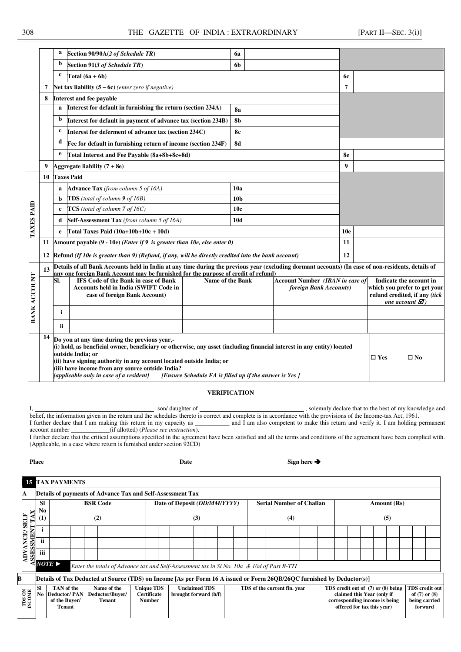|                   |    | a                                                                                                               | Section 90/90A(2 of Schedule TR)                                                                                                                                                                                                                                                                                                                                                                                               | 6a                      |                 |                                                                  |                  |  |                                                         |
|-------------------|----|-----------------------------------------------------------------------------------------------------------------|--------------------------------------------------------------------------------------------------------------------------------------------------------------------------------------------------------------------------------------------------------------------------------------------------------------------------------------------------------------------------------------------------------------------------------|-------------------------|-----------------|------------------------------------------------------------------|------------------|--|---------------------------------------------------------|
|                   |    | $\mathbf b$                                                                                                     | Section 91(3 of Schedule TR)                                                                                                                                                                                                                                                                                                                                                                                                   | 6b                      |                 |                                                                  |                  |  |                                                         |
|                   |    | c                                                                                                               | Total $(6a + 6b)$                                                                                                                                                                                                                                                                                                                                                                                                              |                         |                 |                                                                  | 6с               |  |                                                         |
|                   | 7  |                                                                                                                 | Net tax liability $(5 - 6c)$ (enter zero if negative)                                                                                                                                                                                                                                                                                                                                                                          |                         |                 |                                                                  | $\overline{7}$   |  |                                                         |
|                   | 8  |                                                                                                                 | Interest and fee payable                                                                                                                                                                                                                                                                                                                                                                                                       |                         |                 |                                                                  |                  |  |                                                         |
|                   |    |                                                                                                                 | Interest for default in furnishing the return (section 234A)                                                                                                                                                                                                                                                                                                                                                                   | <b>8a</b>               |                 |                                                                  |                  |  |                                                         |
|                   |    | $\mathbf b$                                                                                                     | Interest for default in payment of advance tax (section 234B)                                                                                                                                                                                                                                                                                                                                                                  |                         |                 |                                                                  |                  |  |                                                         |
|                   |    | c                                                                                                               | Interest for deferment of advance tax (section 234C)                                                                                                                                                                                                                                                                                                                                                                           |                         |                 |                                                                  |                  |  |                                                         |
|                   |    | d                                                                                                               | Fee for default in furnishing return of income (section 234F)                                                                                                                                                                                                                                                                                                                                                                  | <b>8d</b>               |                 |                                                                  |                  |  |                                                         |
|                   |    | e                                                                                                               | Total Interest and Fee Payable (8a+8b+8c+8d)                                                                                                                                                                                                                                                                                                                                                                                   |                         |                 |                                                                  | 8e               |  |                                                         |
|                   | 9  |                                                                                                                 | Aggregate liability $(7 + 8e)$                                                                                                                                                                                                                                                                                                                                                                                                 |                         |                 |                                                                  | $\boldsymbol{9}$ |  |                                                         |
|                   | 10 |                                                                                                                 | <b>Taxes Paid</b>                                                                                                                                                                                                                                                                                                                                                                                                              |                         |                 |                                                                  |                  |  |                                                         |
|                   |    | a                                                                                                               | <b>Advance Tax</b> (from column 5 of 16A)                                                                                                                                                                                                                                                                                                                                                                                      | 10a                     |                 |                                                                  |                  |  |                                                         |
| <b>TAXES PAID</b> |    | 10 <sub>b</sub><br><b>TDS</b> (total of column $9$ of 16B)<br>b<br>$TCS$ (total of column 7 of 16C)<br>10c<br>c |                                                                                                                                                                                                                                                                                                                                                                                                                                |                         |                 |                                                                  |                  |  |                                                         |
|                   |    |                                                                                                                 |                                                                                                                                                                                                                                                                                                                                                                                                                                |                         |                 |                                                                  |                  |  |                                                         |
|                   |    | d                                                                                                               | Self-Assessment Tax (from column 5 of 16A)                                                                                                                                                                                                                                                                                                                                                                                     | 10d                     |                 |                                                                  |                  |  |                                                         |
|                   |    |                                                                                                                 | Total Taxes Paid $(10a+10b+10c+10d)$                                                                                                                                                                                                                                                                                                                                                                                           |                         | 10 <sub>e</sub> |                                                                  |                  |  |                                                         |
|                   | 11 |                                                                                                                 | Amount payable $(9 - 10e)$ ( <i>Enter if</i> 9 is greater than 10e, else enter 0)                                                                                                                                                                                                                                                                                                                                              | 11                      |                 |                                                                  |                  |  |                                                         |
|                   | 12 |                                                                                                                 | [Refund (If 10e is greater than 9) (Refund, if any, will be directly credited into the bank account)                                                                                                                                                                                                                                                                                                                           |                         |                 |                                                                  | 12               |  |                                                         |
|                   | 13 |                                                                                                                 | Details of all Bank Accounts held in India at any time during the previous year (excluding dormant accounts) (In case of non-residents, details of                                                                                                                                                                                                                                                                             |                         |                 |                                                                  |                  |  |                                                         |
|                   |    |                                                                                                                 | any one foreign Bank Account may be furnished for the purpose of credit of refund)                                                                                                                                                                                                                                                                                                                                             |                         |                 |                                                                  |                  |  |                                                         |
|                   |    | SI.                                                                                                             | <b>IFS Code of the Bank in case of Bank</b><br><b>Accounts held in India (SWIFT Code in</b>                                                                                                                                                                                                                                                                                                                                    | <b>Name of the Bank</b> |                 | <b>Account Number (IBAN in case of</b><br>foreign Bank Accounts) |                  |  | Indicate the account in<br>which you prefer to get your |
|                   |    |                                                                                                                 | case of foreign Bank Account)                                                                                                                                                                                                                                                                                                                                                                                                  |                         |                 |                                                                  |                  |  | refund credited, if any (tick                           |
|                   |    |                                                                                                                 |                                                                                                                                                                                                                                                                                                                                                                                                                                |                         |                 |                                                                  |                  |  | one account $\mathbf{\mathcal{Z}}$ )                    |
| BANK ACCOUNT      |    | i                                                                                                               |                                                                                                                                                                                                                                                                                                                                                                                                                                |                         |                 |                                                                  |                  |  |                                                         |
|                   |    |                                                                                                                 |                                                                                                                                                                                                                                                                                                                                                                                                                                |                         |                 |                                                                  |                  |  |                                                         |
|                   |    | ii                                                                                                              |                                                                                                                                                                                                                                                                                                                                                                                                                                |                         |                 |                                                                  |                  |  |                                                         |
|                   | 14 |                                                                                                                 | Do you at any time during the previous year,-<br>(i) hold, as beneficial owner, beneficiary or otherwise, any asset (including financial interest in any entity) located<br>outside India; or<br>(ii) have signing authority in any account located outside India; or<br>(iii) have income from any source outside India?<br>[applicable only in case of a resident]<br>[Ensure Schedule FA is filled up if the answer is Yes] |                         | $\square$ Yes   | $\square$ No                                                     |                  |  |                                                         |

### **VERIFICATION**

I, solemnly declare that to the best of my knowledge and belief, the information given in the return and the schedules thereto is correct and complete is in accordance with the provisions of the Income-tax Act, 1961.<br>I further declare that I am making this return in my capacity I further declare that I am making this return in my capacity as \_\_\_\_\_\_\_\_\_\_\_\_\_ and I am also competent to make this return and verify it. I am holding permanent account number \_\_\_\_\_\_\_\_\_\_\_ (if allotted) (*Please see instruc* (if allotted) (*Please see instruction*).

I further declare that the critical assumptions specified in the agreement have been satisfied and all the terms and conditions of the agreement have been complied with. (Applicable, in a case where return is furnished under section 92CD)

| ۰.<br>.<br>× |
|--------------|
|--------------|

**Place Sign here**  $\rightarrow$ 

|                  |                                                                                                                    | <b>15 TAX PAYMENTS</b>                                          |                                                                                                                        |                                                                               |                              |  |  |  |  |                                 |                                                                                                                                 |  |                                                                 |  |             |     |  |  |  |  |  |
|------------------|--------------------------------------------------------------------------------------------------------------------|-----------------------------------------------------------------|------------------------------------------------------------------------------------------------------------------------|-------------------------------------------------------------------------------|------------------------------|--|--|--|--|---------------------------------|---------------------------------------------------------------------------------------------------------------------------------|--|-----------------------------------------------------------------|--|-------------|-----|--|--|--|--|--|
| А                |                                                                                                                    | Details of payments of Advance Tax and Self-Assessment Tax      |                                                                                                                        |                                                                               |                              |  |  |  |  |                                 |                                                                                                                                 |  |                                                                 |  |             |     |  |  |  |  |  |
|                  | <b>SI</b><br><b>BSR Code</b><br>No<br>(2)                                                                          |                                                                 |                                                                                                                        |                                                                               | Date of Deposit (DD/MM/YYYY) |  |  |  |  | <b>Serial Number of Challan</b> |                                                                                                                                 |  |                                                                 |  | Amount (Rs) |     |  |  |  |  |  |
| FITE             |                                                                                                                    |                                                                 |                                                                                                                        |                                                                               | (3)                          |  |  |  |  |                                 | (4)                                                                                                                             |  |                                                                 |  |             | (5) |  |  |  |  |  |
| 5                |                                                                                                                    |                                                                 |                                                                                                                        |                                                                               |                              |  |  |  |  |                                 |                                                                                                                                 |  |                                                                 |  |             |     |  |  |  |  |  |
| NCE<br>SSMET     | <b>ii</b>                                                                                                          |                                                                 |                                                                                                                        |                                                                               |                              |  |  |  |  |                                 |                                                                                                                                 |  |                                                                 |  |             |     |  |  |  |  |  |
| ě<br>SSE         | iii                                                                                                                |                                                                 |                                                                                                                        |                                                                               |                              |  |  |  |  |                                 |                                                                                                                                 |  |                                                                 |  |             |     |  |  |  |  |  |
|                  | $NOTE \triangleright$<br>Enter the totals of Advance tax and Self-Assessment tax in Sl No. 10a & 10d of Part B-TTI |                                                                 |                                                                                                                        |                                                                               |                              |  |  |  |  |                                 |                                                                                                                                 |  |                                                                 |  |             |     |  |  |  |  |  |
| B                |                                                                                                                    |                                                                 | Details of Tax Deducted at Source (TDS) on Income [As per Form 16 A issued or Form 260B/26OC furnished by Deductor(s)] |                                                                               |                              |  |  |  |  |                                 |                                                                                                                                 |  |                                                                 |  |             |     |  |  |  |  |  |
| TDS ON<br>INCOME | <b>SI</b>                                                                                                          | TAN of the<br>No Deductor/PAN<br>of the Buver/<br><b>Tenant</b> | <b>Unique TDS</b><br><b>Certificate</b><br><b>Number</b>                                                               | <b>Unclaimed TDS</b><br>TDS of the current fin. year<br>brought forward (b/f) |                              |  |  |  |  |                                 | TDS credit out of (7) or (8) being<br>claimed this Year (only if<br>corresponding income is being<br>offered for tax this year) |  | TDS credit out<br>of $(7)$ or $(8)$<br>being carried<br>forward |  |             |     |  |  |  |  |  |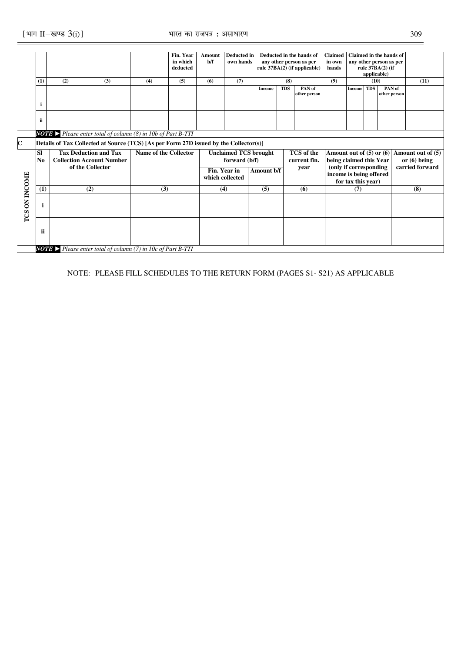|             |                |     |                                                                                       |                              | Fin. Year | Amount | <b>Deducted in</b>           |            |              | Deducted in the hands of                          | <b>Claimed</b>               |                    |                 | Claimed in the hands of |                   |
|-------------|----------------|-----|---------------------------------------------------------------------------------------|------------------------------|-----------|--------|------------------------------|------------|--------------|---------------------------------------------------|------------------------------|--------------------|-----------------|-------------------------|-------------------|
|             |                |     |                                                                                       |                              | in which  | b/f    | own hands                    |            |              | any other person as per                           | in own                       |                    |                 | any other person as per |                   |
|             |                |     |                                                                                       |                              | deducted  |        |                              |            |              | rule 37BA(2) (if applicable)                      | hands                        |                    |                 | rule 37BA(2) (if        |                   |
|             |                |     |                                                                                       |                              |           |        |                              |            |              |                                                   |                              |                    | applicable)     |                         |                   |
|             | (1)            | (2) | (3)                                                                                   | (4)                          | (5)       | (6)    | (7)                          |            | (8)          |                                                   | (9)                          |                    | (10)            |                         | (11)              |
|             |                |     |                                                                                       |                              |           |        |                              |            |              |                                                   |                              |                    |                 |                         |                   |
|             |                |     |                                                                                       |                              |           |        |                              | Income     | <b>TDS</b>   | PAN of                                            |                              | <b>Income</b>      | <b>TDS</b>      | PAN of                  |                   |
|             |                |     |                                                                                       |                              |           |        |                              |            |              | other person                                      |                              |                    |                 | other person            |                   |
|             |                |     |                                                                                       |                              |           |        |                              |            |              |                                                   |                              |                    |                 |                         |                   |
|             |                |     |                                                                                       |                              |           |        |                              |            |              |                                                   |                              |                    |                 |                         |                   |
|             |                |     |                                                                                       |                              |           |        |                              |            |              |                                                   |                              |                    |                 |                         |                   |
|             | ii             |     |                                                                                       |                              |           |        |                              |            |              |                                                   |                              |                    |                 |                         |                   |
|             |                |     |                                                                                       |                              |           |        |                              |            |              |                                                   |                              |                    |                 |                         |                   |
|             |                |     | <b>NOTE</b> Please enter total of column (8) in 10b of Part B-TTI                     |                              |           |        |                              |            |              |                                                   |                              |                    |                 |                         |                   |
|             |                |     |                                                                                       |                              |           |        |                              |            |              |                                                   |                              |                    |                 |                         |                   |
| $\mathbf C$ |                |     | Details of Tax Collected at Source (TCS) [As per Form 27D issued by the Collector(s)] |                              |           |        |                              |            |              |                                                   |                              |                    |                 |                         |                   |
|             | <b>SI</b>      |     | <b>Tax Deduction and Tax</b>                                                          | <b>Name of the Collector</b> |           |        | <b>Unclaimed TCS brought</b> |            |              | <b>TCS</b> of the                                 | Amount out of $(5)$ or $(6)$ |                    |                 |                         | Amount out of (5) |
|             | N <sub>0</sub> |     | <b>Collection Account Number</b>                                                      | forward (b/f)                |           |        |                              |            | current fin. |                                                   |                              |                    |                 | or $(6)$ being          |                   |
|             |                |     | of the Collector                                                                      |                              |           |        |                              |            |              | being claimed this Year<br>(only if corresponding |                              |                    | carried forward |                         |                   |
|             |                |     |                                                                                       |                              |           |        | Fin. Year in                 | Amount b/f |              | vear                                              |                              |                    |                 |                         |                   |
|             |                |     |                                                                                       |                              |           |        | which collected              |            |              |                                                   | income is being offered      |                    |                 |                         |                   |
|             |                |     |                                                                                       |                              |           |        |                              |            |              |                                                   |                              | for tax this year) |                 |                         |                   |
| ON INCOME   | (1)            |     | (2)                                                                                   | (3)                          |           |        | (4)                          | (5)        |              | (6)                                               |                              | (7)                |                 |                         | (8)               |
|             |                |     |                                                                                       |                              |           |        |                              |            |              |                                                   |                              |                    |                 |                         |                   |
|             |                |     |                                                                                       |                              |           |        |                              |            |              |                                                   |                              |                    |                 |                         |                   |
|             | $\mathbf i$    |     |                                                                                       |                              |           |        |                              |            |              |                                                   |                              |                    |                 |                         |                   |
| TCS         |                |     |                                                                                       |                              |           |        |                              |            |              |                                                   |                              |                    |                 |                         |                   |
|             |                |     |                                                                                       |                              |           |        |                              |            |              |                                                   |                              |                    |                 |                         |                   |
|             |                |     |                                                                                       |                              |           |        |                              |            |              |                                                   |                              |                    |                 |                         |                   |
|             | ii             |     |                                                                                       |                              |           |        |                              |            |              |                                                   |                              |                    |                 |                         |                   |
|             |                |     |                                                                                       |                              |           |        |                              |            |              |                                                   |                              |                    |                 |                         |                   |
|             |                |     |                                                                                       |                              |           |        |                              |            |              |                                                   |                              |                    |                 |                         |                   |
|             |                |     | <b>NOTE</b> > Please enter total of column (7) in 10c of Part B-TTI                   |                              |           |        |                              |            |              |                                                   |                              |                    |                 |                         |                   |

NOTE: PLEASE FILL SCHEDULES TO THE RETURN FORM (PAGES S1- S21) AS APPLICABLE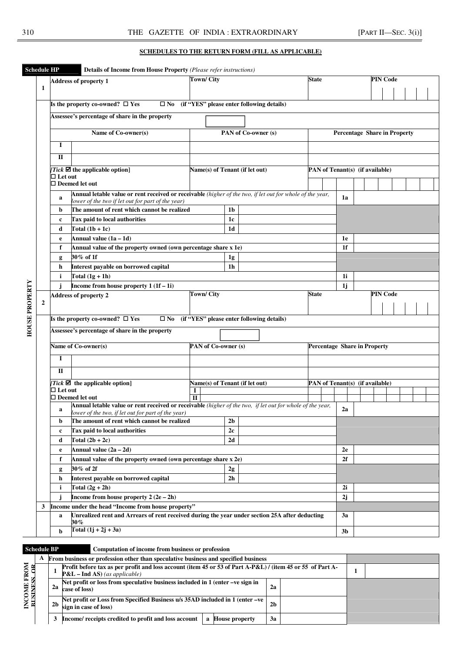## **SCHEDULES TO THE RETURN FORM (FILL AS APPLICABLE)**

| <b>Schedule HP</b>    |                                                                                                               |                     | Details of Income from House Property (Please refer instructions)                                         |                                                                   |                                                                                                           |  |                                           |                |  |                                     |  |  |                                     |  |  |  |
|-----------------------|---------------------------------------------------------------------------------------------------------------|---------------------|-----------------------------------------------------------------------------------------------------------|-------------------------------------------------------------------|-----------------------------------------------------------------------------------------------------------|--|-------------------------------------------|----------------|--|-------------------------------------|--|--|-------------------------------------|--|--|--|
|                       |                                                                                                               |                     | Address of property 1                                                                                     | <b>Town/City</b>                                                  |                                                                                                           |  |                                           | <b>State</b>   |  |                                     |  |  | <b>PIN Code</b>                     |  |  |  |
|                       | 1                                                                                                             |                     |                                                                                                           |                                                                   |                                                                                                           |  |                                           |                |  |                                     |  |  |                                     |  |  |  |
|                       |                                                                                                               |                     |                                                                                                           |                                                                   |                                                                                                           |  |                                           |                |  |                                     |  |  |                                     |  |  |  |
|                       |                                                                                                               |                     | Is the property co-owned? $\square$ Yes<br>$\square$ No                                                   |                                                                   |                                                                                                           |  | (if "YES" please enter following details) |                |  |                                     |  |  |                                     |  |  |  |
|                       |                                                                                                               |                     | Assessee's percentage of share in the property                                                            |                                                                   |                                                                                                           |  |                                           |                |  |                                     |  |  |                                     |  |  |  |
|                       |                                                                                                               |                     | Name of Co-owner(s)                                                                                       | PAN of Co-owner (s)                                               |                                                                                                           |  |                                           |                |  |                                     |  |  | <b>Percentage Share in Property</b> |  |  |  |
|                       |                                                                                                               | I                   |                                                                                                           |                                                                   |                                                                                                           |  |                                           |                |  |                                     |  |  |                                     |  |  |  |
|                       |                                                                                                               | $\Pi$               |                                                                                                           |                                                                   |                                                                                                           |  |                                           |                |  |                                     |  |  |                                     |  |  |  |
|                       |                                                                                                               |                     | Tick $\blacksquare$ the applicable option]                                                                | Name(s) of Tenant (if let out)<br>PAN of Tenant(s) (if available) |                                                                                                           |  |                                           |                |  |                                     |  |  |                                     |  |  |  |
|                       |                                                                                                               | $\Box$ Let out      | $\Box$ Deemed let out                                                                                     |                                                                   |                                                                                                           |  |                                           |                |  |                                     |  |  |                                     |  |  |  |
|                       |                                                                                                               |                     |                                                                                                           |                                                                   | Annual letable value or rent received or receivable (higher of the two, if let out for whole of the year, |  |                                           |                |  |                                     |  |  |                                     |  |  |  |
|                       |                                                                                                               | a                   | lower of the two if let out for part of the year)                                                         |                                                                   |                                                                                                           |  |                                           |                |  | 1a                                  |  |  |                                     |  |  |  |
|                       |                                                                                                               | b                   | The amount of rent which cannot be realized                                                               |                                                                   | 1 <sub>b</sub>                                                                                            |  |                                           |                |  |                                     |  |  |                                     |  |  |  |
|                       |                                                                                                               | c                   | Tax paid to local authorities                                                                             |                                                                   | 1c                                                                                                        |  |                                           |                |  |                                     |  |  |                                     |  |  |  |
|                       |                                                                                                               | d                   | Total $(1b + 1c)$<br>1 <sub>d</sub>                                                                       |                                                                   |                                                                                                           |  |                                           |                |  |                                     |  |  |                                     |  |  |  |
|                       |                                                                                                               | e                   | Annual value $(1a - 1d)$                                                                                  |                                                                   |                                                                                                           |  |                                           |                |  |                                     |  |  |                                     |  |  |  |
|                       |                                                                                                               | f                   | Annual value of the property owned (own percentage share x 1e)                                            |                                                                   |                                                                                                           |  |                                           |                |  | 1 <sup>f</sup>                      |  |  |                                     |  |  |  |
|                       |                                                                                                               | g                   | 30% of 1f                                                                                                 |                                                                   | 1g                                                                                                        |  |                                           |                |  |                                     |  |  |                                     |  |  |  |
|                       |                                                                                                               | h                   | Interest payable on borrowed capital                                                                      |                                                                   | 1 <sub>h</sub>                                                                                            |  |                                           |                |  |                                     |  |  |                                     |  |  |  |
|                       |                                                                                                               | i.                  | Total $(1g + 1h)$                                                                                         |                                                                   |                                                                                                           |  |                                           |                |  | 1i                                  |  |  |                                     |  |  |  |
|                       |                                                                                                               |                     | Income from house property $1(1f-1i)$                                                                     |                                                                   |                                                                                                           |  |                                           |                |  | 1j                                  |  |  |                                     |  |  |  |
|                       |                                                                                                               |                     | <b>Address of property 2</b>                                                                              | <b>Town/City</b>                                                  |                                                                                                           |  |                                           | <b>State</b>   |  |                                     |  |  | <b>PIN Code</b>                     |  |  |  |
|                       | $\overline{2}$                                                                                                |                     |                                                                                                           |                                                                   |                                                                                                           |  |                                           |                |  |                                     |  |  |                                     |  |  |  |
|                       |                                                                                                               |                     | Is the property co-owned? $\square$ Yes<br>$\square$ No                                                   |                                                                   |                                                                                                           |  | (if "YES" please enter following details) |                |  |                                     |  |  |                                     |  |  |  |
| <b>HOUSE PROPERTY</b> |                                                                                                               |                     | Assessee's percentage of share in the property                                                            |                                                                   |                                                                                                           |  |                                           |                |  |                                     |  |  |                                     |  |  |  |
|                       |                                                                                                               | Name of Co-owner(s) |                                                                                                           |                                                                   | PAN of Co-owner (s)                                                                                       |  |                                           |                |  | <b>Percentage Share in Property</b> |  |  |                                     |  |  |  |
|                       |                                                                                                               | I                   |                                                                                                           |                                                                   |                                                                                                           |  |                                           |                |  |                                     |  |  |                                     |  |  |  |
|                       |                                                                                                               | П                   |                                                                                                           |                                                                   |                                                                                                           |  |                                           |                |  |                                     |  |  |                                     |  |  |  |
|                       |                                                                                                               |                     | Tick $\blacksquare$ the applicable option]                                                                | Name(s) of Tenant (if let out)                                    |                                                                                                           |  |                                           |                |  |                                     |  |  | PAN of Tenant(s) (if available)     |  |  |  |
|                       |                                                                                                               | $\Box$ Let out      | $\Box$ Deemed let out                                                                                     |                                                                   |                                                                                                           |  |                                           |                |  |                                     |  |  |                                     |  |  |  |
|                       |                                                                                                               |                     | Annual letable value or rent received or receivable (higher of the two, if let out for whole of the year, |                                                                   |                                                                                                           |  |                                           |                |  |                                     |  |  |                                     |  |  |  |
|                       |                                                                                                               | a                   | lower of the two, if let out for part of the year)                                                        |                                                                   |                                                                                                           |  |                                           |                |  | 2a                                  |  |  |                                     |  |  |  |
|                       |                                                                                                               | b                   | The amount of rent which cannot be realized                                                               |                                                                   | 2 <sub>b</sub>                                                                                            |  |                                           |                |  |                                     |  |  |                                     |  |  |  |
|                       |                                                                                                               | c                   | Tax paid to local authorities                                                                             |                                                                   | 2c                                                                                                        |  |                                           |                |  |                                     |  |  |                                     |  |  |  |
|                       |                                                                                                               | d                   | Total $(2b + 2c)$                                                                                         |                                                                   | 2d                                                                                                        |  |                                           |                |  |                                     |  |  |                                     |  |  |  |
|                       |                                                                                                               | e                   | Annual value $(2a - 2d)$                                                                                  |                                                                   |                                                                                                           |  |                                           |                |  | 2e                                  |  |  |                                     |  |  |  |
|                       |                                                                                                               | f                   | Annual value of the property owned (own percentage share x 2e)                                            |                                                                   |                                                                                                           |  |                                           |                |  | 2f                                  |  |  |                                     |  |  |  |
|                       |                                                                                                               | g                   | 30% of 2f                                                                                                 |                                                                   | $2\mathrm{g}$                                                                                             |  |                                           |                |  |                                     |  |  |                                     |  |  |  |
|                       |                                                                                                               | h                   | Interest payable on borrowed capital                                                                      |                                                                   | 2 <sub>h</sub>                                                                                            |  |                                           |                |  |                                     |  |  |                                     |  |  |  |
|                       |                                                                                                               | i                   | Total $(2g + 2h)$                                                                                         |                                                                   |                                                                                                           |  |                                           |                |  | 2i<br>2j                            |  |  |                                     |  |  |  |
|                       |                                                                                                               |                     | Income from house property $2(2e-2h)$                                                                     |                                                                   |                                                                                                           |  |                                           |                |  |                                     |  |  |                                     |  |  |  |
|                       | 3                                                                                                             |                     | Income under the head "Income from house property"                                                        |                                                                   |                                                                                                           |  |                                           |                |  |                                     |  |  |                                     |  |  |  |
|                       | Unrealized rent and Arrears of rent received during the year under section 25A after deducting<br>a<br>$30\%$ |                     |                                                                                                           |                                                                   |                                                                                                           |  | 3a                                        |                |  |                                     |  |  |                                     |  |  |  |
|                       | Total $(1j + 2j + 3a)$<br>b                                                                                   |                     |                                                                                                           |                                                                   |                                                                                                           |  |                                           | 3 <sub>b</sub> |  |                                     |  |  |                                     |  |  |  |

**Schedule BP Computation of income from business or profession** 

|                          | Α |                | From business or profession other than speculative business and specified business                                                            |              |                |                |  |  |
|--------------------------|---|----------------|-----------------------------------------------------------------------------------------------------------------------------------------------|--------------|----------------|----------------|--|--|
| FROM                     |   |                | Profit before tax as per profit and loss account (item 45 or 53 of Part A-P&L) / (item 45 or 55 of Part A-<br>$P&L$ – Ind AS) (as applicable) |              |                |                |  |  |
| <b>INCOME</b><br>BISINES |   |                | Net profit or loss from speculative business included in $1$ (enter $-ve$ sign in<br>$2a$ case of loss)                                       |              |                |                |  |  |
|                          |   | 2 <sub>b</sub> | Net profit or Loss from Specified Business u/s 35AD included in 1 (enter -ve)<br>sign in case of loss)                                        |              |                | 2 <sub>b</sub> |  |  |
|                          |   |                | Income/ receipts credited to profit and loss account                                                                                          | $\mathbf{a}$ | House property | 3a             |  |  |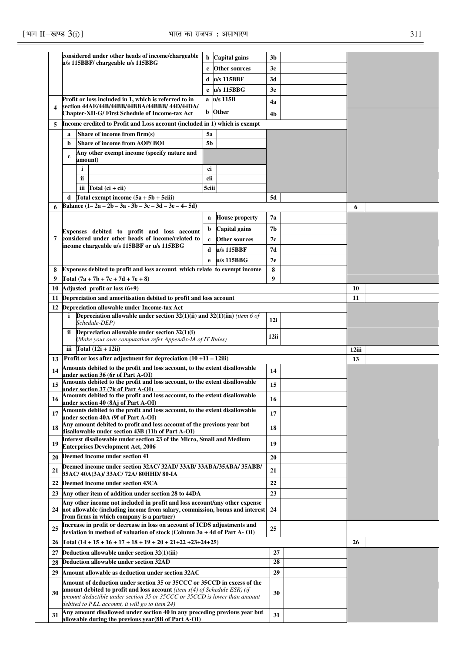|    |                                                                                                                                                          | considered under other heads of income/chargeable                                                                 | b            | Capital gains         | 3 <sub>b</sub> |       |
|----|----------------------------------------------------------------------------------------------------------------------------------------------------------|-------------------------------------------------------------------------------------------------------------------|--------------|-----------------------|----------------|-------|
|    |                                                                                                                                                          | u/s 115BBF/ chargeable u/s 115BBG                                                                                 | $\mathbf c$  | Other sources         | 3c             |       |
|    |                                                                                                                                                          |                                                                                                                   | d            | u/s 115BBF            | 3d             |       |
|    |                                                                                                                                                          |                                                                                                                   | e            | $u/s$ 115BBG          | 3e             |       |
|    |                                                                                                                                                          | Profit or loss included in 1, which is referred to in                                                             |              | a u/s 115B            | 4a             |       |
| 4  |                                                                                                                                                          | section 44AE/44B/44BB/44BBA/44BBB/ 44D/44DA/                                                                      |              | <b>b</b> Other        |                |       |
|    |                                                                                                                                                          | <b>Chapter-XII-G/First Schedule of Income-tax Act</b>                                                             |              |                       | 4 <sub>b</sub> |       |
|    |                                                                                                                                                          | Income credited to Profit and Loss account (included in 1) which is exempt                                        |              |                       |                |       |
|    | $\mathbf a$                                                                                                                                              | Share of income from firm(s)                                                                                      | 5a           |                       |                |       |
|    | b                                                                                                                                                        | <b>Share of income from AOP/BOI</b><br>Any other exempt income (specify nature and                                | 5b           |                       |                |       |
|    | $\mathbf c$                                                                                                                                              | amount)                                                                                                           |              |                       |                |       |
|    |                                                                                                                                                          | i                                                                                                                 | ci           |                       |                |       |
|    |                                                                                                                                                          | ii.                                                                                                               | cii          |                       |                |       |
|    |                                                                                                                                                          | iii $Total (ci + cii)$                                                                                            | 5ciii        |                       |                |       |
|    | d                                                                                                                                                        | Total exempt income $(5a + 5b + 5ciii)$                                                                           |              |                       | 5d             |       |
|    |                                                                                                                                                          | Balance $(1-2a-2b-3a-3b-3c-3d-3e-4-5d)$                                                                           |              |                       |                | 6     |
|    |                                                                                                                                                          |                                                                                                                   | a            | <b>House property</b> | 7а             |       |
|    |                                                                                                                                                          | Expenses debited to profit and loss account                                                                       | b            | Capital gains         | 7b             |       |
| 7  |                                                                                                                                                          | considered under other heads of income/related to                                                                 | $\mathbf{c}$ | Other sources         | 7с             |       |
|    |                                                                                                                                                          | income chargeable u/s 115BBF or u/s 115BBG                                                                        | d            | u/s 115BBF            | 7d             |       |
|    |                                                                                                                                                          |                                                                                                                   | e            | u/s 115BBG            | 7e             |       |
| 8  |                                                                                                                                                          | <b>Expenses debited to profit and loss account which relate to exempt income</b>                                  |              |                       | 8              |       |
| 9  |                                                                                                                                                          | Total $(7a + 7b + 7c + 7d + 7e + 8)$                                                                              |              |                       | 9              |       |
| 10 |                                                                                                                                                          | Adjusted profit or loss (6+9)                                                                                     |              |                       |                | 10    |
| 11 | Depreciation and amoritisation debited to profit and loss account                                                                                        |                                                                                                                   |              |                       |                | 11    |
| 12 |                                                                                                                                                          | Depreciation allowable under Income-tax Act                                                                       |              |                       |                |       |
|    | Depreciation allowable under section $32(1)(ii)$ and $32(1)(ii)$ (item 6 of<br>i<br>Schedule-DEP)                                                        |                                                                                                                   |              |                       |                |       |
|    | ii                                                                                                                                                       | Depreciation allowable under section $32(1)(i)$                                                                   |              |                       |                |       |
|    | (Make your own computation refer Appendix-IA of IT Rules)                                                                                                |                                                                                                                   |              |                       | 12ii           |       |
|    | iii $\Gamma$ otal (12i + 12ii)                                                                                                                           |                                                                                                                   |              |                       |                | 12iii |
| 13 |                                                                                                                                                          | Profit or loss after adjustment for depreciation (10 +11 - 12iii)                                                 |              |                       |                | 13    |
| 14 |                                                                                                                                                          | Amounts debited to the profit and loss account, to the extent disallowable                                        |              |                       | 14             |       |
| 15 |                                                                                                                                                          | under section 36 (6r of Part A-OI)<br>Amounts debited to the profit and loss account, to the extent disallowable  |              |                       |                |       |
|    |                                                                                                                                                          | under section 37 (7k of Part A-OI)                                                                                |              |                       | 15             |       |
| 16 |                                                                                                                                                          | Amounts debited to the profit and loss account, to the extent disallowable<br>under section 40 (8Aj of Part A-OI) |              |                       | 16             |       |
| 17 |                                                                                                                                                          | Amounts debited to the profit and loss account, to the extent disallowable                                        |              |                       | 17             |       |
|    |                                                                                                                                                          | under section 40A (9f of Part A-OI)<br>Any amount debited to profit and loss account of the previous year but     |              |                       |                |       |
| 18 |                                                                                                                                                          | disallowable under section 43B (11h of Part A-OI)                                                                 |              |                       | 18             |       |
| 19 |                                                                                                                                                          | Interest disallowable under section 23 of the Micro, Small and Medium                                             |              |                       | 19             |       |
|    |                                                                                                                                                          | <b>Enterprises Development Act, 2006</b>                                                                          |              |                       |                |       |
| 20 |                                                                                                                                                          | Deemed income under section 41                                                                                    |              |                       | 20             |       |
| 21 |                                                                                                                                                          | Deemed income under section 32AC/32AD/33AB/33ABA/35ABA/35ABB/<br>35AC/40A(3A)/33AC/72A/80HHD/80-IA                |              |                       | 21             |       |
| 22 |                                                                                                                                                          | Deemed income under section 43CA                                                                                  |              |                       | 22             |       |
|    |                                                                                                                                                          | 23 Any other item of addition under section 28 to 44DA                                                            |              |                       | 23             |       |
|    |                                                                                                                                                          | Any other income not included in profit and loss account/any other expense                                        |              |                       |                |       |
|    | 24 not allowable (including income from salary, commission, bonus and interest                                                                           |                                                                                                                   |              | 24                    |                |       |
|    | from firms in which company is a partner)<br>Increase in profit or decrease in loss on account of ICDS adjustments and                                   |                                                                                                                   |              |                       |                |       |
| 25 |                                                                                                                                                          | deviation in method of valuation of stock (Column 3a + 4d of Part A- OI)                                          |              |                       | 25             |       |
| 26 |                                                                                                                                                          | Total $(14 + 15 + 16 + 17 + 18 + 19 + 20 + 21 + 22 + 23 + 24 + 25)$                                               |              |                       |                | 26    |
| 27 |                                                                                                                                                          | Deduction allowable under section $32(1)(iii)$                                                                    |              |                       | 27             |       |
| 28 |                                                                                                                                                          | Deduction allowable under section 32AD                                                                            |              |                       | 28             |       |
| 29 | Amount allowable as deduction under section 32AC                                                                                                         |                                                                                                                   |              |                       | 29             |       |
|    |                                                                                                                                                          | Amount of deduction under section 35 or 35CCC or 35CCD in excess of the                                           |              |                       |                |       |
| 30 | amount debited to profit and loss account (item $x(4)$ of Schedule ESR) (if<br>amount deductible under section 35 or 35CCC or 35CCD is lower than amount |                                                                                                                   |              | 30                    |                |       |
|    | debited to P&L account, it will go to item 24)                                                                                                           |                                                                                                                   |              |                       |                |       |
| 31 |                                                                                                                                                          | Any amount disallowed under section 40 in any preceding previous year but                                         |              |                       | 31             |       |
|    |                                                                                                                                                          | allowable during the previous year(8B of Part A-OI)                                                               |              |                       |                |       |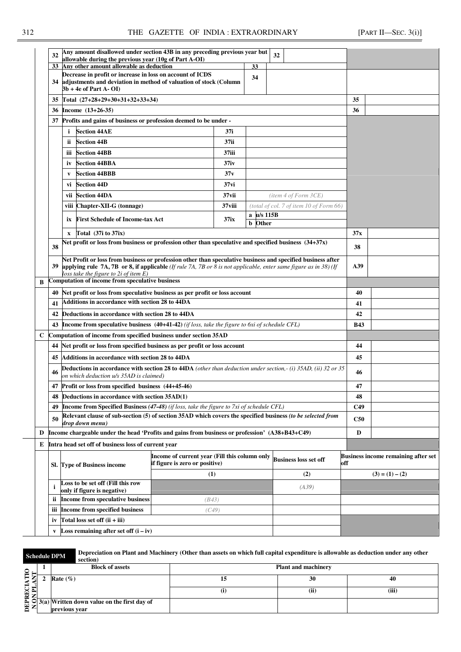|   | 32           | Any amount disallowed under section 43B in any preceding previous year but<br>allowable during the previous year (10g of Part A-OI)                                                                                                                                           |                  |                                            | 32                                      |            |  |  |
|---|--------------|-------------------------------------------------------------------------------------------------------------------------------------------------------------------------------------------------------------------------------------------------------------------------------|------------------|--------------------------------------------|-----------------------------------------|------------|--|--|
|   | 33           | Any other amount allowable as deduction                                                                                                                                                                                                                                       |                  | 33                                         |                                         |            |  |  |
|   |              | Decrease in profit or increase in loss on account of ICDS<br>34 adjustments and deviation in method of valuation of stock (Column<br>$3b + 4e$ of Part A-OI)                                                                                                                  |                  | 34                                         |                                         |            |  |  |
|   |              | 35 Total (27+28+29+30+31+32+33+34)                                                                                                                                                                                                                                            |                  |                                            |                                         | 35         |  |  |
|   | 36           | Income $(13+26-35)$                                                                                                                                                                                                                                                           |                  |                                            |                                         | 36         |  |  |
|   | 37           | Profits and gains of business or profession deemed to be under -                                                                                                                                                                                                              |                  |                                            |                                         |            |  |  |
|   |              | <b>Section 44AE</b>                                                                                                                                                                                                                                                           | 37i              |                                            |                                         |            |  |  |
|   |              | i<br><b>Section 44B</b>                                                                                                                                                                                                                                                       |                  |                                            |                                         |            |  |  |
|   |              | ii.                                                                                                                                                                                                                                                                           | 37ii             |                                            |                                         |            |  |  |
|   |              | <b>Section 44BB</b><br>iii                                                                                                                                                                                                                                                    | 37iii            |                                            |                                         |            |  |  |
|   |              | <b>Section 44BBA</b><br>iv                                                                                                                                                                                                                                                    | 37 <sub>iv</sub> |                                            |                                         |            |  |  |
|   |              | <b>Section 44BBB</b><br>V                                                                                                                                                                                                                                                     | 37v              |                                            |                                         |            |  |  |
|   |              | <b>Section 44D</b><br>vi                                                                                                                                                                                                                                                      | 37 vi            |                                            |                                         |            |  |  |
|   |              | <b>Section 44DA</b><br>vii                                                                                                                                                                                                                                                    | $37$ vii         |                                            | item 4 of Form 3CE)                     |            |  |  |
|   |              | Chapter-XII-G (tonnage)<br>viii                                                                                                                                                                                                                                               | 37 viii          |                                            | (total of col. 7 of item 10 of Form 66) |            |  |  |
|   |              | <b>First Schedule of Income-tax Act</b><br>ix                                                                                                                                                                                                                                 | 37ix             | a u/s 115B<br>$\mathbf b$<br>Other         |                                         |            |  |  |
|   |              | Total $(37i)$ to $37ix)$                                                                                                                                                                                                                                                      |                  |                                            |                                         | 37x        |  |  |
|   |              | $\mathbf{x}$<br>Net profit or loss from business or profession other than speculative and specified business $(34+37x)$                                                                                                                                                       |                  |                                            |                                         |            |  |  |
|   | 38           |                                                                                                                                                                                                                                                                               | 38               |                                            |                                         |            |  |  |
|   | 39           | Net Profit or loss from business or profession other than speculative business and specified business after<br>applying rule 7A, 7B or 8, if applicable (If rule 7A, 7B or 8 is not applicable, enter same figure as in 38) (If<br>loss take the figure to $2i$ of item $E$ ) |                  | A39                                        |                                         |            |  |  |
| B |              | Computation of income from speculative business                                                                                                                                                                                                                               |                  |                                            |                                         |            |  |  |
|   | 40           | Net profit or loss from speculative business as per profit or loss account                                                                                                                                                                                                    | 40               |                                            |                                         |            |  |  |
|   | 41           | Additions in accordance with section 28 to 44DA                                                                                                                                                                                                                               | 41               |                                            |                                         |            |  |  |
|   | 42           | Deductions in accordance with section 28 to 44DA                                                                                                                                                                                                                              |                  |                                            |                                         | 42         |  |  |
|   | 43           | Income from speculative business (40+41-42) (if loss, take the figure to 6xi of schedule CFL)                                                                                                                                                                                 |                  |                                            |                                         | <b>B43</b> |  |  |
| C |              | Computation of income from specified business under section 35AD                                                                                                                                                                                                              |                  |                                            |                                         |            |  |  |
|   | 44           | Net profit or loss from specified business as per profit or loss account                                                                                                                                                                                                      |                  |                                            |                                         | 44         |  |  |
|   | 45           | Additions in accordance with section 28 to 44DA                                                                                                                                                                                                                               |                  |                                            |                                         | 45         |  |  |
|   | 46           | <b>Deductions in accordance with section 28 to 44DA</b> (other than deduction under section,- (i) 35AD, (ii) 32 or 35                                                                                                                                                         |                  |                                            |                                         | 46         |  |  |
|   |              | on which deduction u/s 35AD is claimed)<br>47 Profit or loss from specified business (44+45-46)                                                                                                                                                                               |                  |                                            |                                         | 47         |  |  |
|   | 48           | Deductions in accordance with section 35AD(1)                                                                                                                                                                                                                                 |                  |                                            |                                         | 48         |  |  |
|   | 49           | <b>Income from Specified Business (47-48)</b> (if loss, take the figure to 7xi of schedule CFL)                                                                                                                                                                               |                  |                                            |                                         | C49        |  |  |
|   |              | Relevant clause of sub-section (5) of section 35AD which covers the specified business (to be selected from                                                                                                                                                                   |                  |                                            |                                         |            |  |  |
|   | 50           | drop down menu)                                                                                                                                                                                                                                                               | <b>C50</b>       |                                            |                                         |            |  |  |
| D |              | Income chargeable under the head 'Profits and gains from business or profession' (A38+B43+C49)                                                                                                                                                                                | D                |                                            |                                         |            |  |  |
|   |              | E Intra head set off of business loss of current year                                                                                                                                                                                                                         |                  |                                            |                                         |            |  |  |
|   |              | Income of current year (Fill this column only<br>if figure is zero or positive)<br>Sl. Type of Business income                                                                                                                                                                | off              | <b>Business income remaining after set</b> |                                         |            |  |  |
|   |              |                                                                                                                                                                                                                                                                               |                  | $(3) = (1) - (2)$                          |                                         |            |  |  |
|   | i            | Loss to be set off (Fill this row<br>only if figure is negative)                                                                                                                                                                                                              |                  |                                            |                                         |            |  |  |
|   | ii.          | Income from speculative business                                                                                                                                                                                                                                              | (B43)            |                                            |                                         |            |  |  |
|   | <b>iii</b>   | <b>Income from specified business</b>                                                                                                                                                                                                                                         | (C49)            |                                            |                                         |            |  |  |
|   | iv           | Total loss set off (ii + iii)                                                                                                                                                                                                                                                 |                  |                                            |                                         |            |  |  |
|   | $\mathbf{v}$ | <b>Loss remaining after set off <math>(i - iv)</math></b>                                                                                                                                                                                                                     |                  |                                            |                                         |            |  |  |
|   |              |                                                                                                                                                                                                                                                                               |                  |                                            |                                         |            |  |  |

**Schedule DPM Depreciation on Plant and Machinery (Other than assets on which full capital expenditure is allowable as deduction under any other section)** 

| $\mathbf{Q}$ | <b>Block of assets</b>                        | <b>Plant and machinery</b> |      |       |  |  |  |  |
|--------------|-----------------------------------------------|----------------------------|------|-------|--|--|--|--|
|              | Rate $(\%)$                                   |                            | 30   | 40    |  |  |  |  |
| Œ.<br>≂      |                                               | U)                         | (ii) | (iii) |  |  |  |  |
| Σ.<br>ب<br>⊡ | $3(a)$ Written down value on the first day of |                            |      |       |  |  |  |  |
| ≂            | previous vear                                 |                            |      |       |  |  |  |  |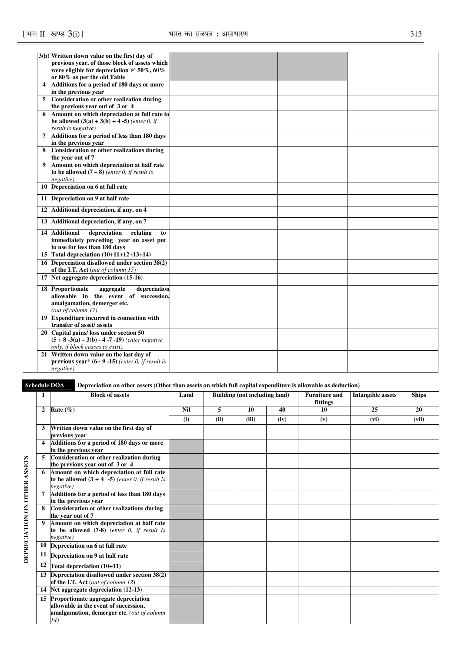|                         | 3(b) Written down value on the first day of            |  |  |
|-------------------------|--------------------------------------------------------|--|--|
|                         | previous year, of those block of assets which          |  |  |
|                         | were eligible for depreciation @ 50%, 60%              |  |  |
|                         | or 80% as per the old Table                            |  |  |
| $\overline{\mathbf{4}}$ | Additions for a period of 180 days or more             |  |  |
|                         | in the previous year                                   |  |  |
| 5                       | Consideration or other realization during              |  |  |
|                         | the previous year out of 3 or 4                        |  |  |
| 6                       | Amount on which depreciation at full rate to           |  |  |
|                         | <b>be allowed</b> $(3(a) + 3(b) + 4 - 5)$ (enter 0, if |  |  |
|                         | result is negative)                                    |  |  |
| $\overline{7}$          | Additions for a period of less than 180 days           |  |  |
|                         | in the previous year                                   |  |  |
| 8                       | Consideration or other realizations during             |  |  |
|                         | the vear out of 7                                      |  |  |
| 9                       | Amount on which depreciation at half rate              |  |  |
|                         | to be allowed $(7-8)$ (enter 0, if result is           |  |  |
|                         | negative)                                              |  |  |
|                         | 10 Depreciation on 6 at full rate                      |  |  |
|                         | 11 Depreciation on 9 at half rate                      |  |  |
| 12                      | Additional depreciation, if any, on 4                  |  |  |
|                         | 13 Additional depreciation, if any, on 7               |  |  |
|                         | 14 Additional<br>depreciation<br>relating<br>to        |  |  |
|                         | immediately preceding year on asset put                |  |  |
|                         | to use for less than 180 days                          |  |  |
|                         | 15 Total depreciation $(10+11+12+13+14)$               |  |  |
|                         | 16 Depreciation disallowed under section 38(2)         |  |  |
|                         | of the I.T. Act (out of column 15)                     |  |  |
|                         | 17 Net aggregate depreciation (15-16)                  |  |  |
|                         | <b>18 Proportionate</b><br>depreciation<br>aggregate   |  |  |
|                         | allowable in the event of succession,                  |  |  |
|                         | amalgamation, demerger etc.                            |  |  |
|                         | (out of column 17)                                     |  |  |
|                         | 19 Expenditure incurred in connection with             |  |  |
|                         | transfer of asset/assets                               |  |  |
|                         | 20 Capital gains/loss under section 50                 |  |  |
|                         | $(5 + 8 - 3(a) - 3(b) - 4 - 7 - 19)$ (enter negative   |  |  |
|                         | only, if block ceases to exist)                        |  |  |
|                         | 21 Written down value on the last day of               |  |  |
|                         | previous year* $(6+9-15)$ (enter 0, if result is       |  |  |
|                         | negative)                                              |  |  |

**Schedule DOA** Depreciation on other assets (Other than assets on which full capital expenditure is allowable as deduction)

|                              | 1              | <b>Block of assets</b>                                                                                                                | Land       | Building (not including land) |       |      | <b>Furniture and</b><br>fittings | <b>Intangible assets</b> | <b>Ships</b> |
|------------------------------|----------------|---------------------------------------------------------------------------------------------------------------------------------------|------------|-------------------------------|-------|------|----------------------------------|--------------------------|--------------|
|                              | $\overline{2}$ | Rate $(\%)$                                                                                                                           | <b>Nil</b> | 5                             | 10    | 40   | 10                               | 25                       | 20           |
|                              |                |                                                                                                                                       | (i)        | (ii)                          | (iii) | (iv) | (v)                              | (vi)                     | (vii)        |
|                              |                | Written down value on the first day of                                                                                                |            |                               |       |      |                                  |                          |              |
|                              |                | previous year                                                                                                                         |            |                               |       |      |                                  |                          |              |
|                              |                | 4 Additions for a period of 180 days or more<br>in the previous vear                                                                  |            |                               |       |      |                                  |                          |              |
|                              |                | Consideration or other realization during                                                                                             |            |                               |       |      |                                  |                          |              |
|                              |                | the previous year out of 3 or 4                                                                                                       |            |                               |       |      |                                  |                          |              |
|                              | 6              | Amount on which depreciation at full rate<br>to be allowed $(3 + 4 -5)$ (enter 0, if result is<br>negative)                           |            |                               |       |      |                                  |                          |              |
|                              |                | Additions for a period of less than 180 days<br>in the previous year                                                                  |            |                               |       |      |                                  |                          |              |
|                              |                | Consideration or other realizations during<br>the vear out of 7                                                                       |            |                               |       |      |                                  |                          |              |
| DEPRECIATION ON OTHER ASSETS | 9              | Amount on which depreciation at half rate<br>to be allowed $(7-8)$ (enter 0, if result is<br>negative)                                |            |                               |       |      |                                  |                          |              |
|                              | 10             | Depreciation on 6 at full rate                                                                                                        |            |                               |       |      |                                  |                          |              |
|                              | 11             | Depreciation on 9 at half rate                                                                                                        |            |                               |       |      |                                  |                          |              |
|                              | 12             | Total depreciation (10+11)                                                                                                            |            |                               |       |      |                                  |                          |              |
|                              |                | 13 Depreciation disallowed under section 38(2)<br>of the I.T. Act (out of column 12)                                                  |            |                               |       |      |                                  |                          |              |
|                              |                | 14 Net aggregate depreciation (12-13)                                                                                                 |            |                               |       |      |                                  |                          |              |
|                              |                | 15 Proportionate aggregate depreciation<br>allowable in the event of succession,<br>amalgamation, demerger etc. (out of column<br>14) |            |                               |       |      |                                  |                          |              |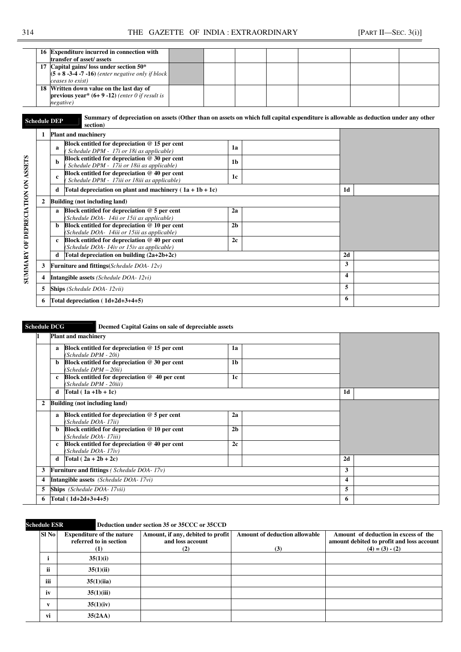|  | 16 Expenditure incurred in connection with<br>transfer of asset/assets                                                   |  |  |  |  |
|--|--------------------------------------------------------------------------------------------------------------------------|--|--|--|--|
|  | 17 Capital gains/ loss under section 50*<br>$(5 + 8 - 3 - 4 - 7 - 16)$ (enter negative only if block<br>ceases to exist) |  |  |  |  |
|  | 18 Written down value on the last day of<br><b>previous year</b> * $(6+9-12)$ (enter 0 if result is<br>negative)         |  |  |  |  |

**Schedule DEP Summary of depreciation on assets (Other than on assets on which full capital expenditure is allowable as deduction under any other section) section)** 

|              | <b>Plant and machinery</b>                                                                           |                |    |
|--------------|------------------------------------------------------------------------------------------------------|----------------|----|
|              | Block entitled for depreciation $@$ 15 per cent<br>a<br>Schedule DPM - 17i or 18i as applicable)     | 1a             |    |
|              | Block entitled for depreciation @ 30 per cent<br>b<br>Schedule DPM - 17ii or 18ii as applicable)     | 1 <sub>b</sub> |    |
|              | Block entitled for depreciation @ 40 per cent<br>c<br>Schedule DPM - 17iii or 18iii as applicable)   | 1c             |    |
|              | Total depreciation on plant and machinery $(1a + 1b + 1c)$<br>d                                      | 1 <sub>d</sub> |    |
| $\mathbf{2}$ | Building (not including land)                                                                        |                |    |
|              | Block entitled for depreciation $@$ 5 per cent<br>a<br>(Schedule DOA- 14ii or 15ii as applicable)    | 2a             |    |
|              | Block entitled for depreciation $@10$ per cent<br>b.<br>(Schedule DOA- 14iii or 15iii as applicable) | 2 <sub>b</sub> |    |
|              | Block entitled for depreciation $@$ 40 per cent<br>c<br>(Schedule DOA-14iv or 15iv as applicable)    | 2c             |    |
|              | Total depreciation on building $(2a+2b+2c)$<br>d                                                     |                | 2d |
| 3            | <b>Furniture and fittings</b> ( <i>Schedule DOA-12v</i> )                                            | 3              |    |
| 4            | <b>Intangible assets</b> ( <i>Schedule DOA-12vi</i> )                                                | 4              |    |
| 5            | <b>Ships</b> (Schedule DOA-12vii)                                                                    | 5              |    |
| 6            | Total depreciation $(1d+2d+3+4+5)$                                                                   | 6              |    |

## **Schedule DCG** Deemed Capital Gains on sale of depreciable assets

|    |              | <b>Plant and machinery</b>                                                  |                |   |                |  |
|----|--------------|-----------------------------------------------------------------------------|----------------|---|----------------|--|
|    | a            | Block entitled for depreciation $@$ 15 per cent<br>(Schedule DPM - 20i)     | 1a             |   |                |  |
|    | <sub>b</sub> | Block entitled for depreciation $@30$ per cent<br>$(Schedule$ $DPM - 20ii)$ | 1 <sub>b</sub> |   |                |  |
|    | $\mathbf{c}$ | Block entitled for depreciation $@$ 40 per cent<br>(Schedule DPM - 20iii)   | 1c             |   |                |  |
|    | d            | Total $(1a +1b +1c)$                                                        |                |   | 1 <sub>d</sub> |  |
| 2  |              | <b>Building (not including land)</b>                                        |                |   |                |  |
|    | $\mathbf{a}$ | Block entitled for depreciation $@$ 5 per cent<br>(Schedule DOA-17ii)       | 2a             |   |                |  |
|    | b            | Block entitled for depreciation $@10$ per cent<br>(Schedule DOA-17iii)      | 2 <sub>b</sub> |   |                |  |
|    | $\mathbf{c}$ | Block entitled for depreciation $@$ 40 per cent<br>(Schedule DOA-17iv)      | 2c             |   |                |  |
|    | d            | Total $(2a + 2b + 2c)$                                                      |                |   | 2d             |  |
| 3  |              | <b>Furniture and fittings</b> ( <i>Schedule DOA-17v</i> )                   |                |   | 3              |  |
| 4  |              | <b>Intangible assets</b> (Schedule DOA-17vi)                                | 4              |   |                |  |
| 5  |              | <b>Ships</b> (Schedule DOA-17vii)                                           |                | 5 |                |  |
| 6. |              | Total $(1d+2d+3+4+5)$                                                       | 6              |   |                |  |

## **Schedule ESR Deduction under section 35 or 35CCC or 35CCD**

| Sl No | <b>Expenditure of the nature</b><br>referred to in section | Amount, if any, debited to profit<br>and loss account | <b>Amount of deduction allowable</b> | Amount of deduction in excess of the<br>amount debited to profit and loss account |
|-------|------------------------------------------------------------|-------------------------------------------------------|--------------------------------------|-----------------------------------------------------------------------------------|
|       | (1)                                                        | (2)                                                   | (3)                                  | $(4) = (3) - (2)$                                                                 |
|       | 35(1)(i)                                                   |                                                       |                                      |                                                                                   |
| ii    | 35(1)(ii)                                                  |                                                       |                                      |                                                                                   |
| iii   | 35(1)(iia)                                                 |                                                       |                                      |                                                                                   |
| iv    | 35(1)(iii)                                                 |                                                       |                                      |                                                                                   |
| V     | 35(1)(iv)                                                  |                                                       |                                      |                                                                                   |
| vi    | 35(2AA)                                                    |                                                       |                                      |                                                                                   |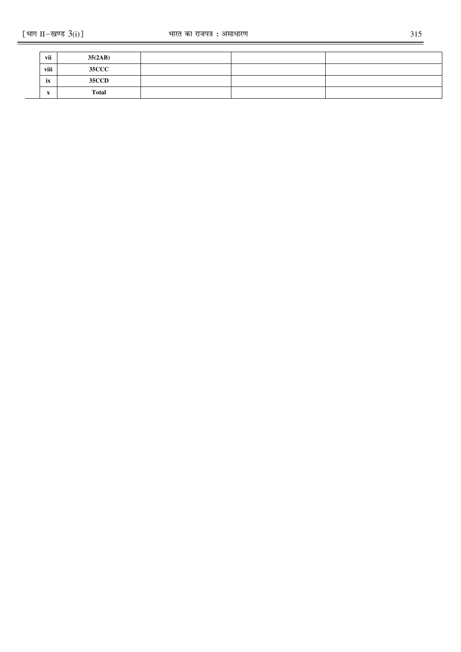| vii                    | 35(2AB)      |  |  |
|------------------------|--------------|--|--|
| viii                   | <b>35CCC</b> |  |  |
| ix                     | <b>35CCD</b> |  |  |
| $\boldsymbol{\Lambda}$ | <b>Total</b> |  |  |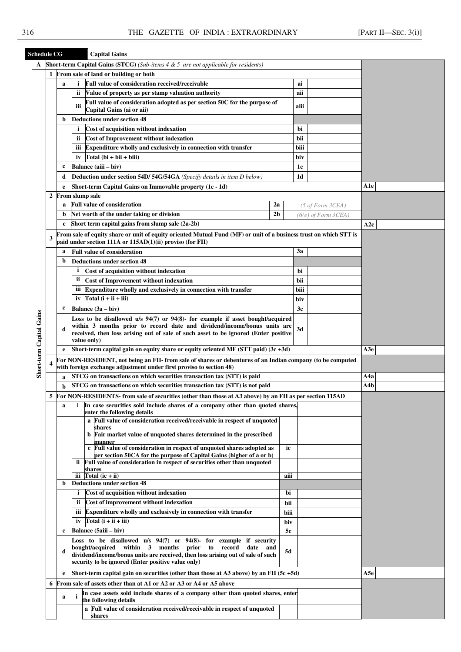| <b>Schedule CG</b>       |   |   | <b>Capital Gains</b>                                                                                                                                                           |      |                |                         |                            |  |
|--------------------------|---|---|--------------------------------------------------------------------------------------------------------------------------------------------------------------------------------|------|----------------|-------------------------|----------------------------|--|
| A                        |   |   | <b>Short-term Capital Gains (STCG)</b> (Sub-items $4 \& 5$ are not applicable for residents)                                                                                   |      |                |                         |                            |  |
|                          |   |   | 1 From sale of land or building or both                                                                                                                                        |      |                |                         |                            |  |
|                          |   | a | Full value of consideration received/receivable<br>i                                                                                                                           |      | ai             |                         |                            |  |
|                          |   |   | Value of property as per stamp valuation authority<br>ii.                                                                                                                      |      | aii            |                         |                            |  |
|                          |   |   | Full value of consideration adopted as per section 50C for the purpose of<br>iii<br>Capital Gains (ai or aii)                                                                  |      | aiii           |                         |                            |  |
|                          |   | b | <b>Deductions under section 48</b>                                                                                                                                             |      |                |                         |                            |  |
|                          |   |   | Cost of acquisition without indexation<br>i.                                                                                                                                   |      | bi             |                         |                            |  |
|                          |   |   | <b>Cost of Improvement without indexation</b><br>ii.                                                                                                                           |      | bii            |                         |                            |  |
|                          |   |   | Expenditure wholly and exclusively in connection with transfer<br>ш                                                                                                            |      | biii           |                         |                            |  |
|                          |   |   | $Total (bi + bii + biii)$<br>iv                                                                                                                                                |      | biv            |                         |                            |  |
|                          |   | c | Balance (aiii – biv)                                                                                                                                                           |      |                |                         |                            |  |
|                          |   |   |                                                                                                                                                                                |      | 1c             |                         |                            |  |
|                          |   | d | <b>Deduction under section 54D/ 54G/54GA</b> (Specify details in item D below)                                                                                                 |      | 1 <sub>d</sub> |                         |                            |  |
|                          |   | e | Short-term Capital Gains on Immovable property (1c - 1d)                                                                                                                       |      |                |                         | A1e                        |  |
|                          | 2 |   | From slump sale                                                                                                                                                                |      |                |                         |                            |  |
|                          |   | a | <b>Full value of consideration</b><br>2a                                                                                                                                       |      |                | (5 of Form 3CEA)        |                            |  |
|                          |   | b | Net worth of the under taking or division<br>2 <sub>b</sub>                                                                                                                    |      |                | $(6(e)$ of Form $3CEA)$ |                            |  |
|                          |   | c | Short term capital gains from slump sale (2a-2b)                                                                                                                               |      |                |                         | A2c                        |  |
|                          | 3 |   | From sale of equity share or unit of equity oriented Mutual Fund (MF) or unit of a business trust on which STT is<br>paid under section 111A or 115AD(1)(ii) proviso (for FII) |      |                |                         |                            |  |
|                          |   | a | <b>Full value of consideration</b>                                                                                                                                             |      | 3a             |                         |                            |  |
|                          |   | b | <b>Deductions under section 48</b>                                                                                                                                             |      |                |                         |                            |  |
|                          |   |   | $\mathbf{i}$<br>Cost of acquisition without indexation                                                                                                                         |      |                |                         |                            |  |
|                          |   |   | ii.<br><b>Cost of Improvement without indexation</b>                                                                                                                           |      |                |                         |                            |  |
|                          |   |   | Expenditure wholly and exclusively in connection with transfer<br>Ш                                                                                                            |      |                |                         |                            |  |
|                          |   |   | $Total(i + ii + iii)$<br>iv                                                                                                                                                    |      |                |                         |                            |  |
|                          |   | c | Balance (3a – biv)                                                                                                                                                             |      |                |                         |                            |  |
|                          |   |   | Loss to be disallowed $u/s$ 94(7) or 94(8)- for example if asset bought/acquired                                                                                               |      |                |                         |                            |  |
|                          |   |   | within 3 months prior to record date and dividend/income/bonus units are                                                                                                       |      |                |                         |                            |  |
|                          |   | d | received, then loss arising out of sale of such asset to be ignored (Enter positive                                                                                            |      |                |                         |                            |  |
|                          |   |   | value only)                                                                                                                                                                    |      |                |                         |                            |  |
|                          |   | e | Short-term capital gain on equity share or equity oriented MF (STT paid) (3c +3d)                                                                                              |      |                |                         | A3e                        |  |
| Short-term Capital Gains |   |   | For NON-RESIDENT, not being an FII- from sale of shares or debentures of an Indian company (to be computed                                                                     |      |                |                         |                            |  |
|                          |   |   | with foreign exchange adjustment under first proviso to section 48)<br>STCG on transactions on which securities transaction tax (STT) is paid                                  |      |                |                         |                            |  |
|                          |   | a |                                                                                                                                                                                |      |                |                         | A4a                        |  |
|                          |   | b | STCG on transactions on which securities transaction tax (STT) is not paid                                                                                                     |      |                |                         | $\overline{\mathbf{A}}$ 4b |  |
|                          | 5 |   | For NON-RESIDENTS- from sale of securities (other than those at A3 above) by an FII as per section 115AD                                                                       |      |                |                         |                            |  |
|                          |   | a | In case securities sold include shares of a company other than quoted shares,<br>i.                                                                                            |      |                |                         |                            |  |
|                          |   |   | enter the following details<br>a Full value of consideration received/receivable in respect of unquoted                                                                        |      |                |                         |                            |  |
|                          |   |   | shares                                                                                                                                                                         |      |                |                         |                            |  |
|                          |   |   | b Fair market value of unquoted shares determined in the prescribed                                                                                                            |      |                |                         |                            |  |
|                          |   |   | manner<br>c Full value of consideration in respect of unquoted shares adopted as                                                                                               | ic   |                |                         |                            |  |
|                          |   |   | per section 50CA for the purpose of Capital Gains (higher of a or b)                                                                                                           |      |                |                         |                            |  |
|                          |   |   | Full value of consideration in respect of securities other than unquoted<br>ii.                                                                                                |      |                |                         |                            |  |
|                          |   |   | shares<br>iii $\Gamma$ otal (ic + ii)                                                                                                                                          | aiii |                |                         |                            |  |
|                          |   | b | <b>Deductions under section 48</b>                                                                                                                                             |      |                |                         |                            |  |
|                          |   |   | Cost of acquisition without indexation<br>i.                                                                                                                                   |      |                |                         |                            |  |
|                          |   |   | Cost of improvement without indexation<br>ii.                                                                                                                                  |      |                |                         |                            |  |
|                          |   |   | iii Expenditure wholly and exclusively in connection with transfer                                                                                                             |      |                |                         |                            |  |
|                          |   |   | iv $Total(i + ii + iii)$                                                                                                                                                       | biii |                |                         |                            |  |
|                          |   |   | Balance (5aiii - biv)                                                                                                                                                          | biv  |                |                         |                            |  |
|                          |   | c |                                                                                                                                                                                | 5c   |                |                         |                            |  |
|                          |   |   | Loss to be disallowed $u/s$ 94(7) or 94(8)- for example if security<br>bought/acquired within 3 months prior to record date and                                                |      |                |                         |                            |  |
|                          |   | d | dividend/income/bonus units are received, then loss arising out of sale of such                                                                                                | 5d   |                |                         |                            |  |
|                          |   |   | security to be ignored (Enter positive value only)                                                                                                                             |      |                |                         |                            |  |
|                          |   | e | Short-term capital gain on securities (other than those at A3 above) by an FII $(5c + 5d)$                                                                                     |      |                |                         | A5e                        |  |
|                          | 6 |   | From sale of assets other than at A1 or A2 or A3 or A4 or A5 above                                                                                                             |      |                |                         |                            |  |
|                          |   |   | In case assets sold include shares of a company other than quoted shares, enter                                                                                                |      |                |                         |                            |  |
|                          |   | a | the following details                                                                                                                                                          |      |                |                         |                            |  |
|                          |   |   | a Full value of consideration received/receivable in respect of unquoted                                                                                                       |      |                |                         |                            |  |
|                          |   |   | shares                                                                                                                                                                         |      |                |                         |                            |  |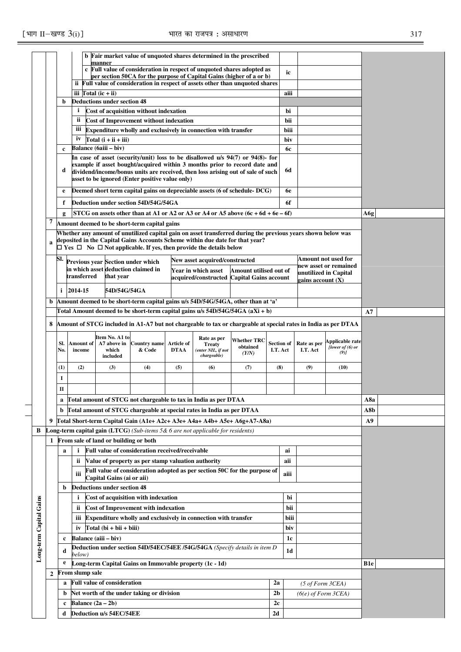|                         |              |                                                                                       | b Fair market value of unquoted shares determined in the prescribed<br>manner<br>c Full value of consideration in respect of unquoted shares adopted as           |                           |                                                         |                           |                                                                                                                                                                     |                    |                               |           |                         |                               |                 |  |
|-------------------------|--------------|---------------------------------------------------------------------------------------|-------------------------------------------------------------------------------------------------------------------------------------------------------------------|---------------------------|---------------------------------------------------------|---------------------------|---------------------------------------------------------------------------------------------------------------------------------------------------------------------|--------------------|-------------------------------|-----------|-------------------------|-------------------------------|-----------------|--|
|                         |              |                                                                                       |                                                                                                                                                                   |                           |                                                         |                           |                                                                                                                                                                     |                    |                               | ic        |                         |                               |                 |  |
|                         |              |                                                                                       |                                                                                                                                                                   |                           |                                                         |                           | per section 50CA for the purpose of Capital Gains (higher of a or b)<br>ii Full value of consideration in respect of assets other than unquoted shares              |                    |                               |           |                         |                               |                 |  |
|                         |              |                                                                                       | iii Total $(ic + ii)$                                                                                                                                             |                           |                                                         |                           |                                                                                                                                                                     |                    |                               | aiii      |                         |                               |                 |  |
|                         |              | b                                                                                     | <b>Deductions under section 48</b>                                                                                                                                |                           |                                                         |                           |                                                                                                                                                                     |                    |                               |           |                         |                               |                 |  |
|                         |              |                                                                                       | i.                                                                                                                                                                |                           | Cost of acquisition without indexation                  |                           |                                                                                                                                                                     |                    |                               | bi        |                         |                               |                 |  |
|                         |              |                                                                                       | ii                                                                                                                                                                |                           | <b>Cost of Improvement without indexation</b>           |                           |                                                                                                                                                                     |                    |                               | bii       |                         |                               |                 |  |
|                         |              |                                                                                       | iii                                                                                                                                                               |                           |                                                         |                           | Expenditure wholly and exclusively in connection with transfer                                                                                                      |                    |                               | biii      |                         |                               |                 |  |
|                         |              |                                                                                       | iv                                                                                                                                                                | Total $(i + ii + iii)$    |                                                         |                           |                                                                                                                                                                     |                    |                               | biv       |                         |                               |                 |  |
|                         |              | $\mathbf c$                                                                           | Balance (6aiii – biv)                                                                                                                                             |                           |                                                         |                           |                                                                                                                                                                     |                    |                               | <b>6c</b> |                         |                               |                 |  |
|                         |              |                                                                                       |                                                                                                                                                                   |                           |                                                         |                           | In case of asset (security/unit) loss to be disallowed u/s 94(7) or 94(8)- for<br>example if asset bought/acquired within 3 months prior to record date and         |                    |                               |           |                         |                               |                 |  |
|                         |              | d                                                                                     |                                                                                                                                                                   |                           |                                                         |                           | dividend/income/bonus units are received, then loss arising out of sale of such                                                                                     |                    |                               | 6d        |                         |                               |                 |  |
|                         |              |                                                                                       |                                                                                                                                                                   |                           | asset to be ignored (Enter positive value only)         |                           |                                                                                                                                                                     |                    |                               |           |                         |                               |                 |  |
|                         |              | e                                                                                     |                                                                                                                                                                   |                           |                                                         |                           | Deemed short term capital gains on depreciable assets (6 of schedule-DCG)                                                                                           |                    |                               | <b>6e</b> |                         |                               |                 |  |
|                         |              | f                                                                                     |                                                                                                                                                                   |                           | Deduction under section 54D/54G/54GA                    |                           |                                                                                                                                                                     |                    |                               | 6f        |                         |                               |                 |  |
|                         |              | g                                                                                     |                                                                                                                                                                   |                           |                                                         |                           | STCG on assets other than at A1 or A2 or A3 or A4 or A5 above $(6c + 6d + 6e - 6f)$                                                                                 |                    |                               |           |                         |                               | A6g             |  |
|                         | 7            |                                                                                       |                                                                                                                                                                   |                           | Amount deemed to be short-term capital gains            |                           |                                                                                                                                                                     |                    |                               |           |                         |                               |                 |  |
|                         |              |                                                                                       |                                                                                                                                                                   |                           |                                                         |                           | Whether any amount of unutilized capital gain on asset transferred during the previous years shown below was                                                        |                    |                               |           |                         |                               |                 |  |
|                         | $\mathbf{a}$ |                                                                                       |                                                                                                                                                                   |                           |                                                         |                           | deposited in the Capital Gains Accounts Scheme within due date for that year?<br>$\Box$ Yes $\Box$ No $\Box$ Not applicable. If yes, then provide the details below |                    |                               |           |                         |                               |                 |  |
|                         |              | SI.                                                                                   |                                                                                                                                                                   |                           |                                                         |                           |                                                                                                                                                                     |                    |                               |           |                         |                               |                 |  |
|                         |              |                                                                                       | Amount not used for<br>New asset acquired/constructed<br>Previous year Section under which<br>new asset or remained<br>in which asset deduction claimed in        |                           |                                                         |                           |                                                                                                                                                                     |                    |                               |           |                         |                               |                 |  |
|                         |              |                                                                                       | Year in which asset<br>Amount utilised out of<br>unutilized in Capital<br>transferred<br>that year<br>acquired/constructed Capital Gains account                  |                           |                                                         |                           |                                                                                                                                                                     |                    |                               |           |                         |                               |                 |  |
|                         |              |                                                                                       | $zains$ account $(X)$                                                                                                                                             |                           |                                                         |                           |                                                                                                                                                                     |                    |                               |           |                         |                               |                 |  |
|                         |              |                                                                                       | $i$ 2014-15<br>54D/54G/54GA                                                                                                                                       |                           |                                                         |                           |                                                                                                                                                                     |                    |                               |           |                         |                               |                 |  |
|                         | b            |                                                                                       | Amount deemed to be short-term capital gains u/s 54D/54G/54GA, other than at 'a'<br>Total Amount deemed to be short-term capital gains u/s 54D/54G/54GA (aXi + b) |                           |                                                         |                           |                                                                                                                                                                     |                    |                               |           |                         |                               |                 |  |
|                         |              |                                                                                       |                                                                                                                                                                   |                           |                                                         |                           |                                                                                                                                                                     |                    |                               |           |                         |                               | A7              |  |
|                         | 8            |                                                                                       |                                                                                                                                                                   |                           |                                                         |                           | Amount of STCG included in A1-A7 but not chargeable to tax or chargeable at special rates in India as per DTAA                                                      |                    |                               |           |                         |                               |                 |  |
|                         |              |                                                                                       |                                                                                                                                                                   | Item No. A1 to            |                                                         |                           | Rate as per                                                                                                                                                         | <b>Whether TRC</b> |                               |           |                         | Applicable rate               |                 |  |
|                         |              | SI.<br>No.                                                                            | Amount of<br>income                                                                                                                                               | A7 above in<br>which      | <b>Country name</b><br>& Code                           | Article of<br><b>DTAA</b> | <b>Treaty</b><br>(enter NIL, if not                                                                                                                                 | obtained           | <b>Section of</b><br>I.T. Act |           | Rate as per<br>I.T. Act | [lower of $(6)$ or<br>$(9)$ ] |                 |  |
|                         |              |                                                                                       |                                                                                                                                                                   | included                  |                                                         |                           | chargeable)                                                                                                                                                         | (Y/N)              |                               |           |                         |                               |                 |  |
|                         |              | (1)                                                                                   | (2)                                                                                                                                                               | (3)                       | (4)                                                     | (5)                       | (6)                                                                                                                                                                 | (7)                | (8)                           |           | (9)                     | (10)                          |                 |  |
|                         |              | I                                                                                     |                                                                                                                                                                   |                           |                                                         |                           |                                                                                                                                                                     |                    |                               |           |                         |                               |                 |  |
|                         |              | $\mathbf{I}$                                                                          |                                                                                                                                                                   |                           |                                                         |                           |                                                                                                                                                                     |                    |                               |           |                         |                               |                 |  |
|                         |              |                                                                                       |                                                                                                                                                                   |                           |                                                         |                           | Total amount of STCG not chargeable to tax in India as per DTAA                                                                                                     |                    |                               |           |                         |                               | A8a             |  |
|                         |              | b                                                                                     |                                                                                                                                                                   |                           |                                                         |                           | Total amount of STCG chargeable at special rates in India as per DTAA                                                                                               |                    |                               |           |                         |                               | A8b             |  |
|                         | 9            |                                                                                       |                                                                                                                                                                   |                           |                                                         |                           | Total Short-term Capital Gain (A1e+ A2c+ A3e+ A4a+ A4b+ A5e+ A6g+A7-A8a)                                                                                            |                    |                               |           |                         |                               | A9              |  |
| В                       |              |                                                                                       |                                                                                                                                                                   |                           |                                                         |                           | <b>Long-term capital gain (LTCG)</b> (Sub-items $5& 6$ are not applicable for residents)                                                                            |                    |                               |           |                         |                               |                 |  |
|                         | 1            |                                                                                       | From sale of land or building or both                                                                                                                             |                           |                                                         |                           |                                                                                                                                                                     |                    |                               |           |                         |                               |                 |  |
|                         |              | a                                                                                     | $\mathbf{i}$                                                                                                                                                      |                           | Full value of consideration received/receivable         |                           |                                                                                                                                                                     |                    |                               | ai        |                         |                               |                 |  |
|                         |              |                                                                                       | ii                                                                                                                                                                |                           | Value of property as per stamp valuation authority      |                           |                                                                                                                                                                     |                    |                               | aii       |                         |                               |                 |  |
|                         |              |                                                                                       | iii                                                                                                                                                               | Capital Gains (ai or aii) |                                                         |                           | Full value of consideration adopted as per section 50C for the purpose of                                                                                           |                    |                               | aiii      |                         |                               |                 |  |
|                         |              | b                                                                                     |                                                                                                                                                                   |                           |                                                         |                           |                                                                                                                                                                     |                    |                               |           |                         |                               |                 |  |
|                         |              | <b>Deductions under section 48</b><br>Cost of acquisition with indexation<br>bi<br>i. |                                                                                                                                                                   |                           |                                                         |                           |                                                                                                                                                                     |                    |                               |           |                         |                               |                 |  |
|                         |              |                                                                                       | ii                                                                                                                                                                |                           | <b>Cost of Improvement with indexation</b>              |                           |                                                                                                                                                                     |                    |                               | bii       |                         |                               |                 |  |
|                         |              |                                                                                       | ш                                                                                                                                                                 |                           |                                                         |                           | Expenditure wholly and exclusively in connection with transfer                                                                                                      |                    |                               | biii      |                         |                               |                 |  |
|                         |              |                                                                                       | iv                                                                                                                                                                | Total $(bi + bii + biii)$ |                                                         |                           |                                                                                                                                                                     |                    |                               | biv       |                         |                               |                 |  |
|                         |              | c                                                                                     | Balance (aiii - biv)                                                                                                                                              |                           |                                                         |                           |                                                                                                                                                                     |                    |                               | 1c        |                         |                               |                 |  |
| Long-term Capital Gains |              | d                                                                                     |                                                                                                                                                                   |                           |                                                         |                           | Deduction under section 54D/54EC/54EE /54G/54GA (Specify details in item D                                                                                          |                    |                               | 1d        |                         |                               |                 |  |
|                         |              |                                                                                       | below)                                                                                                                                                            |                           |                                                         |                           |                                                                                                                                                                     |                    |                               |           |                         |                               |                 |  |
|                         |              | e                                                                                     | From slump sale                                                                                                                                                   |                           | Long-term Capital Gains on Immovable property (1c - 1d) |                           |                                                                                                                                                                     |                    |                               |           |                         |                               | B <sub>1e</sub> |  |
|                         | $\mathbf{2}$ |                                                                                       | a Full value of consideration                                                                                                                                     |                           |                                                         |                           |                                                                                                                                                                     |                    | 2a                            |           |                         |                               |                 |  |
|                         |              | b                                                                                     |                                                                                                                                                                   |                           | Net worth of the under taking or division               |                           |                                                                                                                                                                     |                    | 2 <sub>b</sub>                |           | (5 of Form 3CEA)        |                               |                 |  |
|                         |              | c                                                                                     | Balance $(2a - 2b)$                                                                                                                                               |                           |                                                         |                           |                                                                                                                                                                     |                    | 2c                            |           | $(6(e)$ of Form $3CEA)$ |                               |                 |  |
|                         |              | d                                                                                     | Deduction u/s 54EC/54EE                                                                                                                                           |                           |                                                         |                           |                                                                                                                                                                     |                    | 2d                            |           |                         |                               |                 |  |
|                         |              |                                                                                       |                                                                                                                                                                   |                           |                                                         |                           |                                                                                                                                                                     |                    |                               |           |                         |                               |                 |  |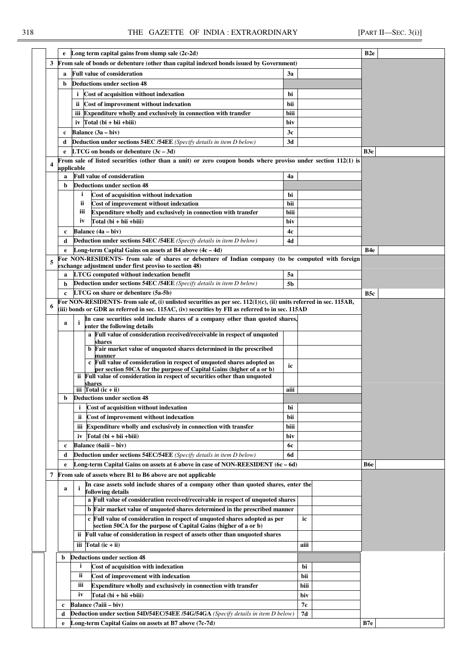|                  | e               | Long term capital gains from slump sale $(2c-2d)$                                                                                                            |                |      | B <sub>2e</sub> |  |
|------------------|-----------------|--------------------------------------------------------------------------------------------------------------------------------------------------------------|----------------|------|-----------------|--|
| 3                |                 | From sale of bonds or debenture (other than capital indexed bonds issued by Government)                                                                      |                |      |                 |  |
|                  | a               | <b>Full value of consideration</b>                                                                                                                           | 3a             |      |                 |  |
|                  | b               | <b>Deductions under section 48</b>                                                                                                                           |                |      |                 |  |
|                  |                 |                                                                                                                                                              |                |      |                 |  |
|                  |                 | Cost of acquisition without indexation<br>i.                                                                                                                 | bi             |      |                 |  |
|                  |                 | Cost of improvement without indexation<br>ii.                                                                                                                | bii            |      |                 |  |
|                  |                 | iii Expenditure wholly and exclusively in connection with transfer                                                                                           | biii           |      |                 |  |
|                  |                 | $Total (bi + bii + biii)$<br>iv                                                                                                                              | biv            |      |                 |  |
|                  | c               | Balance (3a – biv)                                                                                                                                           | 3c             |      |                 |  |
|                  | d               | <b>Deduction under sections 54EC /54EE</b> (Specify details in item D below)                                                                                 | 3d             |      |                 |  |
|                  | e               | <b>LTCG</b> on bonds or debenture $(3c - 3d)$                                                                                                                |                |      | B3e             |  |
| $\boldsymbol{4}$ |                 | From sale of listed securities (other than a unit) or zero coupon bonds where proviso under section 112(1) is                                                |                |      |                 |  |
|                  | applicable<br>a | <b>Full value of consideration</b>                                                                                                                           | 4a             |      |                 |  |
|                  | b               | <b>Deductions under section 48</b>                                                                                                                           |                |      |                 |  |
|                  |                 | i<br>Cost of acquisition without indexation                                                                                                                  | bi             |      |                 |  |
|                  |                 | Cost of improvement without indexation<br>ii                                                                                                                 | bii            |      |                 |  |
|                  |                 | iii<br>Expenditure wholly and exclusively in connection with transfer                                                                                        | biii           |      |                 |  |
|                  |                 | iv<br>Total (bi + bii + biii)                                                                                                                                | biv            |      |                 |  |
|                  |                 | Balance (4a – biv)                                                                                                                                           |                |      |                 |  |
|                  | c               |                                                                                                                                                              | 4c             |      |                 |  |
|                  | d               | <b>Deduction under sections 54EC /54EE</b> (Specify details in item D below)                                                                                 | 4d             |      |                 |  |
|                  | e               | Long-term Capital Gains on assets at B4 above $(4c - 4d)$                                                                                                    |                |      | B4e             |  |
| 5                |                 | For NON-RESIDENTS- from sale of shares or debenture of Indian company (to be computed with foreign<br>exchange adjustment under first proviso to section 48) |                |      |                 |  |
|                  | a               | <b>LTCG</b> computed without indexation benefit                                                                                                              | 5a             |      |                 |  |
|                  | b               | Deduction under sections 54EC /54EE (Specify details in item D below)                                                                                        | 5 <sub>b</sub> |      |                 |  |
|                  | $\mathbf c$     | LTCG on share or debenture (5a-5b)                                                                                                                           |                |      | B <sub>5c</sub> |  |
|                  |                 | For NON-RESIDENTS- from sale of, (i) unlisted securities as per sec. $112(1)(c)$ , (ii) units referred in sec. $115AB$ ,                                     |                |      |                 |  |
| 6                |                 | (iii) bonds or GDR as referred in sec. 115AC, (iv) securities by FII as referred to in sec. 115AD                                                            |                |      |                 |  |
|                  |                 | In case securities sold include shares of a company other than quoted shares,                                                                                |                |      |                 |  |
|                  | a               | i<br>enter the following details                                                                                                                             |                |      |                 |  |
|                  |                 | a Full value of consideration received/receivable in respect of unquoted                                                                                     |                |      |                 |  |
|                  |                 | shares<br>b Fair market value of unquoted shares determined in the prescribed                                                                                |                |      |                 |  |
|                  |                 | manner                                                                                                                                                       |                |      |                 |  |
|                  |                 | c Full value of consideration in respect of unquoted shares adopted as                                                                                       | ic             |      |                 |  |
|                  |                 | per section 50CA for the purpose of Capital Gains (higher of a or b)<br>ii Full value of consideration in respect of securities other than unquoted          |                |      |                 |  |
|                  |                 | shares                                                                                                                                                       |                |      |                 |  |
|                  |                 | iii $Total (ic + ii)$                                                                                                                                        | aiii           |      |                 |  |
|                  | b               | <b>Deductions under section 48</b>                                                                                                                           |                |      |                 |  |
|                  |                 | Cost of acquisition without indexation<br>i                                                                                                                  | bi             |      |                 |  |
|                  |                 | Cost of improvement without indexation<br>ii.                                                                                                                | bii            |      |                 |  |
|                  |                 | Expenditure wholly and exclusively in connection with transfer<br>iii                                                                                        | biii           |      |                 |  |
|                  |                 | iv $Total (bi + bii + biii)$                                                                                                                                 | biv            |      |                 |  |
|                  | c               | Balance (6aiii – biv)                                                                                                                                        | 6с             |      |                 |  |
|                  | d               | <b>Deduction under sections 54EC/54EE</b> (Specify details in item D below)                                                                                  | 6d             |      |                 |  |
|                  | e               | Long-term Capital Gains on assets at 6 above in case of NON-REESIDENT (6c – 6d)                                                                              |                |      | <b>B6e</b>      |  |
| 7                |                 | From sale of assets where B1 to B6 above are not applicable                                                                                                  |                |      |                 |  |
|                  |                 | In case assets sold include shares of a company other than quoted shares, enter the                                                                          |                |      |                 |  |
|                  | a               | <sup>i</sup><br>following details                                                                                                                            |                |      |                 |  |
|                  |                 | a Full value of consideration received/receivable in respect of unquoted shares                                                                              |                |      |                 |  |
|                  |                 | b Fair market value of unquoted shares determined in the prescribed manner                                                                                   |                |      |                 |  |
|                  |                 | c Full value of consideration in respect of unquoted shares adopted as per                                                                                   |                | ic   |                 |  |
|                  |                 | section 50CA for the purpose of Capital Gains (higher of a or b)                                                                                             |                |      |                 |  |
|                  |                 | ii Full value of consideration in respect of assets other than unquoted shares                                                                               |                |      |                 |  |
|                  |                 | iii $Total (ic + ii)$                                                                                                                                        |                | aiii |                 |  |
|                  | b               | <b>Deductions under section 48</b>                                                                                                                           |                |      |                 |  |
|                  |                 | $\mathbf{i}$<br>Cost of acquisition with indexation                                                                                                          |                | bi   |                 |  |
|                  |                 | ii<br>Cost of improvement with indexation                                                                                                                    |                | bii  |                 |  |
|                  |                 | iii<br>Expenditure wholly and exclusively in connection with transfer                                                                                        |                | biii |                 |  |
|                  |                 | iv<br>Total (bi + bii + biii)                                                                                                                                |                |      |                 |  |
|                  |                 |                                                                                                                                                              |                | biv  |                 |  |
|                  | c               | Balance (7aiii - biv)                                                                                                                                        |                | 7с   |                 |  |
|                  | d               | Deduction under section 54D/54EC/54EE /54G/54GA (Specify details in item D below)                                                                            |                | 7d   |                 |  |
|                  | e               | Long-term Capital Gains on assets at B7 above (7c-7d)                                                                                                        |                |      | B7e             |  |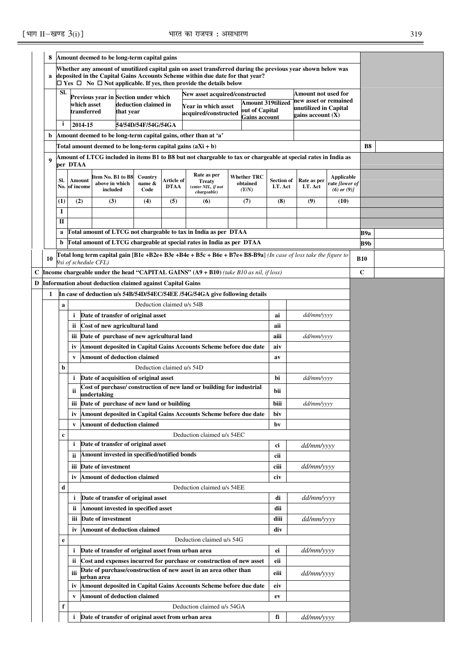|   | 8                                       | Amount deemed to be long-term capital gains                                                   |                                                                                                                                          |                                                               |           |                           |             |                                                                                                                                                                     |      |                    |                   |                                            |                                           |            |           |  |
|---|-----------------------------------------|-----------------------------------------------------------------------------------------------|------------------------------------------------------------------------------------------------------------------------------------------|---------------------------------------------------------------|-----------|---------------------------|-------------|---------------------------------------------------------------------------------------------------------------------------------------------------------------------|------|--------------------|-------------------|--------------------------------------------|-------------------------------------------|------------|-----------|--|
|   |                                         |                                                                                               |                                                                                                                                          |                                                               |           |                           |             | Whether any amount of unutilized capital gain on asset transferred during the previous year shown below was                                                         |      |                    |                   |                                            |                                           |            |           |  |
|   | a                                       |                                                                                               |                                                                                                                                          |                                                               |           |                           |             | deposited in the Capital Gains Accounts Scheme within due date for that year?<br>$\Box$ Yes $\Box$ No $\Box$ Not applicable. If yes, then provide the details below |      |                    |                   |                                            |                                           |            |           |  |
|   |                                         | SI.                                                                                           |                                                                                                                                          |                                                               |           |                           |             | New asset acquired/constructed                                                                                                                                      |      |                    |                   | Amount not used for                        |                                           |            |           |  |
|   |                                         |                                                                                               |                                                                                                                                          | Previous year in Section under which<br>which asset           |           | deduction claimed in      |             |                                                                                                                                                                     |      | Amount 319tilized  |                   | new asset or remained                      |                                           |            |           |  |
|   |                                         |                                                                                               |                                                                                                                                          | transferred                                                   | that year |                           |             | Year in which asset<br>acquired/constructed                                                                                                                         |      | out of Capital     |                   | unutilized in Capital<br>gains account (X) |                                           |            |           |  |
|   |                                         | i                                                                                             |                                                                                                                                          | 2014-15                                                       |           | 54/54D/54F/54G/54GA       |             |                                                                                                                                                                     |      | Gains account      |                   |                                            |                                           |            |           |  |
|   | b                                       |                                                                                               |                                                                                                                                          |                                                               |           |                           |             | Amount deemed to be long-term capital gains, other than at 'a'                                                                                                      |      |                    |                   |                                            |                                           |            |           |  |
|   |                                         |                                                                                               |                                                                                                                                          | Total amount deemed to be long-term capital gains $(aXi + b)$ |           |                           |             |                                                                                                                                                                     |      |                    |                   |                                            |                                           |            | <b>B8</b> |  |
|   |                                         |                                                                                               |                                                                                                                                          |                                                               |           |                           |             | Amount of LTCG included in items B1 to B8 but not chargeable to tax or chargeable at special rates in India as                                                      |      |                    |                   |                                            |                                           |            |           |  |
|   | 9                                       |                                                                                               | per DTAA                                                                                                                                 |                                                               |           |                           |             |                                                                                                                                                                     |      |                    |                   |                                            |                                           |            |           |  |
|   |                                         | SI.                                                                                           | Amount                                                                                                                                   | Item No. B1 to B8                                             |           | Country                   | Article of  | Rate as per                                                                                                                                                         |      | <b>Whether TRC</b> | <b>Section of</b> | Rate as per                                | Applicable                                |            |           |  |
|   |                                         |                                                                                               | No. of income                                                                                                                            | above in which<br>included                                    |           | name &<br>Code            | <b>DTAA</b> | <b>Treaty</b><br>(enter NIL, if not                                                                                                                                 |      | obtained<br>(Y/N)  | I.T. Act          | I.T. Act                                   | rate <i>[lower of</i><br>$(6)$ or $(9)$ ] |            |           |  |
|   |                                         | (1)                                                                                           | (2)                                                                                                                                      | (3)                                                           |           | (4)                       | (5)         | chargeable)<br>(6)                                                                                                                                                  |      | (7)                | (8)               | (9)                                        | (10)                                      |            |           |  |
|   |                                         | 1                                                                                             |                                                                                                                                          |                                                               |           |                           |             |                                                                                                                                                                     |      |                    |                   |                                            |                                           |            |           |  |
|   |                                         | П                                                                                             |                                                                                                                                          |                                                               |           |                           |             |                                                                                                                                                                     |      |                    |                   |                                            |                                           |            |           |  |
|   |                                         | a                                                                                             |                                                                                                                                          |                                                               |           |                           |             |                                                                                                                                                                     |      |                    |                   |                                            |                                           |            | B9a       |  |
|   |                                         | b                                                                                             | Total amount of LTCG not chargeable to tax in India as per DTAA<br>Total amount of LTCG chargeable at special rates in India as per DTAA |                                                               |           |                           |             |                                                                                                                                                                     |      |                    |                   |                                            | B9b                                       |            |           |  |
|   |                                         |                                                                                               |                                                                                                                                          |                                                               |           |                           |             | Total long term capital gain [B1e +B2e+ B3e +B4e + B5c + B6e + B7e+ B8-B9a] (In case of loss take the figure to                                                     |      |                    |                   |                                            |                                           |            |           |  |
|   | 10                                      |                                                                                               |                                                                                                                                          | 9xi of schedule CFL)                                          |           |                           |             |                                                                                                                                                                     |      |                    |                   |                                            |                                           | <b>B10</b> |           |  |
|   |                                         | <b>Income chargeable under the head "CAPITAL GAINS" (A9 + B10)</b> (take B10 as nil, if loss) |                                                                                                                                          |                                                               |           |                           |             |                                                                                                                                                                     |      |                    |                   |                                            | $\mathbf c$                               |            |           |  |
| D |                                         | <b>Information about deduction claimed against Capital Gains</b>                              |                                                                                                                                          |                                                               |           |                           |             |                                                                                                                                                                     |      |                    |                   |                                            |                                           |            |           |  |
|   | 1                                       |                                                                                               |                                                                                                                                          |                                                               |           |                           |             | In case of deduction u/s 54B/54D/54EC/54EE /54G/54GA give following details                                                                                         |      |                    |                   |                                            |                                           |            |           |  |
|   |                                         | a                                                                                             |                                                                                                                                          |                                                               |           | Deduction claimed u/s 54B |             |                                                                                                                                                                     |      |                    |                   |                                            |                                           |            |           |  |
|   |                                         |                                                                                               | i                                                                                                                                        | Date of transfer of original asset                            |           |                           |             |                                                                                                                                                                     |      |                    | ai                | dd/mm/yyyy                                 |                                           |            |           |  |
|   |                                         |                                                                                               | ii.                                                                                                                                      | Cost of new agricultural land                                 |           |                           |             |                                                                                                                                                                     |      |                    | aii               |                                            |                                           |            |           |  |
|   |                                         |                                                                                               | <u>iii</u>                                                                                                                               | Date of purchase of new agricultural land                     |           |                           |             |                                                                                                                                                                     |      |                    | aiii              | dd/mm/yyyy                                 |                                           |            |           |  |
|   |                                         |                                                                                               | iv                                                                                                                                       |                                                               |           |                           |             | Amount deposited in Capital Gains Accounts Scheme before due date                                                                                                   |      |                    | aiv               |                                            |                                           |            |           |  |
|   |                                         |                                                                                               | V                                                                                                                                        | <b>Amount of deduction claimed</b>                            |           |                           |             |                                                                                                                                                                     |      |                    | av                |                                            |                                           |            |           |  |
|   |                                         | b                                                                                             |                                                                                                                                          |                                                               |           | Deduction claimed u/s 54D |             |                                                                                                                                                                     |      |                    |                   |                                            |                                           |            |           |  |
|   |                                         |                                                                                               | i.                                                                                                                                       | Date of acquisition of original asset                         |           |                           |             |                                                                                                                                                                     |      |                    | bi                | dd/mm/yyyy                                 |                                           |            |           |  |
|   |                                         |                                                                                               | ii                                                                                                                                       | undertaking                                                   |           |                           |             | Cost of purchase/construction of new land or building for industrial                                                                                                |      |                    | bii               |                                            |                                           |            |           |  |
|   |                                         |                                                                                               |                                                                                                                                          | iii Date of purchase of new land or building                  |           |                           |             |                                                                                                                                                                     |      |                    | biii              | dd/mm/yyyy                                 |                                           |            |           |  |
|   |                                         |                                                                                               | iv                                                                                                                                       |                                                               |           |                           |             | Amount deposited in Capital Gains Accounts Scheme before due date                                                                                                   |      |                    | biv               |                                            |                                           |            |           |  |
|   |                                         |                                                                                               | V                                                                                                                                        | <b>Amount of deduction claimed</b>                            |           |                           |             |                                                                                                                                                                     |      |                    | bv                |                                            |                                           |            |           |  |
|   |                                         | c                                                                                             |                                                                                                                                          |                                                               |           |                           |             | Deduction claimed u/s 54EC                                                                                                                                          |      |                    |                   |                                            |                                           |            |           |  |
|   |                                         |                                                                                               | i                                                                                                                                        | Date of transfer of original asset                            |           |                           |             |                                                                                                                                                                     |      |                    | ci                | dd/mm/yyyy                                 |                                           |            |           |  |
|   |                                         |                                                                                               | ii                                                                                                                                       | Amount invested in specified/notified bonds                   |           |                           |             |                                                                                                                                                                     |      |                    | cii               |                                            |                                           |            |           |  |
|   |                                         |                                                                                               | iii                                                                                                                                      | Date of investment                                            |           |                           |             |                                                                                                                                                                     |      |                    | ciii              | dd/mm/yyyy                                 |                                           |            |           |  |
|   |                                         |                                                                                               | iv                                                                                                                                       | <b>Amount of deduction claimed</b>                            |           |                           |             |                                                                                                                                                                     |      |                    | civ               |                                            |                                           |            |           |  |
|   |                                         | d                                                                                             |                                                                                                                                          |                                                               |           |                           |             | Deduction claimed u/s 54EE                                                                                                                                          |      |                    |                   |                                            |                                           |            |           |  |
|   |                                         |                                                                                               | i                                                                                                                                        | Date of transfer of original asset                            |           |                           |             |                                                                                                                                                                     |      |                    | di                | dd/mm/yyyy                                 |                                           |            |           |  |
|   |                                         |                                                                                               | Amount invested in specified asset<br>ii                                                                                                 |                                                               |           |                           |             |                                                                                                                                                                     |      | dii                |                   |                                            |                                           |            |           |  |
|   |                                         | Date of investment<br>iii                                                                     |                                                                                                                                          |                                                               |           |                           |             |                                                                                                                                                                     | diii | <i>dd/mm/yyyy</i>  |                   |                                            |                                           |            |           |  |
|   |                                         |                                                                                               | <b>Amount of deduction claimed</b><br>iv                                                                                                 |                                                               |           |                           |             |                                                                                                                                                                     |      | div                |                   |                                            |                                           |            |           |  |
|   |                                         | Deduction claimed u/s 54G<br>e                                                                |                                                                                                                                          |                                                               |           |                           |             |                                                                                                                                                                     |      |                    |                   |                                            |                                           |            |           |  |
|   |                                         |                                                                                               | i                                                                                                                                        | Date of transfer of original asset from urban area            |           |                           |             |                                                                                                                                                                     |      |                    | ei                | dd/mm/yyyy                                 |                                           |            |           |  |
|   |                                         | Cost and expenses incurred for purchase or construction of new asset<br>ii                    |                                                                                                                                          |                                                               |           |                           |             |                                                                                                                                                                     | eii  |                    |                   |                                            |                                           |            |           |  |
|   |                                         | Date of purchase/construction of new asset in an area other than<br>iii<br>urban area         |                                                                                                                                          |                                                               |           |                           |             |                                                                                                                                                                     | eiii | dd/mm/yyyy         |                   |                                            |                                           |            |           |  |
|   |                                         | Amount deposited in Capital Gains Accounts Scheme before due date<br>iv                       |                                                                                                                                          |                                                               |           |                           |             |                                                                                                                                                                     | eiv  |                    |                   |                                            |                                           |            |           |  |
|   | <b>Amount of deduction claimed</b><br>V |                                                                                               |                                                                                                                                          |                                                               |           |                           | ev          |                                                                                                                                                                     |      |                    |                   |                                            |                                           |            |           |  |
|   |                                         | Deduction claimed u/s 54GA<br>f                                                               |                                                                                                                                          |                                                               |           |                           |             |                                                                                                                                                                     |      |                    |                   |                                            |                                           |            |           |  |
|   |                                         | Date of transfer of original asset from urban area<br>i                                       |                                                                                                                                          |                                                               |           |                           |             |                                                                                                                                                                     |      | fi                 | dd/mm/yyyy        |                                            |                                           |            |           |  |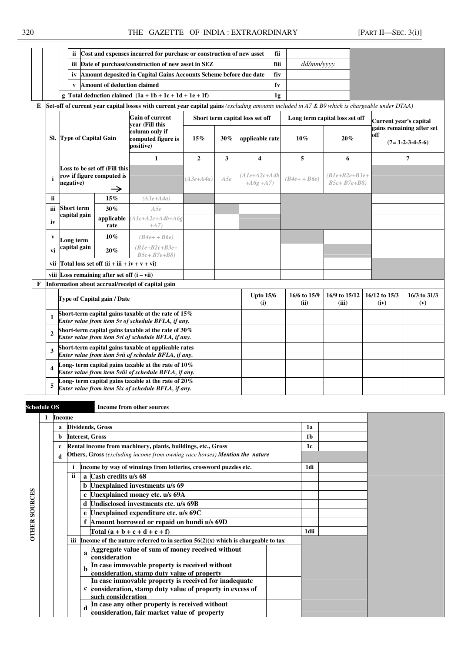|   |                |                                                       |                                                                                                              | ii Cost and expenses incurred for purchase or construction of new asset                                                                       |              |     |                                 | fii            |                                |                                     |                                                       |                        |                     |
|---|----------------|-------------------------------------------------------|--------------------------------------------------------------------------------------------------------------|-----------------------------------------------------------------------------------------------------------------------------------------------|--------------|-----|---------------------------------|----------------|--------------------------------|-------------------------------------|-------------------------------------------------------|------------------------|---------------------|
|   |                |                                                       |                                                                                                              | iii Date of purchase/construction of new asset in SEZ                                                                                         |              |     |                                 | fiii           | dd/mm/yyyy                     |                                     |                                                       |                        |                     |
|   |                | iv                                                    |                                                                                                              | Amount deposited in Capital Gains Accounts Scheme before due date                                                                             |              |     |                                 | fiv            |                                |                                     |                                                       |                        |                     |
|   |                | $\mathbf{v}$                                          | Amount of deduction claimed                                                                                  |                                                                                                                                               |              |     |                                 | fv             |                                |                                     |                                                       |                        |                     |
|   |                |                                                       |                                                                                                              | g Total deduction claimed $(1a + 1b + 1c + 1d + 1e + 1f)$                                                                                     |              |     |                                 | 1 <sub>g</sub> |                                |                                     |                                                       |                        |                     |
| E |                |                                                       |                                                                                                              | Set-off of current year capital losses with current year capital gains (excluding amounts included in A7 & B9 which is chargeable under DTAA) |              |     |                                 |                |                                |                                     |                                                       |                        |                     |
|   |                |                                                       |                                                                                                              | <b>Gain of current</b>                                                                                                                        |              |     | Short term capital loss set off |                | Long term capital loss set off |                                     |                                                       | Current year's capital |                     |
|   |                | Sl. Type of Capital Gain                              |                                                                                                              | vear (Fill this<br>column only if<br>computed figure is<br>positive)                                                                          | 15%          | 30% | applicable rate                 |                | 10%                            | 20%                                 | gains remaining after set<br>off<br>$(7=1-2-3-4-5-6)$ |                        |                     |
|   |                |                                                       |                                                                                                              | $\mathbf{1}$                                                                                                                                  | $\mathbf{2}$ | 3   | $\overline{\mathbf{4}}$         |                | 5                              | 6                                   |                                                       |                        | 7                   |
|   | $\mathbf i$    | negative)                                             | Loss to be set off (Fill this<br>row if figure computed is<br>→                                              |                                                                                                                                               | $(A3e+A4a)$  | A5e | (A1e+A2c+A4b<br>$+ A6g + A7$    |                | $(B4e + B6e)$                  | $(B1e+B2e+B3e+$<br>$B5c + B7e + B8$ |                                                       |                        |                     |
|   | ii             |                                                       | 15%                                                                                                          | $(A3e+A4a)$                                                                                                                                   |              |     |                                 |                |                                |                                     |                                                       |                        |                     |
|   | iii            | <b>Short term</b>                                     |                                                                                                              |                                                                                                                                               |              |     |                                 |                |                                |                                     |                                                       |                        |                     |
|   | iv             | capital gain                                          | applicable<br>rate                                                                                           | $A1e + A2c + A4b + A6g$<br>$+A7$                                                                                                              |              |     |                                 |                |                                |                                     |                                                       |                        |                     |
|   | V              | Long term                                             | $10\%$                                                                                                       | $(B4e+ + B6e)$                                                                                                                                |              |     |                                 |                |                                |                                     |                                                       |                        |                     |
|   | vi             | capital gain                                          | 20%                                                                                                          | $(B1e+B2e+B3e+$<br>$B5c+B7e+B8$                                                                                                               |              |     |                                 |                |                                |                                     |                                                       |                        |                     |
|   | vii            | Total loss set off $(ii + iii + iv + v + vi)$         |                                                                                                              |                                                                                                                                               |              |     |                                 |                |                                |                                     |                                                       |                        |                     |
|   |                | viii Loss remaining after set off $(i - vii)$         |                                                                                                              |                                                                                                                                               |              |     |                                 |                |                                |                                     |                                                       |                        |                     |
| F |                |                                                       |                                                                                                              | Information about accrual/receipt of capital gain                                                                                             |              |     |                                 |                |                                |                                     |                                                       |                        |                     |
|   |                | Type of Capital gain / Date                           |                                                                                                              |                                                                                                                                               |              |     | <b>Upto 15/6</b><br>(i)         |                | 16/6 to 15/9<br>(ii)           | 16/9 to 15/12<br>(iii)              |                                                       | 16/12 to 15/3<br>(iv)  | 16/3 to 31/3<br>(v) |
|   | 1              |                                                       |                                                                                                              | Short-term capital gains taxable at the rate of 15%<br>Enter value from item 5v of schedule BFLA, if any.                                     |              |     |                                 |                |                                |                                     |                                                       |                        |                     |
|   | $\overline{2}$ |                                                       |                                                                                                              | Short-term capital gains taxable at the rate of $30\%$<br>Enter value from item 5vi of schedule BFLA, if any.                                 |              |     |                                 |                |                                |                                     |                                                       |                        |                     |
|   | 3              |                                                       |                                                                                                              | Short-term capital gains taxable at applicable rates<br>Enter value from item 5vii of schedule BFLA, if any.                                  |              |     |                                 |                |                                |                                     |                                                       |                        |                     |
|   | 4              | Enter value from item 5viii of schedule BFLA, if any. | Long-term capital gains taxable at the rate of $10\%$                                                        |                                                                                                                                               |              |     |                                 |                |                                |                                     |                                                       |                        |                     |
|   | 5              |                                                       | Long-term capital gains taxable at the rate of $20\%$<br>Enter value from item 5ix of schedule BFLA, if any. |                                                                                                                                               |              |     |                                 |                |                                |                                     |                                                       |                        |                     |

**1 Income** 

**OTHER SOURCES** 

**OTHER SOURCES** 

**Schedule OS Income from other sources** 

| Income |           |                                                                                                    |      |  |
|--------|-----------|----------------------------------------------------------------------------------------------------|------|--|
| a      |           | Dividends, Gross                                                                                   | 1a   |  |
| b      |           | <b>Interest, Gross</b>                                                                             | 1b   |  |
| c      |           | Rental income from machinery, plants, buildings, etc., Gross                                       | 1c   |  |
| d      |           | Others, Gross (excluding income from owning race horses) Mention the nature                        |      |  |
|        |           | Income by way of winnings from lotteries, crossword puzzles etc.                                   | 1di  |  |
|        | <b>ii</b> | a Cash credits u/s 68                                                                              |      |  |
|        |           | <b>b</b> Unexplained investments u/s 69                                                            |      |  |
|        |           | Unexplained money etc. u/s 69A                                                                     |      |  |
|        |           | Undisclosed investments etc. u/s 69B<br>d                                                          |      |  |
|        |           | e Unexplained expenditure etc. u/s 69C                                                             |      |  |
|        |           | Amount borrowed or repaid on hundi u/s 69D                                                         |      |  |
|        |           | $\text{Total} \left( a + b + c + d + e + f \right)$                                                | 1dii |  |
|        |           | iii Income of the nature referred to in section $56(2)(x)$ which is chargeable to tax              |      |  |
|        |           | Aggregate value of sum of money received without<br>a                                              |      |  |
|        |           | consideration                                                                                      |      |  |
|        |           | In case immovable property is received without<br>h<br>consideration, stamp duty value of property |      |  |
|        |           | In case immovable property is received for inadequate                                              |      |  |
|        |           | consideration, stamp duty value of property in excess of<br>c                                      |      |  |
|        |           | such consideration                                                                                 |      |  |
|        |           | In case any other property is received without                                                     |      |  |
|        |           | consideration, fair market value of property                                                       |      |  |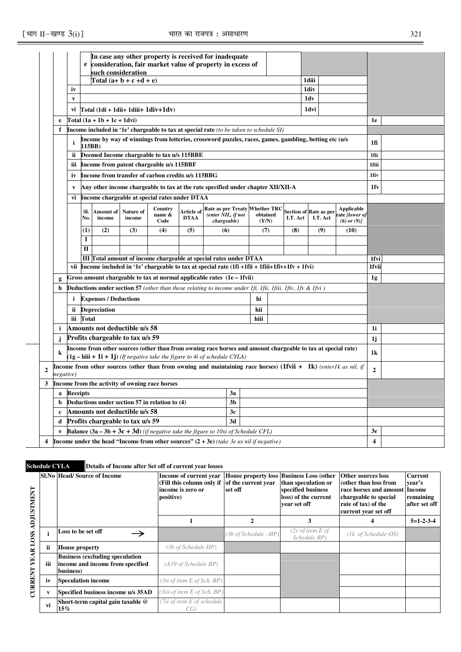|              |             |                 | e                                                                                                                                                                                                                                                                       | In case any other property is received for inadequate<br>consideration, fair market value of property in excess of<br>such consideration |                                         |                                                   |  |                                                                                                                  |      |  |  |       |                                                      |       |  |
|--------------|-------------|-----------------|-------------------------------------------------------------------------------------------------------------------------------------------------------------------------------------------------------------------------------------------------------------------------|------------------------------------------------------------------------------------------------------------------------------------------|-----------------------------------------|---------------------------------------------------|--|------------------------------------------------------------------------------------------------------------------|------|--|--|-------|------------------------------------------------------|-------|--|
|              |             |                 |                                                                                                                                                                                                                                                                         |                                                                                                                                          | Total (a+ b + c +d + e)                 |                                                   |  |                                                                                                                  |      |  |  | 1diii |                                                      |       |  |
|              |             | iv              |                                                                                                                                                                                                                                                                         |                                                                                                                                          |                                         |                                                   |  |                                                                                                                  |      |  |  | 1div  |                                                      |       |  |
|              |             | V               |                                                                                                                                                                                                                                                                         |                                                                                                                                          |                                         |                                                   |  |                                                                                                                  |      |  |  | 1dv   |                                                      |       |  |
|              |             | vi              |                                                                                                                                                                                                                                                                         |                                                                                                                                          | $Total (1di + 1dii + 1dii + 1diiv+1dv)$ |                                                   |  |                                                                                                                  |      |  |  | 1dvi  |                                                      |       |  |
|              | e           |                 |                                                                                                                                                                                                                                                                         | $Total (1a + 1b + 1c + 1dv)$                                                                                                             |                                         |                                                   |  |                                                                                                                  |      |  |  |       |                                                      | 1e    |  |
|              | f           |                 |                                                                                                                                                                                                                                                                         |                                                                                                                                          |                                         |                                                   |  | Income included in '1e' chargeable to tax at special rate (to be taken to schedule SI)                           |      |  |  |       |                                                      |       |  |
|              |             | i               | 115BB)                                                                                                                                                                                                                                                                  |                                                                                                                                          |                                         |                                                   |  | Income by way of winnings from lotteries, crossword puzzles, races, games, gambling, betting etc (u/s            |      |  |  |       |                                                      | 1fi   |  |
|              |             | ii.             |                                                                                                                                                                                                                                                                         |                                                                                                                                          |                                         | Deemed Income chargeable to tax u/s 115BBE        |  |                                                                                                                  |      |  |  |       |                                                      | 1fii  |  |
|              |             | iii             |                                                                                                                                                                                                                                                                         |                                                                                                                                          |                                         | Income from patent chargeable u/s 115BBF          |  |                                                                                                                  |      |  |  |       |                                                      | 1fiii |  |
|              |             | iv              |                                                                                                                                                                                                                                                                         |                                                                                                                                          |                                         | Income from transfer of carbon credits u/s 115BBG |  |                                                                                                                  |      |  |  |       |                                                      | 1fiv  |  |
|              |             | V               |                                                                                                                                                                                                                                                                         |                                                                                                                                          |                                         |                                                   |  | Any other income chargeable to tax at the rate specified under chapter XII/XII-A                                 |      |  |  |       |                                                      | 1fv   |  |
|              |             | vi              | Income chargeable at special rates under DTAA                                                                                                                                                                                                                           |                                                                                                                                          |                                         |                                                   |  |                                                                                                                  |      |  |  |       |                                                      |       |  |
|              |             |                 | Country<br><b>Rate as per Treaty Whether TRC</b><br>Section of Rate as per<br>Sl.<br>Amount of<br>Nature of<br>Article of<br>name &<br>(enter NIL, if not<br>obtained<br>income<br>income<br><b>DTAA</b><br>I.T. Act<br>No.<br>I.T. Act<br>Code<br>chargeable)<br>(Y/N) |                                                                                                                                          |                                         |                                                   |  |                                                                                                                  |      |  |  |       | Applicable<br>ate <i>[lower of</i><br>$(6)$ or $(9)$ |       |  |
|              |             |                 | (5)<br>(9)<br>(1)<br>(2)<br>(3)<br>(4)<br>(6)<br>(7)<br>(8)                                                                                                                                                                                                             |                                                                                                                                          |                                         |                                                   |  |                                                                                                                  |      |  |  |       | (10)                                                 |       |  |
|              |             |                 | I                                                                                                                                                                                                                                                                       |                                                                                                                                          |                                         |                                                   |  |                                                                                                                  |      |  |  |       |                                                      |       |  |
|              |             |                 | $\mathbf{I}$                                                                                                                                                                                                                                                            |                                                                                                                                          |                                         |                                                   |  |                                                                                                                  |      |  |  |       |                                                      |       |  |
|              |             |                 |                                                                                                                                                                                                                                                                         |                                                                                                                                          |                                         |                                                   |  | III Total amount of income chargeable at special rates under DTAA                                                |      |  |  |       |                                                      | 1fvi  |  |
|              |             | vii             |                                                                                                                                                                                                                                                                         |                                                                                                                                          |                                         |                                                   |  | Income included in '1e' chargeable to tax at special rate $(1fi + 1fii + 1fiii + 1fiv + 1fvi)$                   |      |  |  |       |                                                      | 1fvii |  |
|              | g           |                 |                                                                                                                                                                                                                                                                         |                                                                                                                                          |                                         |                                                   |  | Gross amount chargeable to tax at normal applicable rates (1e – 1fvii)                                           |      |  |  |       |                                                      | 1g    |  |
|              | h           |                 |                                                                                                                                                                                                                                                                         |                                                                                                                                          |                                         |                                                   |  | <b>Deductions under section 57</b> (other than those relating to income under 1fi, 1fii, 1fii, 1fiv, 1fv & 1fvi) |      |  |  |       |                                                      |       |  |
|              |             | i               |                                                                                                                                                                                                                                                                         | <b>Expenses / Deductions</b>                                                                                                             |                                         |                                                   |  |                                                                                                                  | hi   |  |  |       |                                                      |       |  |
|              |             | ij.             |                                                                                                                                                                                                                                                                         | <b>Depreciation</b>                                                                                                                      |                                         |                                                   |  |                                                                                                                  | hii  |  |  |       |                                                      |       |  |
|              |             | iii             | Total                                                                                                                                                                                                                                                                   |                                                                                                                                          |                                         |                                                   |  |                                                                                                                  | hiii |  |  |       |                                                      |       |  |
|              | i           |                 |                                                                                                                                                                                                                                                                         |                                                                                                                                          | Amounts not deductible u/s 58           |                                                   |  |                                                                                                                  |      |  |  |       |                                                      | 1i    |  |
|              | j           |                 |                                                                                                                                                                                                                                                                         |                                                                                                                                          | Profits chargeable to tax u/s 59        |                                                   |  |                                                                                                                  |      |  |  |       |                                                      | 1j    |  |
|              | k           |                 |                                                                                                                                                                                                                                                                         |                                                                                                                                          |                                         |                                                   |  | Income from other sources (other than from owning race horses and amount chargeable to tax at special rate)      |      |  |  |       |                                                      | 1k    |  |
| $\mathbf{2}$ | negative)   |                 | $(1g - hiii + 1i + 1j)$ (If negative take the figure to 4i of schedule CYLA)<br>Income from other sources (other than from owning and maintaining race horses) $(1$ fvii + 1k) (enterlk as nil, if                                                                      |                                                                                                                                          |                                         |                                                   |  |                                                                                                                  |      |  |  |       | $\mathbf{2}$                                         |       |  |
| 3            |             |                 | Income from the activity of owning race horses                                                                                                                                                                                                                          |                                                                                                                                          |                                         |                                                   |  |                                                                                                                  |      |  |  |       |                                                      |       |  |
|              | a           | <b>Receipts</b> |                                                                                                                                                                                                                                                                         |                                                                                                                                          |                                         |                                                   |  | 3a                                                                                                               |      |  |  |       |                                                      |       |  |
|              | b           |                 |                                                                                                                                                                                                                                                                         |                                                                                                                                          |                                         | Deductions under section 57 in relation to (4)    |  | 3 <sub>b</sub>                                                                                                   |      |  |  |       |                                                      |       |  |
|              | $\mathbf c$ |                 |                                                                                                                                                                                                                                                                         |                                                                                                                                          | Amounts not deductible u/s 58           |                                                   |  | 3c                                                                                                               |      |  |  |       |                                                      |       |  |
|              | d           |                 |                                                                                                                                                                                                                                                                         |                                                                                                                                          | Profits chargeable to tax u/s 59        |                                                   |  | 3d                                                                                                               |      |  |  |       |                                                      |       |  |
|              | e           |                 | <b>Balance (3a – 3b + 3c + 3d)</b> (if negative take the figure to 10xi of Schedule CFL)                                                                                                                                                                                |                                                                                                                                          |                                         |                                                   |  |                                                                                                                  |      |  |  |       |                                                      | 3e    |  |
| 4            |             |                 |                                                                                                                                                                                                                                                                         |                                                                                                                                          |                                         |                                                   |  | <b>Income under the head "Income from other sources"</b> $(2 + 3e)$ (take 3e as nil if negative)                 |      |  |  |       |                                                      | 4     |  |

**Schedule CYLA Details of Income after Set off of current year losses** 

| <b>ADJUSTMENT</b> |     | Sl.No Head/Source of Income                                                             | Income of current year<br>(Fill this column only if of the current year)<br>income is zero or<br>positive) | set off              | House property loss Business Loss (other<br>than speculation or<br>specified business<br>loss) of the current<br>vear set off | <b>Other sources loss</b><br>(other than loss from<br>race horses and amount Income<br>chargeable to special<br>rate of tax) of the<br>current year set off | <b>Current</b><br>vear's<br>remaining<br>after set off |
|-------------------|-----|-----------------------------------------------------------------------------------------|------------------------------------------------------------------------------------------------------------|----------------------|-------------------------------------------------------------------------------------------------------------------------------|-------------------------------------------------------------------------------------------------------------------------------------------------------------|--------------------------------------------------------|
|                   |     |                                                                                         |                                                                                                            | $\mathbf{2}$         | 3                                                                                                                             | 4                                                                                                                                                           | $5=1-2-3-4$                                            |
|                   |     | Loss to be set off                                                                      |                                                                                                            | (3b of Schedule –HP) | $(2v \text{ of item } E \text{ of }$<br>Schedule BP)                                                                          | $(1k \text{ of Schedule-OS})$                                                                                                                               |                                                        |
|                   | ii  | <b>House property</b>                                                                   | (3b of Schedule HP)                                                                                        |                      |                                                                                                                               |                                                                                                                                                             |                                                        |
| <b>YEAR LOSS</b>  | iii | <b>Business (excluding speculation</b><br>income and income from specified<br>business) | (A39 of Schedule BP)                                                                                       |                      |                                                                                                                               |                                                                                                                                                             |                                                        |
|                   | iv  | <b>Speculation income</b>                                                               | $(3ii$ of item E of Sch. BP)                                                                               |                      |                                                                                                                               |                                                                                                                                                             |                                                        |
| <b>CURRENT</b>    |     | Specified business income u/s 35AD                                                      | (3iii of item E of Sch. BP)                                                                                |                      |                                                                                                                               |                                                                                                                                                             |                                                        |
|                   | vi  | Short-term capital gain taxable @<br>$15\%$                                             | (7ii of item E of schedule)<br>CG)                                                                         |                      |                                                                                                                               |                                                                                                                                                             |                                                        |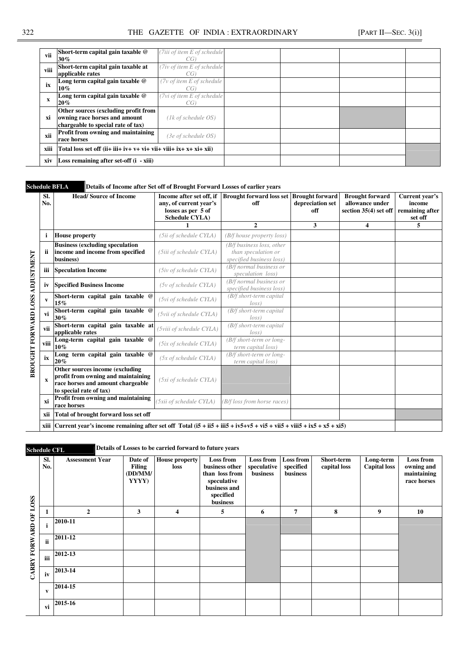### 322 THE GAZETTE OF INDIA : EXTRAORDINARY [PART II—SEC. 3(i)]

| vii  | Short-term capital gain taxable @<br>$30\%$                                                                 | (7iii of item E of schedule<br>CG) |  |  |
|------|-------------------------------------------------------------------------------------------------------------|------------------------------------|--|--|
| viii | Short-term capital gain taxable at<br>applicable rates                                                      | (7iv of item E of schedule)<br>CG) |  |  |
| ix   | Long term capital gain taxable @<br>$10\%$                                                                  | (7v of item E of schedule<br>CG)   |  |  |
| X    | Long term capital gain taxable @<br>$20\%$                                                                  | (7vi of item E of schedule)<br>CG) |  |  |
| xi   | Other sources (excluding profit from<br>owning race horses and amount<br>chargeable to special rate of tax) | $(1k \text{ of schedule } OS)$     |  |  |
| xii  | Profit from owning and maintaining<br>race horses                                                           | $(3e \text{ of schedule } OS)$     |  |  |
| xiii | Total loss set off $(i + ii + iv + v + vi + vi + vi + ix + x + xi + xii)$                                   |                                    |  |  |
| xiv  | Loss remaining after set-off $(i - xiii)$                                                                   |                                    |  |  |

**Schedule BFLA Details of Income after Set off of Brought Forward Losses of earlier years** 

| Sl.<br>No.  | <b>Head/Source of Income</b>                                                                                                          | Income after set off, if<br>any, of current year's<br>losses as per 5 of<br><b>Schedule CYLA</b> ) | <b>Brought forward loss set Brought forward</b><br>off                       | depreciation set<br>off | <b>Brought forward</b><br>allowance under<br>section 35(4) set off | Current year's<br>income<br>remaining after<br>set off |
|-------------|---------------------------------------------------------------------------------------------------------------------------------------|----------------------------------------------------------------------------------------------------|------------------------------------------------------------------------------|-------------------------|--------------------------------------------------------------------|--------------------------------------------------------|
|             |                                                                                                                                       |                                                                                                    | $\mathbf{2}$                                                                 | 3                       | 4                                                                  | 5                                                      |
| i           | <b>House property</b>                                                                                                                 | (5ii of schedule CYLA)                                                                             | (B/f house property loss)                                                    |                         |                                                                    |                                                        |
| ii          | <b>Business (excluding speculation</b><br>income and income from specified<br>business)                                               | (5iii of schedule CYLA)                                                                            | (B/f business loss, other<br>than speculation or<br>specified business loss) |                         |                                                                    |                                                        |
| iii         | <b>Speculation Income</b>                                                                                                             | (5iv of schedule CYLA)                                                                             | (B/f normal business or<br>speculation loss)                                 |                         |                                                                    |                                                        |
| iv          | <b>Specified Business Income</b>                                                                                                      | $(5v \text{ of schedule CYLA})$                                                                    | (B/f normal business or<br>specified business loss)                          |                         |                                                                    |                                                        |
| V           | Short-term capital gain taxable @<br>15%                                                                                              | (5vi of schedule CYLA)                                                                             | (B/f short-term capital<br>loss                                              |                         |                                                                    |                                                        |
| vi          | Short-term capital gain taxable @<br>30%                                                                                              | (5vii of schedule CYLA)                                                                            | (B/f short-term capital<br>loss                                              |                         |                                                                    |                                                        |
| vii         | Short-term capital gain taxable at<br>applicable rates                                                                                | (5viii of schedule CYLA)                                                                           | $(B/f \, short-term \, capital)$<br>loss                                     |                         |                                                                    |                                                        |
| viii        | Long-term capital gain taxable @<br>$10\%$                                                                                            | (5ix of schedule CYLA)                                                                             | (B/f short-term or long-<br>term capital loss)                               |                         |                                                                    |                                                        |
| ix          | Long term capital gain taxable @<br>20%                                                                                               | $(5x \text{ of schedule CYLA})$                                                                    | (B/f short-term or long-<br>term capital loss)                               |                         |                                                                    |                                                        |
| $\mathbf x$ | Other sources income (excluding<br>profit from owning and maintaining<br>race horses and amount chargeable<br>to special rate of tax) | (5xi of schedule CYLA)                                                                             |                                                                              |                         |                                                                    |                                                        |
| xi          | Profit from owning and maintaining<br>race horses                                                                                     | (5xii of schedule CYLA)                                                                            | (B/f loss from horse races)                                                  |                         |                                                                    |                                                        |
| xii         | Total of brought forward loss set off                                                                                                 |                                                                                                    |                                                                              |                         |                                                                    |                                                        |
|             |                                                                                                                                       |                                                                                                    |                                                                              |                         |                                                                    |                                                        |

**Schedule CFL Details of Losses to be carried forward to future years** 

|                 | SI.<br>No. | <b>Assessment Year</b> | Date of<br><b>Filing</b><br>(DD/MM/<br>YYYY) | <b>House property</b><br>loss | Loss from<br>business other<br>than loss from<br>speculative<br>business and | <b>Loss from</b><br>speculative<br>business | <b>Loss from</b><br>specified<br>business | Short-term<br>capital loss | Long-term<br><b>Capital</b> loss | Loss from<br>owning and<br>maintaining<br>race horses |
|-----------------|------------|------------------------|----------------------------------------------|-------------------------------|------------------------------------------------------------------------------|---------------------------------------------|-------------------------------------------|----------------------------|----------------------------------|-------------------------------------------------------|
|                 |            |                        |                                              |                               | specified<br>business                                                        |                                             |                                           |                            |                                  |                                                       |
|                 | 1          | $\overline{2}$         | 3                                            | $\overline{\bf 4}$            | 5                                                                            | 6                                           | 7                                         | 8                          | 9                                | 10                                                    |
| FORWARD OF LOSS | j          | 2010-11                |                                              |                               |                                                                              |                                             |                                           |                            |                                  |                                                       |
|                 | ii         | 2011-12                |                                              |                               |                                                                              |                                             |                                           |                            |                                  |                                                       |
|                 | iii        | 2012-13                |                                              |                               |                                                                              |                                             |                                           |                            |                                  |                                                       |
| <b>CARRY</b>    | iv         | 2013-14                |                                              |                               |                                                                              |                                             |                                           |                            |                                  |                                                       |
|                 | v          | 2014-15                |                                              |                               |                                                                              |                                             |                                           |                            |                                  |                                                       |
|                 | vi         | 2015-16                |                                              |                               |                                                                              |                                             |                                           |                            |                                  |                                                       |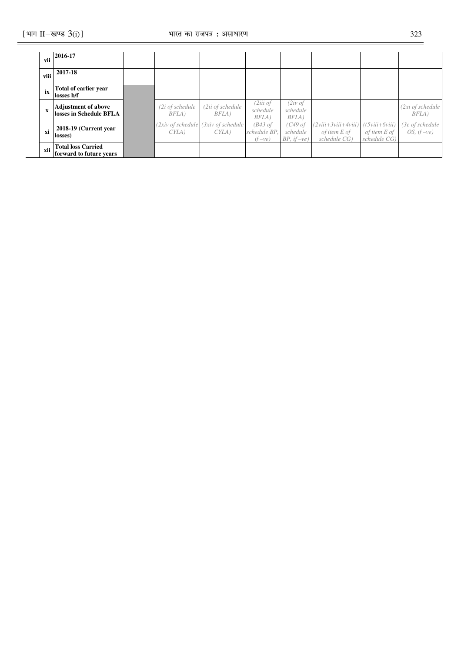| vii  | 2016-17                                               |                            |                                                                   |                                                |                                         |                                                       |                                                        |                                |
|------|-------------------------------------------------------|----------------------------|-------------------------------------------------------------------|------------------------------------------------|-----------------------------------------|-------------------------------------------------------|--------------------------------------------------------|--------------------------------|
| viii | 2017-18                                               |                            |                                                                   |                                                |                                         |                                                       |                                                        |                                |
| ix   | Total of earlier year<br>losses b/f                   |                            |                                                                   |                                                |                                         |                                                       |                                                        |                                |
| X    | <b>Adjustment of above</b><br>losses in Schedule BFLA | $(2i$ of schedule<br>BFLA) | $(2ii$ of schedule<br>BFLA)                                       | (2iii of<br>schedule<br>BFLA)                  | $(2iv \text{ of }$<br>schedule<br>BFLA) |                                                       |                                                        | (2xi of schedule<br>$BFLA$ )   |
| xi   | 2018-19 (Current year)<br>losses)                     | CYLA                       | $(2xiv \text{ of schedule } (3xiv \text{ of schedule } )$<br>CYLA | $(B43 \text{ of }$<br>schedule BP,<br>$if-ve)$ | (C49 of<br>schedule<br>$BP, if -ve)$    | $(2viii+3viii+4viii)$<br>of item E of<br>schedule CG) | $((5viii+6viii)$<br>of item E of<br>$s$ chedule $CG$ ) | (3e of schedule<br>OS, $if-ve$ |
| xii  | <b>Total loss Carried</b><br>forward to future years  |                            |                                                                   |                                                |                                         |                                                       |                                                        |                                |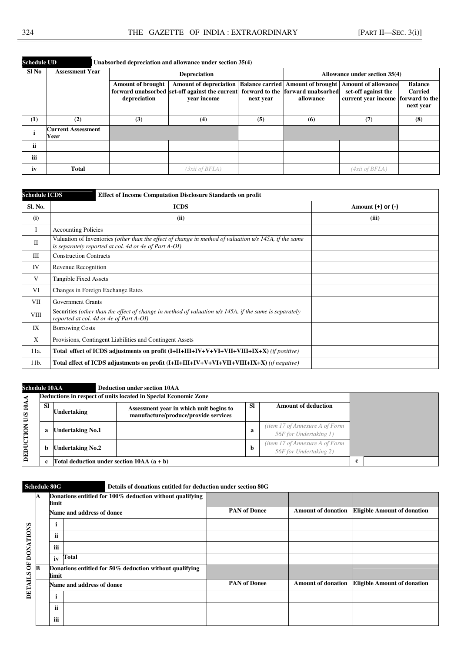| <b>Schedule UD</b> |                                   | Unabsorbed depreciation and allowance under section 35(4) |                                          |                                                                                                                                  |                               |           |                                                                                                            |                                                                 |  |  |  |  |
|--------------------|-----------------------------------|-----------------------------------------------------------|------------------------------------------|----------------------------------------------------------------------------------------------------------------------------------|-------------------------------|-----------|------------------------------------------------------------------------------------------------------------|-----------------------------------------------------------------|--|--|--|--|
| Sl No              | <b>Assessment Year</b>            |                                                           |                                          | <b>Depreciation</b>                                                                                                              | Allowance under section 35(4) |           |                                                                                                            |                                                                 |  |  |  |  |
|                    |                                   |                                                           | <b>Amount of brought</b><br>depreciation | <b>Amount of depreciation</b><br>forward unabsorbed set-off against the current forward to the forward unabsorbed<br>year income | next year                     | allowance | <b>Balance carried Amount of brought Amount of allowance</b><br>set-off against the<br>current year income | <b>Balance</b><br><b>Carried</b><br>forward to the<br>next year |  |  |  |  |
| (1)                | (2)                               |                                                           | (3)                                      | (4)                                                                                                                              | (5)                           | (6)       | (7)                                                                                                        | (8)                                                             |  |  |  |  |
|                    | <b>Current Assessment</b><br>Year |                                                           |                                          |                                                                                                                                  |                               |           |                                                                                                            |                                                                 |  |  |  |  |
| <b>ii</b>          |                                   |                                                           |                                          |                                                                                                                                  |                               |           |                                                                                                            |                                                                 |  |  |  |  |
| iii                |                                   |                                                           |                                          |                                                                                                                                  |                               |           |                                                                                                            |                                                                 |  |  |  |  |
| iv                 | <b>Total</b>                      |                                                           |                                          | (3xii of BFLA)                                                                                                                   |                               |           | (4xii of BFLA)                                                                                             |                                                                 |  |  |  |  |

| <b>Schedule ICDS</b> | <b>Effect of Income Computation Disclosure Standards on profit</b>                                                                                              |                       |  |  |  |  |  |
|----------------------|-----------------------------------------------------------------------------------------------------------------------------------------------------------------|-----------------------|--|--|--|--|--|
| Sl. No.              | <b>ICDS</b>                                                                                                                                                     | Amount $(+)$ or $(-)$ |  |  |  |  |  |
| (i)                  | (ii)                                                                                                                                                            | (iii)                 |  |  |  |  |  |
| I                    | <b>Accounting Policies</b>                                                                                                                                      |                       |  |  |  |  |  |
| $\mathbf{I}$         | Valuation of Inventories (other than the effect of change in method of valuation u/s 145A, if the same<br>is separately reported at col. 4d or 4e of Part A-OI) |                       |  |  |  |  |  |
| Ш                    | <b>Construction Contracts</b>                                                                                                                                   |                       |  |  |  |  |  |
| IV                   | Revenue Recognition                                                                                                                                             |                       |  |  |  |  |  |
| V                    | Tangible Fixed Assets                                                                                                                                           |                       |  |  |  |  |  |
| VI                   | Changes in Foreign Exchange Rates                                                                                                                               |                       |  |  |  |  |  |
| VІІ                  | <b>Government Grants</b>                                                                                                                                        |                       |  |  |  |  |  |
| <b>VIII</b>          | Securities (other than the effect of change in method of valuation u/s 145A, if the same is separately<br>reported at col. 4d or 4e of Part A-OI)               |                       |  |  |  |  |  |
| IX                   | <b>Borrowing Costs</b>                                                                                                                                          |                       |  |  |  |  |  |
| X                    | Provisions, Contingent Liabilities and Contingent Assets                                                                                                        |                       |  |  |  |  |  |
| 11a.                 | Total effect of ICDS adjustments on profit (I+II+III+IV+V+VI+VII+VIII+IX+X) (if positive)                                                                       |                       |  |  |  |  |  |
| 11b.                 | Total effect of ICDS adjustments on profit (I+II+III+IV+V+VI+VII+VIII+IX+X) (if negative)                                                                       |                       |  |  |  |  |  |

| <b>Schedule 10AA</b>                   |           |                                                                 | <b>Deduction under section 10AA</b>                                             |           |                                                          |  |  |
|----------------------------------------|-----------|-----------------------------------------------------------------|---------------------------------------------------------------------------------|-----------|----------------------------------------------------------|--|--|
|                                        |           | Deductions in respect of units located in Special Economic Zone |                                                                                 |           |                                                          |  |  |
| $10\text{\AA}$<br>SID<br>CTION<br>DEDU | <b>SI</b> | Undertaking                                                     | Assessment year in which unit begins to<br>manufacture/produce/provide services | <b>SI</b> | <b>Amount of deduction</b>                               |  |  |
|                                        | a         | <b>Undertaking No.1</b>                                         |                                                                                 |           | (item 17 of Annexure A of Form<br>56F for Undertaking 1) |  |  |
|                                        | b         | <b>Undertaking No.2</b>                                         |                                                                                 |           | (item 17 of Annexure A of Form<br>56F for Undertaking 2) |  |  |
|                                        |           | Total deduction under section $10AA$ (a + b)                    | c                                                                               |           |                                                          |  |  |

# **Schedule 80G Details of donations entitled for deduction under section 80G**

|                | A | limit | Donations entitled for 100% deduction without qualifying |                     |                           |                                    |
|----------------|---|-------|----------------------------------------------------------|---------------------|---------------------------|------------------------------------|
|                |   |       | Name and address of donee                                | <b>PAN</b> of Donee | <b>Amount of donation</b> | <b>Eligible Amount of donation</b> |
|                |   |       |                                                          |                     |                           |                                    |
| OF DONATIONS   |   | ii    |                                                          |                     |                           |                                    |
|                |   | iii   |                                                          |                     |                           |                                    |
|                |   | iv    | Total                                                    |                     |                           |                                    |
|                | B | limit | Donations entitled for 50% deduction without qualifying  |                     |                           |                                    |
| <b>DETAILS</b> |   |       | Name and address of donee                                | <b>PAN of Donee</b> | <b>Amount of donation</b> | <b>Eligible Amount of donation</b> |
|                |   |       |                                                          |                     |                           |                                    |
|                |   | ii    |                                                          |                     |                           |                                    |
|                |   | iii   |                                                          |                     |                           |                                    |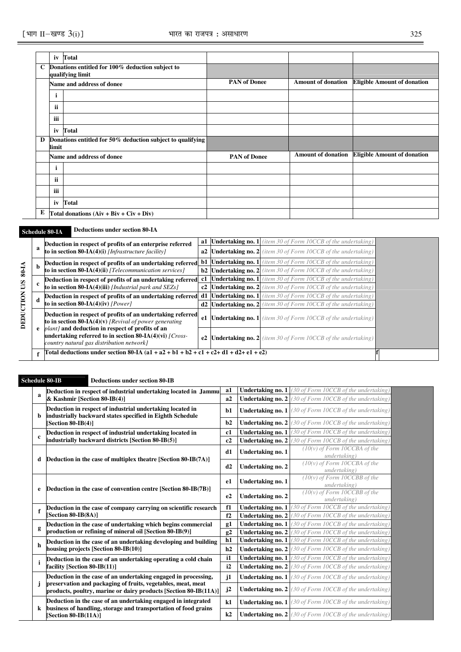|              | iv     | Total                                                                |                     |                           |                                    |
|--------------|--------|----------------------------------------------------------------------|---------------------|---------------------------|------------------------------------|
| $\mathbf{C}$ |        | Donations entitled for 100% deduction subject to<br>qualifying limit |                     |                           |                                    |
|              |        | Name and address of donee                                            | <b>PAN</b> of Donee | <b>Amount of donation</b> | <b>Eligible Amount of donation</b> |
|              | ٠<br>1 |                                                                      |                     |                           |                                    |
|              | ii     |                                                                      |                     |                           |                                    |
|              | iii    |                                                                      |                     |                           |                                    |
|              | iv     | Total                                                                |                     |                           |                                    |
| D            | limit  | Donations entitled for 50% deduction subject to qualifying           |                     |                           |                                    |
|              |        | Name and address of donee                                            | <b>PAN</b> of Donee | <b>Amount of donation</b> | <b>Eligible Amount of donation</b> |
|              | i      |                                                                      |                     |                           |                                    |
|              | ii     |                                                                      |                     |                           |                                    |
|              | iii    |                                                                      |                     |                           |                                    |
|              |        | iv Total                                                             |                     |                           |                                    |
| Е            |        | Total donations $(Aiv + Biv + Civ + Div)$                            |                     |                           |                                    |

# **Schedule 80-IA Deductions under section 80-IA**

|             |    | Deduction in respect of profits of an enterprise referred                                                                                                                                                                                                                                                                                           | a1 | <b>Undertaking no. 1</b> (item 30 of Form 10CCB of the undertaking)    |  |
|-------------|----|-----------------------------------------------------------------------------------------------------------------------------------------------------------------------------------------------------------------------------------------------------------------------------------------------------------------------------------------------------|----|------------------------------------------------------------------------|--|
|             |    | to in section 80-IA(4)(i) [Infrastructure facility]                                                                                                                                                                                                                                                                                                 | a2 | <b>Undertaking no. 2</b> (item 30 of Form 10CCB of the undertaking)    |  |
|             |    | Deduction in respect of profits of an undertaking referred b1                                                                                                                                                                                                                                                                                       |    | <b>Undertaking no. 1</b> (item 30 of Form 10CCB of the undertaking)    |  |
| 80-IA       | -b | to in section 80- $IA(4)(ii)$ [Telecommunication services]                                                                                                                                                                                                                                                                                          |    | <b>b2</b> Undertaking no. 2 (item 30 of Form 10CCB of the undertaking) |  |
|             |    | Deduction in respect of profits of an undertaking referred c1                                                                                                                                                                                                                                                                                       |    | <b>Undertaking no. 1</b> (item 30 of Form 10CCB of the undertaking)    |  |
| SID         |    | to in section 80-IA(4)(iii) [Industrial park and SEZs]                                                                                                                                                                                                                                                                                              | c2 | <b>Undertaking no. 2</b> (item 30 of Form 10CCB of the undertaking)    |  |
| <b>TION</b> | -d | Deduction in respect of profits of an undertaking referred d1                                                                                                                                                                                                                                                                                       |    | <b>Undertaking no. 1</b> (item 30 of Form 10CCB of the undertaking)    |  |
|             |    | to in section $80-IA(4)(iv)$ [Power]<br>d2<br>Deduction in respect of profits of an undertaking referred<br>e1<br>to in section 80-IA(4)(v) [Revival of power generating<br><i>plant]</i> and deduction in respect of profits of an<br>undertaking referred to in section 80-IA(4)(vi) $/Cross-$<br>e2<br>country natural gas distribution network] |    | <b>Undertaking no. 2</b> (item 30 of Form 10CCB of the undertaking)    |  |
| DEDU        |    |                                                                                                                                                                                                                                                                                                                                                     |    | <b>Undertaking no. 1</b> (item 30 of Form 10CCB of the undertaking)    |  |
|             |    |                                                                                                                                                                                                                                                                                                                                                     |    | <b>Undertaking no. 2</b> (item 30 of Form 10CCB of the undertaking)    |  |
|             |    | Total deductions under section 80-IA $(a1 + a2 + b1 + b2 + c1 + c2 + d1 + d2 + e1 + e2)$                                                                                                                                                                                                                                                            |    |                                                                        |  |

### **Schedule 80-IB Deductions under section 80-IB**

| a            | Deduction in respect of industrial undertaking located in Jammu                                                                  | a1           |                   | <b>Undertaking no. 1</b> (30 of Form 10CCB of the undertaking) |
|--------------|----------------------------------------------------------------------------------------------------------------------------------|--------------|-------------------|----------------------------------------------------------------|
|              | & Kashmir [Section 80-IB(4)]                                                                                                     | a2           |                   | <b>Undertaking no. 2</b> (30 of Form 10CCB of the undertaking) |
| b            | Deduction in respect of industrial undertaking located in<br>industrially backward states specified in Eighth Schedule           | b1           |                   | <b>Undertaking no. 1</b> (30 of Form 10CCB of the undertaking) |
|              | [Section 80-IB(4)]                                                                                                               | b2           |                   | <b>Undertaking no. 2</b> (30 of Form 10CCB of the undertaking) |
|              | Deduction in respect of industrial undertaking located in                                                                        | c1           |                   | <b>Undertaking no. 1</b> (30 of Form 10CCB of the undertaking) |
| $\mathbf c$  | industrially backward districts [Section 80-IB(5)]                                                                               | c2           |                   | <b>Undertaking no. 2</b> (30 of Form 10CCB of the undertaking) |
| d            | Deduction in the case of multiplex theatre [Section 80-IB(7A)]                                                                   | d1           | Undertaking no. 1 | $(10(v)$ of Form 10CCBA of the<br>undertaking)                 |
|              |                                                                                                                                  | d2           | Undertaking no. 2 | $(10(v)$ of Form 10CCBA of the<br>undertaking)                 |
| e            | Deduction in the case of convention centre [Section 80-IB(7B)]                                                                   | e1           | Undertaking no. 1 | $(10(v)$ of Form 10CCBB of the<br>undertaking)                 |
|              |                                                                                                                                  | e2           | Undertaking no. 2 | $(10(v)$ of Form 10CCBB of the<br>undertaking)                 |
| f            | Deduction in the case of company carrying on scientific research                                                                 | f1           | Undertaking no. 1 | (30 of Form 10CCB of the undertaking)                          |
|              | Section 80-IB(8A)]                                                                                                               | f2           |                   | <b>Undertaking no. 2</b> (30 of Form 10CCB of the undertaking) |
|              | Deduction in the case of undertaking which begins commercial                                                                     | g1           |                   | <b>Undertaking no. 1</b> (30 of Form 10CCB of the undertaking) |
| g            | production or refining of mineral oil [Section 80-IB(9)]                                                                         | g2           |                   | <b>Undertaking no. 2</b> (30 of Form 10CCB of the undertaking) |
| h            | Deduction in the case of an undertaking developing and building                                                                  | h1           |                   | <b>Undertaking no. 1</b> (30 of Form 10CCB of the undertaking) |
|              | housing projects [Section 80-IB(10)]                                                                                             | h2           |                   | <b>Undertaking no. 2</b> (30 of Form 10CCB of the undertaking) |
| $\mathbf{i}$ | Deduction in the case of an undertaking operating a cold chain                                                                   | $\mathbf{i}$ |                   | <b>Undertaking no. 1</b> (30 of Form 10CCB of the undertaking) |
|              | facility [Section 80-IB(11)]                                                                                                     | i2           |                   | <b>Undertaking no. 2</b> (30 of Form 10CCB of the undertaking) |
|              | Deduction in the case of an undertaking engaged in processing,                                                                   | $\mathbf{i}$ |                   | <b>Undertaking no. 1</b> (30 of Form 10CCB of the undertaking) |
| j            | preservation and packaging of fruits, vegetables, meat, meat<br>products, poultry, marine or dairy products [Section 80-IB(11A)] | j2           |                   | <b>Undertaking no. 2</b> (30 of Form 10CCB of the undertaking) |
| k            | Deduction in the case of an undertaking engaged in integrated<br>business of handling, storage and transportation of food grains | k1           |                   | <b>Undertaking no. 1</b> (30 of Form 10CCB of the undertaking) |
|              | [Section 80-IB(11A)]                                                                                                             | k2           |                   | <b>Undertaking no. 2</b> (30 of Form 10CCB of the undertaking) |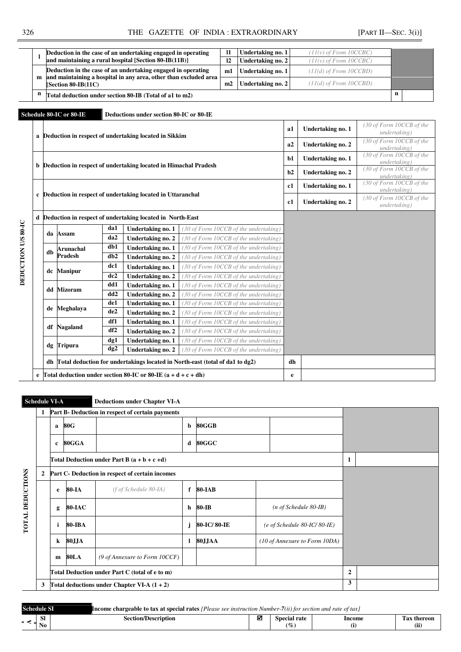| L           |    | Deduction in the case of an undertaking engaged in operating                                                                     |                                                                 | $\mathbf{I}$                                                                 | Undertaking no. 1                     |                                                                            | $(11(v)$ of From 10CCBC)   |                             |  |                                          |
|-------------|----|----------------------------------------------------------------------------------------------------------------------------------|-----------------------------------------------------------------|------------------------------------------------------------------------------|---------------------------------------|----------------------------------------------------------------------------|----------------------------|-----------------------------|--|------------------------------------------|
|             |    |                                                                                                                                  |                                                                 | and maintaining a rural hospital [Section 80-IB(11B)]                        | 12                                    | Undertaking no. 2                                                          |                            | $(11(v)$ of From $10CCBC$   |  |                                          |
| m           |    | Deduction in the case of an undertaking engaged in operating<br>and maintaining a hospital in any area, other than excluded area |                                                                 |                                                                              | m1                                    | Undertaking no. 1                                                          |                            | $(11(d)$ of From $10CCBD$ ) |  |                                          |
|             |    | [Section 80-IB(11C)                                                                                                              |                                                                 |                                                                              | m2                                    | Undertaking no. 2                                                          | $(11(d)$ of From $10CCBD)$ |                             |  |                                          |
| n           |    |                                                                                                                                  |                                                                 | Total deduction under section 80-IB (Total of a1 to m2)                      |                                       |                                                                            |                            |                             |  | $\mathbf n$                              |
|             |    |                                                                                                                                  |                                                                 |                                                                              |                                       |                                                                            |                            |                             |  |                                          |
|             |    | Schedule 80-IC or 80-IE                                                                                                          |                                                                 | Deductions under section 80-IC or 80-IE                                      |                                       |                                                                            |                            |                             |  |                                          |
| a           |    |                                                                                                                                  |                                                                 | Deduction in respect of undertaking located in Sikkim                        |                                       |                                                                            | a1                         | Undertaking no. 1           |  | (30 of Form 10CCB of the<br>undertaking) |
|             |    |                                                                                                                                  |                                                                 |                                                                              |                                       |                                                                            | a2                         | Undertaking no. 2           |  | (30 of Form 10CCB of the<br>undertaking) |
|             |    |                                                                                                                                  |                                                                 |                                                                              |                                       |                                                                            | $b1$                       | Undertaking no. 1           |  | (30 of Form 10CCB of the                 |
| b           |    | Deduction in respect of undertaking located in Himachal Pradesh                                                                  |                                                                 |                                                                              |                                       |                                                                            |                            | Undertaking no. 2           |  | undertaking)<br>(30 of Form 10CCB of the |
|             |    |                                                                                                                                  |                                                                 |                                                                              |                                       |                                                                            |                            |                             |  | undertaking)                             |
|             |    | Deduction in respect of undertaking located in Uttaranchal                                                                       |                                                                 |                                                                              |                                       |                                                                            |                            | Undertaking no. 1           |  | (30 of Form 10CCB of the<br>undertaking) |
| $\mathbf c$ |    |                                                                                                                                  |                                                                 |                                                                              |                                       |                                                                            |                            | Undertaking no. 2           |  | (30 of Form 10CCB of the<br>undertaking) |
| d           |    |                                                                                                                                  |                                                                 | Deduction in respect of undertaking located in North-East                    |                                       |                                                                            |                            |                             |  |                                          |
|             |    |                                                                                                                                  | da1                                                             | Undertaking no. 1                                                            | (30 of Form 10CCB of the undertaking) |                                                                            |                            |                             |  |                                          |
|             | da | Assam                                                                                                                            | da2                                                             | Undertaking no. 2                                                            |                                       | $(30 \text{ of } Form \text{ } 10CCB \text{ of the undertaking})$          |                            |                             |  |                                          |
|             |    | Arunachal                                                                                                                        | db1                                                             | Undertaking no. 1                                                            |                                       | (30 of Form 10CCB of the undertaking)                                      |                            |                             |  |                                          |
|             | db | <b>Pradesh</b>                                                                                                                   | db2                                                             | Undertaking no. 2                                                            |                                       | $(30$ of Form 10CCB of the undertaking                                     |                            |                             |  |                                          |
|             |    |                                                                                                                                  | dc1                                                             | Undertaking no. 1                                                            |                                       | $(30 \text{ of } Form \text{ } 10CCB \text{ of the undertaking})$          |                            |                             |  |                                          |
|             | dc | <b>Manipur</b>                                                                                                                   | dc2                                                             | <b>Undertaking no. 2</b>                                                     |                                       | (30 of Form 10CCB of the undertaking)                                      |                            |                             |  |                                          |
|             |    |                                                                                                                                  | dd1                                                             | Undertaking no. 1                                                            |                                       | (30 of Form 10CCB of the undertaking)                                      |                            |                             |  |                                          |
|             | dd | <b>Mizoram</b>                                                                                                                   | dd2                                                             | Undertaking no. 2                                                            |                                       | (30 of Form 10CCB of the undertaking)                                      |                            |                             |  |                                          |
|             |    |                                                                                                                                  | de1                                                             | Undertaking no. 1                                                            |                                       | (30 of Form 10CCB of the undertaking)                                      |                            |                             |  |                                          |
|             | de | Meghalaya                                                                                                                        | de2                                                             | Undertaking no. 2                                                            |                                       | $(30 \text{ of } Form \text{ } 10CCB \text{ of } the \text{ }undertaking)$ |                            |                             |  |                                          |
|             |    |                                                                                                                                  | df1                                                             | <b>Undertaking no. 1</b>                                                     |                                       | (30 of Form 10CCB of the undertaking)                                      |                            |                             |  |                                          |
|             | df | <b>Nagaland</b>                                                                                                                  | df2                                                             | Undertaking no. 2                                                            |                                       | (30 of Form 10CCB of the undertaking)                                      |                            |                             |  |                                          |
|             |    |                                                                                                                                  | dg1                                                             | Undertaking no. 1                                                            |                                       | (30 of Form 10CCB of the undertaking)                                      |                            |                             |  |                                          |
|             |    | dg Tripura                                                                                                                       | dg2                                                             | Undertaking no. 2                                                            |                                       | (30 of Form 10CCB of the undertaking)                                      |                            |                             |  |                                          |
|             | dh |                                                                                                                                  |                                                                 | Total deduction for undertakings located in North-east (total of da1 to dg2) |                                       | dh                                                                         |                            |                             |  |                                          |
| e           |    |                                                                                                                                  | Total deduction under section 80-IC or 80-IE $(a + d + c + dh)$ |                                                                              |                                       |                                                                            |                            |                             |  |                                          |
|             |    |                                                                                                                                  |                                                                 |                                                                              |                                       |                                                                            | $\mathbf e$                |                             |  |                                          |

|                         | 1 |            |                                                | Part B- Deduction in respect of certain payments |             |               |  |                                        |  |  |
|-------------------------|---|------------|------------------------------------------------|--------------------------------------------------|-------------|---------------|--|----------------------------------------|--|--|
|                         |   | a          | 80G                                            |                                                  | b           | 80GGB         |  |                                        |  |  |
|                         |   | 80GGA<br>c |                                                | d                                                | 80GGC       |               |  |                                        |  |  |
|                         |   |            |                                                | Total Deduction under Part B $(a + b + c + d)$   | 1           |               |  |                                        |  |  |
|                         | 2 |            |                                                | Part C- Deduction in respect of certain incomes  |             |               |  |                                        |  |  |
|                         |   | e          | 80-IA                                          | $(f \circ f \text{ Scheduling 80-IA})$           | f           | <b>80-IAB</b> |  |                                        |  |  |
| <b>TOTAL DEDUCTIONS</b> |   | g          | <b>80-IAC</b>                                  |                                                  | $\mathbf h$ | 80-IB         |  | $(n \text{ of Schedule } 80 - IB)$     |  |  |
|                         |   | i          | 80-IBA                                         |                                                  | j           | 80-IC/80-IE   |  | $(e \text{ of Schedule } 80-IC/80-IE)$ |  |  |
|                         |   | $\bf k$    | 80JJA                                          |                                                  | 1           | 80JJAA        |  | (10 of Annexure to Form 10DA)          |  |  |
|                         |   | m          | 80LA                                           | (9 of Annexure to Form 10CCF)                    |             |               |  |                                        |  |  |
|                         |   |            | Total Deduction under Part C (total of e to m) | $\overline{2}$                                   |             |               |  |                                        |  |  |
|                         | 3 |            | Total deductions under Chapter VI-A $(1 + 2)$  | 3                                                |             |               |  |                                        |  |  |

| <b>Schedule SI</b> |                  |                            | <b>Income chargeable to tax at special rates</b> [Please see instruction Number-7(ii) for section and rate of tax] |                      |        |                     |  |  |  |  |
|--------------------|------------------|----------------------------|--------------------------------------------------------------------------------------------------------------------|----------------------|--------|---------------------|--|--|--|--|
|                    | <b>SI</b><br>N0. | <b>Section/Description</b> |                                                                                                                    | Special rate<br>$\%$ | Income | l`ax thereon<br>(11 |  |  |  |  |
|                    |                  |                            |                                                                                                                    |                      |        |                     |  |  |  |  |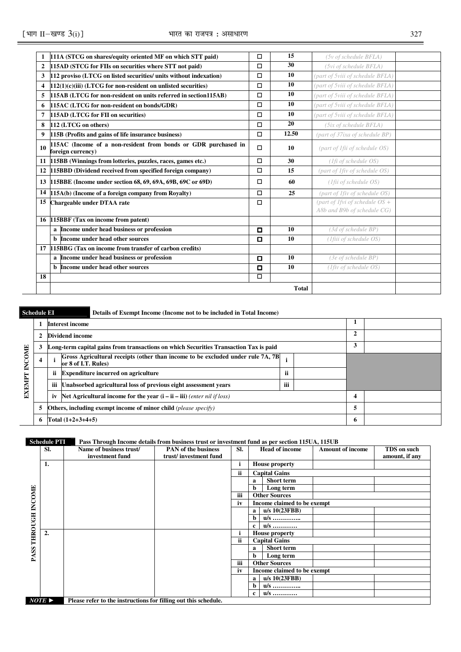| 111A (STCG on shares/equity oriented MF on which STT paid)                          | $\Box$                                                                                                                                                                                                                                   | 15           | (5v of schedule BFLA)            |                                  |
|-------------------------------------------------------------------------------------|------------------------------------------------------------------------------------------------------------------------------------------------------------------------------------------------------------------------------------------|--------------|----------------------------------|----------------------------------|
| 115AD (STCG for FIIs on securities where STT not paid)                              | $\Box$                                                                                                                                                                                                                                   | 30           | (5vi of schedule BFLA)           |                                  |
| 112 proviso (LTCG on listed securities/ units without indexation)                   | $\Box$                                                                                                                                                                                                                                   | 10           | (part of 5viii of schedule BFLA) |                                  |
| $112(1)(c)(iii)$ (LTCG for non-resident on unlisted securities)                     | $\Box$                                                                                                                                                                                                                                   | 10           | (part of 5viii of schedule BFLA) |                                  |
| 115AB (LTCG for non-resident on units referred in section115AB)                     | $\Box$                                                                                                                                                                                                                                   | 10           | (part of 5viii of schedule BFLA) |                                  |
| 115AC (LTCG for non-resident on bonds/GDR)                                          | $\Box$                                                                                                                                                                                                                                   | 10           | (part of 5viii of schedule BFLA) |                                  |
| 115AD (LTCG for FII on securities)                                                  | $\Box$                                                                                                                                                                                                                                   | 10           | (part of 5viii of schedule BFLA) |                                  |
| 112 (LTCG on others)                                                                | $\Box$                                                                                                                                                                                                                                   | 20           | (5ix of schedule BFLA)           |                                  |
| 115B (Profits and gains of life insurance business)                                 | $\Box$                                                                                                                                                                                                                                   | 12.50        | (part of 37ixa of schedule BP)   |                                  |
| 115AC (Income of a non-resident from bonds or GDR purchased in<br>foreign currency) | $\Box$                                                                                                                                                                                                                                   | 10           | (part of 1fii of schedule OS)    |                                  |
|                                                                                     | $\Box$                                                                                                                                                                                                                                   | 30           | (1fi of schedule OS)             |                                  |
| 115BBD (Dividend received from specified foreign company)                           | $\Box$                                                                                                                                                                                                                                   | 15           | (part of 1fiv of schedule OS)    |                                  |
|                                                                                     | □                                                                                                                                                                                                                                        | 60           | $(1$ fii of schedule OS)         |                                  |
| 115A(b) (Income of a foreign company from Royalty)                                  | $\Box$                                                                                                                                                                                                                                   | 25           | (part of 1fiv of schedule OS)    |                                  |
| Chargeable under DTAA rate                                                          | $\Box$                                                                                                                                                                                                                                   |              | A8b and B9b of schedule CG)      |                                  |
|                                                                                     |                                                                                                                                                                                                                                          |              |                                  |                                  |
| a Income under head business or profession                                          | $\Box$                                                                                                                                                                                                                                   | 10           | $(3d \text{ of schedule BP})$    |                                  |
| <b>b</b> Income under head other sources                                            | $\Box$                                                                                                                                                                                                                                   | 10           | (1fiii of schedule OS)           |                                  |
|                                                                                     |                                                                                                                                                                                                                                          |              |                                  |                                  |
| a Income under head business or profession                                          | О                                                                                                                                                                                                                                        | 10           | $(3e$ of schedule BP)            |                                  |
| <b>b</b> Income under head other sources                                            | $\Box$                                                                                                                                                                                                                                   | 10           | (1fiv of schedule OS)            |                                  |
|                                                                                     |                                                                                                                                                                                                                                          |              |                                  |                                  |
|                                                                                     |                                                                                                                                                                                                                                          | <b>Total</b> |                                  |                                  |
| 10<br>11<br>12<br>15<br>18                                                          | 115BB (Winnings from lotteries, puzzles, races, games etc.)<br>13 115BBE (Income under section 68, 69, 69A, 69B, 69C or 69D)<br>14<br>16 115BBF (Tax on income from patent)<br>17 115BBG (Tax on income from transfer of carbon credits) | о            |                                  | (part of 1fvi of schedule $OS +$ |

**Schedule EI** Details of Exempt Income (Income not to be included in Total Income) **1 Interest income 1 2 Dividend income 2 3 Long-term capital gains from transactions on which Securities Transaction Tax is paid 3 EXEMPT INCOME EXEMPT INCOME 4 i Gross Agricultural receipts (other than income to be excluded under rule 7A, 7B or 8 of I.T. Rules) <sup>i</sup> ii** Expenditure incurred on agriculture **iii ii ii ii** iii Unabsorbed agricultural loss of previous eight assessment years iii **iv** Net Agricultural income for the year  $(i - ii - iii)$  *(enter nil if loss)*  $4$ **5 Others, including exempt income of minor child** *(please specify)* **5 6 Total (1+2+3+4+5) 6** 

**Schedule PTI** Pass Through Income details from business trust or investment fund as per section 115UA, 115UB

|                | SI.  | Name of business trust/                                         | <b>PAN</b> of the business | SI. | <b>Head of income</b>       | <b>Amount of income</b> | TDS on such    |  |  |  |  |
|----------------|------|-----------------------------------------------------------------|----------------------------|-----|-----------------------------|-------------------------|----------------|--|--|--|--|
|                |      | investment fund                                                 | trust/investment fund      |     |                             |                         | amount, if any |  |  |  |  |
|                | 1.   |                                                                 |                            | ı   | <b>House property</b>       |                         |                |  |  |  |  |
|                |      |                                                                 |                            | ii  | <b>Capital Gains</b>        |                         |                |  |  |  |  |
|                |      |                                                                 |                            |     | <b>Short term</b><br>a      |                         |                |  |  |  |  |
|                |      |                                                                 |                            |     | Long term<br>b              |                         |                |  |  |  |  |
|                |      |                                                                 |                            | iii | <b>Other Sources</b>        |                         |                |  |  |  |  |
|                |      |                                                                 |                            | iv  | Income claimed to be exempt |                         |                |  |  |  |  |
| THROUGH INCOME |      |                                                                 |                            |     | u/s 10(23FBB)<br>a          |                         |                |  |  |  |  |
|                |      |                                                                 |                            |     | b<br>$u/s$                  |                         |                |  |  |  |  |
|                |      |                                                                 |                            |     | $u/s$<br>c                  |                         |                |  |  |  |  |
|                | 2.   |                                                                 |                            |     | <b>House property</b>       |                         |                |  |  |  |  |
|                |      |                                                                 |                            | ii  | <b>Capital Gains</b>        |                         |                |  |  |  |  |
|                |      |                                                                 |                            |     | <b>Short term</b><br>a      |                         |                |  |  |  |  |
| <b>PASS</b>    |      |                                                                 |                            |     | b<br>Long term              |                         |                |  |  |  |  |
|                |      |                                                                 |                            | iii | <b>Other Sources</b>        |                         |                |  |  |  |  |
|                |      |                                                                 |                            | iv  | Income claimed to be exempt |                         |                |  |  |  |  |
|                |      |                                                                 |                            |     | $u/s$ 10(23FBB)<br>a        |                         |                |  |  |  |  |
|                |      |                                                                 |                            |     | $u/s$<br>b                  |                         |                |  |  |  |  |
|                |      |                                                                 |                            |     | $u/s$<br>c                  |                         |                |  |  |  |  |
|                | NOTE | Please refer to the instructions for filling out this schedule. |                            |     |                             |                         |                |  |  |  |  |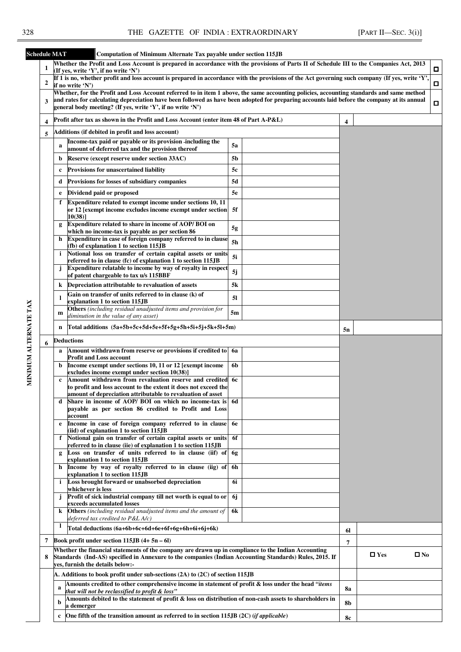| <b>Schedule MAT</b>   |                  | Computation of Minimum Alternate Tax payable under section 115JB                                                                                                                                                                                                                        |           |                            |  |   |
|-----------------------|------------------|-----------------------------------------------------------------------------------------------------------------------------------------------------------------------------------------------------------------------------------------------------------------------------------------|-----------|----------------------------|--|---|
|                       | 1                | Whether the Profit and Loss Account is prepared in accordance with the provisions of Parts II of Schedule III to the Companies Act, 2013                                                                                                                                                |           |                            |  | о |
|                       |                  | (If yes, write 'Y', if no write 'N')<br>If 1 is no, whether profit and loss account is prepared in accordance with the provisions of the Act governing such company (If yes, write 'Y',                                                                                                 |           |                            |  |   |
|                       | $\boldsymbol{2}$ | if no write 'N')                                                                                                                                                                                                                                                                        |           |                            |  | п |
|                       | 3                | Whether, for the Profit and Loss Account referred to in item 1 above, the same accounting policies, accounting standards and same method<br>and rates for calculating depreciation have been followed as have been adopted for preparing accounts laid before the company at its annual |           |                            |  |   |
|                       |                  | general body meeting? (If yes, write 'Y', if no write 'N')                                                                                                                                                                                                                              |           |                            |  | о |
|                       | 4                | Profit after tax as shown in the Profit and Loss Account (enter item 48 of Part A-P&L)                                                                                                                                                                                                  |           | 4                          |  |   |
|                       | 5                | Additions (if debited in profit and loss account)                                                                                                                                                                                                                                       |           |                            |  |   |
|                       |                  | Income-tax paid or payable or its provision -including the<br>a                                                                                                                                                                                                                         | 5a        |                            |  |   |
|                       |                  | amount of deferred tax and the provision thereof<br>Reserve (except reserve under section 33AC)                                                                                                                                                                                         |           |                            |  |   |
|                       |                  | b                                                                                                                                                                                                                                                                                       | 5b        |                            |  |   |
|                       |                  | <b>Provisions for unascertained liability</b><br>c                                                                                                                                                                                                                                      | 5с        |                            |  |   |
|                       |                  | <b>Provisions for losses of subsidiary companies</b><br>d                                                                                                                                                                                                                               | 5d        | 5n<br>61<br>7              |  |   |
|                       |                  | Dividend paid or proposed<br>e<br>Expenditure related to exempt income under sections 10, 11                                                                                                                                                                                            | 5e        |                            |  |   |
|                       |                  | f<br>or 12 [exempt income excludes income exempt under section]<br>$10(38)$ ]                                                                                                                                                                                                           | 5f        |                            |  |   |
|                       |                  | Expenditure related to share in income of AOP/BOI on<br>g<br>which no income-tax is payable as per section 86                                                                                                                                                                           | 5g        |                            |  |   |
|                       |                  | Expenditure in case of foreign company referred to in clause<br>h<br>(fb) of explanation 1 to section 115JB                                                                                                                                                                             | 5h        |                            |  |   |
|                       |                  | Notional loss on transfer of certain capital assets or units<br>i.                                                                                                                                                                                                                      | 5i        |                            |  |   |
|                       |                  | referred to in clause (fc) of explanation 1 to section 115JB<br>Expenditure relatable to income by way of royalty in respect                                                                                                                                                            |           |                            |  |   |
|                       |                  | of patent chargeable to tax u/s 115BBF                                                                                                                                                                                                                                                  | 5j        |                            |  |   |
|                       |                  | Depreciation attributable to revaluation of assets<br>k                                                                                                                                                                                                                                 | 5k        |                            |  |   |
|                       |                  | Gain on transfer of units referred to in clause (k) of<br>1<br>explanation 1 to section 115JB                                                                                                                                                                                           | 51        |                            |  |   |
|                       |                  | Others (including residual unadjusted items and provision for<br>m                                                                                                                                                                                                                      | 5m        |                            |  |   |
|                       |                  | diminution in the value of any asset)                                                                                                                                                                                                                                                   |           |                            |  |   |
|                       |                  | Total additions (5a+5b+5c+5d+5e+5f+5g+5h+5i+5j+5k+5l+5m)<br>n                                                                                                                                                                                                                           |           |                            |  |   |
|                       | 6                | Deductions                                                                                                                                                                                                                                                                              |           |                            |  |   |
|                       |                  | Amount withdrawn from reserve or provisions if credited to 6a<br>a<br><b>Profit and Loss account</b>                                                                                                                                                                                    |           |                            |  |   |
| MINIMUM ALTERNATE TAX |                  | Income exempt under sections 10, 11 or 12 [exempt income<br>b<br>excludes income exempt under section 10(38)]                                                                                                                                                                           | 6b        |                            |  |   |
|                       |                  | Amount withdrawn from revaluation reserve and credited<br>c<br>to profit and loss account to the extent it does not exceed the                                                                                                                                                          | - 6с      |                            |  |   |
|                       |                  | amount of depreciation attributable to revaluation of asset                                                                                                                                                                                                                             |           |                            |  |   |
|                       |                  | Share in income of AOP/ BOI on which no income-tax is 6d<br>d<br>payable as per section 86 credited to Profit and Loss<br>account                                                                                                                                                       |           |                            |  |   |
|                       |                  | Income in case of foreign company referred to in clause<br>e<br>(iid) of explanation 1 to section 115JB                                                                                                                                                                                 | <b>6e</b> |                            |  |   |
|                       |                  | Notional gain on transfer of certain capital assets or units<br>f                                                                                                                                                                                                                       | 6f        |                            |  |   |
|                       |                  | referred to in clause (iie) of explanation 1 to section 115JB<br>Loss on transfer of units referred to in clause (iif) of 6g                                                                                                                                                            |           |                            |  |   |
|                       |                  | g<br>explanation 1 to section 115JB                                                                                                                                                                                                                                                     |           |                            |  |   |
|                       |                  | Income by way of royalty referred to in clause (iig) of<br>h<br>explanation 1 to section 115JB                                                                                                                                                                                          | 6h        |                            |  |   |
|                       |                  | Loss brought forward or unabsorbed depreciation<br>i.<br>whichever is less                                                                                                                                                                                                              | 6i        |                            |  |   |
|                       |                  | Profit of sick industrial company till net worth is equal to or<br>j.<br>exceeds accumulated losses                                                                                                                                                                                     | 6j        |                            |  |   |
|                       |                  | Others (including residual unadjusted items and the amount of<br>k                                                                                                                                                                                                                      | 6k        |                            |  |   |
|                       |                  | deferred tax credited to P&L A/c)<br>1<br>Total deductions (6a+6b+6c+6d+6e+6f+6g+6h+6i+6j+6k)                                                                                                                                                                                           |           |                            |  |   |
|                       |                  |                                                                                                                                                                                                                                                                                         |           |                            |  |   |
|                       | 7                | Book profit under section $115JB(4+5n-6l)$<br>Whether the financial statements of the company are drawn up in compliance to the Indian Accounting                                                                                                                                       |           |                            |  |   |
|                       | 8                | Standards (Ind-AS) specified in Annexure to the companies (Indian Accounting Standards) Rules, 2015. If<br>yes, furnish the details below:-                                                                                                                                             |           | $\Box$ Yes<br>$\square$ No |  |   |
|                       |                  | A. Additions to book profit under sub-sections (2A) to (2C) of section 115JB                                                                                                                                                                                                            |           |                            |  |   |
|                       |                  | Amounts credited to other comprehensive income in statement of profit $\&$ loss under the head "items<br>a<br>that will not be reclassified to profit & loss"                                                                                                                           |           | 8a                         |  |   |
|                       |                  | Amounts debited to the statement of profit & loss on distribution of non-cash assets to shareholders in<br>b<br>a demerger                                                                                                                                                              |           | 8b                         |  |   |
|                       |                  | One fifth of the transition amount as referred to in section 115JB $(2C)$ ( <i>if applicable</i> )<br>$\mathbf{c}$                                                                                                                                                                      |           |                            |  |   |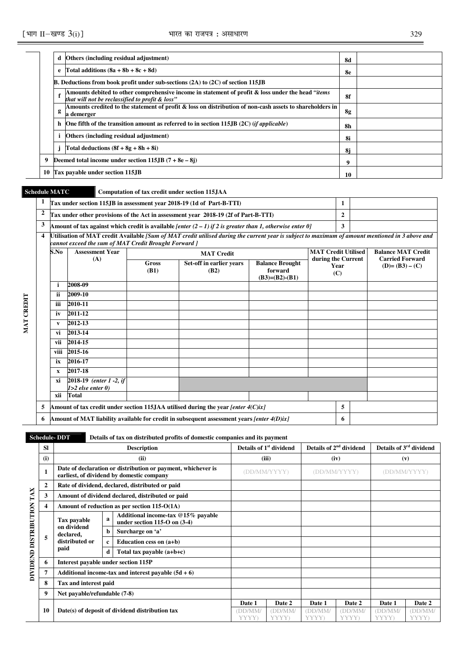|   | d | Others (including residual adjustment)                                                                                                                | 8d |  |
|---|---|-------------------------------------------------------------------------------------------------------------------------------------------------------|----|--|
|   | e | Total additions $(8a + 8b + 8c + 8d)$                                                                                                                 | 8e |  |
|   |   | <b>B.</b> Deductions from book profit under sub-sections $(2A)$ to $(2C)$ of section 115. IB                                                          |    |  |
|   |   | Amounts debited to other comprehensive income in statement of profit & loss under the head "items"<br>that will not be reclassified to profit & loss" | 8f |  |
|   | g | Amounts credited to the statement of profit & loss on distribution of non-cash assets to shareholders in<br>a demerger                                | 8g |  |
|   |   | h One fifth of the transition amount as referred to in section 115. $\mathbb{B}(2C)$ ( <i>if applicable</i> )                                         | 8h |  |
|   |   | Others (including residual adjustment)                                                                                                                | 8i |  |
|   |   | Total deductions $(8f + 8g + 8h + 8i)$                                                                                                                | 8i |  |
| 9 |   | Deemed total income under section $115JB(7 + 8e - 8j)$                                                                                                | 9  |  |
|   |   | 10 Tax payable under section 115.JB                                                                                                                   | 10 |  |

**MAT CREDIT** 

MAT CREDIT

# **Schedule MATC Computation of tax credit under section 115JAA**

| 1                       |                                                                                                 |                                                                                      |                      | Tax under section 115JB in assessment year 2018-19 (1d of Part-B-TTI)                                                                            |                                                       |                            | 1            |  |                                          |  |  |
|-------------------------|-------------------------------------------------------------------------------------------------|--------------------------------------------------------------------------------------|----------------------|--------------------------------------------------------------------------------------------------------------------------------------------------|-------------------------------------------------------|----------------------------|--------------|--|------------------------------------------|--|--|
| $\overline{2}$          |                                                                                                 |                                                                                      |                      | Tax under other provisions of the Act in assessment year 2018-19 (2f of Part-B-TTI)                                                              |                                                       |                            | $\mathbf{2}$ |  |                                          |  |  |
| 3                       |                                                                                                 |                                                                                      |                      | Amount of tax against which credit is available [enter $(2 – 1)$ if 2 is greater than 1, otherwise enter 0]                                      |                                                       |                            | 3            |  |                                          |  |  |
| $\overline{\mathbf{4}}$ |                                                                                                 | cannot exceed the sum of MAT Credit Brought Forward ]                                |                      | Utilisation of MAT credit Available [Sum of MAT credit utilised during the current year is subject to maximum of amount mentioned in 3 above and |                                                       |                            |              |  |                                          |  |  |
|                         | S.No                                                                                            | <b>Assessment Year</b>                                                               |                      | <b>MAT Credit</b>                                                                                                                                |                                                       | <b>MAT Credit Utilised</b> |              |  | <b>Balance MAT Credit</b>                |  |  |
|                         |                                                                                                 | (A)                                                                                  | <b>Gross</b><br>(B1) | Set-off in earlier years<br>(B2)                                                                                                                 | <b>Balance Brought</b><br>forward<br>$(B3)=(B2)-(B1)$ | during the Current         | Year<br>(C)  |  | <b>Carried Forward</b><br>$(D)=(B3)-(C)$ |  |  |
|                         | i                                                                                               | 2008-09                                                                              |                      |                                                                                                                                                  |                                                       |                            |              |  |                                          |  |  |
|                         | ii                                                                                              | 2009-10                                                                              |                      |                                                                                                                                                  |                                                       |                            |              |  |                                          |  |  |
|                         | iii                                                                                             | 2010-11                                                                              |                      |                                                                                                                                                  |                                                       |                            |              |  |                                          |  |  |
|                         | iv                                                                                              | 2011-12                                                                              |                      |                                                                                                                                                  |                                                       |                            |              |  |                                          |  |  |
|                         | V                                                                                               | 2012-13                                                                              |                      |                                                                                                                                                  |                                                       |                            |              |  |                                          |  |  |
|                         | vi                                                                                              | 2013-14                                                                              |                      |                                                                                                                                                  |                                                       |                            |              |  |                                          |  |  |
|                         | vii                                                                                             | 2014-15                                                                              |                      |                                                                                                                                                  |                                                       |                            |              |  |                                          |  |  |
|                         | viii                                                                                            | 2015-16                                                                              |                      |                                                                                                                                                  |                                                       |                            |              |  |                                          |  |  |
|                         | ix                                                                                              | 2016-17                                                                              |                      |                                                                                                                                                  |                                                       |                            |              |  |                                          |  |  |
|                         | $\mathbf{x}$                                                                                    | 2017-18                                                                              |                      |                                                                                                                                                  |                                                       |                            |              |  |                                          |  |  |
|                         | хi                                                                                              | 2018-19 (enter 1 -2, if<br>$1>2$ else enter $0$ )                                    |                      |                                                                                                                                                  |                                                       |                            |              |  |                                          |  |  |
|                         | xii                                                                                             | <b>Total</b>                                                                         |                      |                                                                                                                                                  |                                                       |                            |              |  |                                          |  |  |
| 5                       |                                                                                                 | Amount of tax credit under section 115JAA utilised during the year [enter $4(C)ix$ ] |                      | 5                                                                                                                                                |                                                       |                            |              |  |                                          |  |  |
| 6                       | Amount of MAT liability available for credit in subsequent assessment vears [enter 4(D)ix]<br>6 |                                                                                      |                      |                                                                                                                                                  |                                                       |                            |              |  |                                          |  |  |

## **Schedule- DDT** Details of tax on distributed profits of domestic companies and its payment

|                           | <b>SI</b>    |                                     |                                                 | <b>Description</b>                                                                                        |                  | Details of 1 <sup>st</sup> dividend |                  | Details of 2 <sup>nd</sup> dividend |                  | Details of 3 <sup>rd</sup> dividend |
|---------------------------|--------------|-------------------------------------|-------------------------------------------------|-----------------------------------------------------------------------------------------------------------|------------------|-------------------------------------|------------------|-------------------------------------|------------------|-------------------------------------|
|                           | (i)          |                                     |                                                 | (ii)                                                                                                      |                  | (iii)                               |                  | (iv)                                |                  | (v)                                 |
|                           |              |                                     |                                                 | Date of declaration or distribution or payment, whichever is<br>earliest, of dividend by domestic company |                  | (DD/MM/YYYY)                        |                  | (DD/MM/YYYY)                        |                  | (DD/MM/YYYY)                        |
|                           | $\mathbf{2}$ |                                     |                                                 | Rate of dividend, declared, distributed or paid                                                           |                  |                                     |                  |                                     |                  |                                     |
|                           | 3            |                                     |                                                 | Amount of dividend declared, distributed or paid                                                          |                  |                                     |                  |                                     |                  |                                     |
|                           |              |                                     |                                                 | Amount of reduction as per section $115-O(1A)$                                                            |                  |                                     |                  |                                     |                  |                                     |
| DIVIDEND DISTRIBUTION TAX |              | Tax payable                         | a                                               | Additional income-tax @15% payable<br>under section $115-O$ on $(3-4)$                                    |                  |                                     |                  |                                     |                  |                                     |
|                           | 5            | on dividend<br>declared,            | b                                               | Surcharge on 'a'                                                                                          |                  |                                     |                  |                                     |                  |                                     |
|                           |              | distributed or                      |                                                 | Education cess on (a+b)                                                                                   |                  |                                     |                  |                                     |                  |                                     |
|                           |              | paid                                | d                                               | Total tax payable $(a+b+c)$                                                                               |                  |                                     |                  |                                     |                  |                                     |
|                           | 6            | Interest payable under section 115P |                                                 |                                                                                                           |                  |                                     |                  |                                     |                  |                                     |
|                           |              |                                     |                                                 | Additional income-tax and interest payable $(5d + 6)$                                                     |                  |                                     |                  |                                     |                  |                                     |
|                           | 8            | Tax and interest paid               |                                                 |                                                                                                           |                  |                                     |                  |                                     |                  |                                     |
|                           | 9            | Net payable/refundable (7-8)        |                                                 |                                                                                                           |                  |                                     |                  |                                     |                  |                                     |
|                           |              |                                     |                                                 |                                                                                                           | Date 1           | Date 2                              | Date 1           | Date 2                              | Date 1           | Date 2                              |
| 10                        |              |                                     | Date(s) of deposit of dividend distribution tax | DD/MM<br>YYYY)                                                                                            | (DD/MM/<br>YYYY) | (DD/MM/<br>YYYY)                    | (DD/MM)<br>YYYY) | (DD/MM)<br>YYYY)                    | (DD/MM/<br>YYYY) |                                     |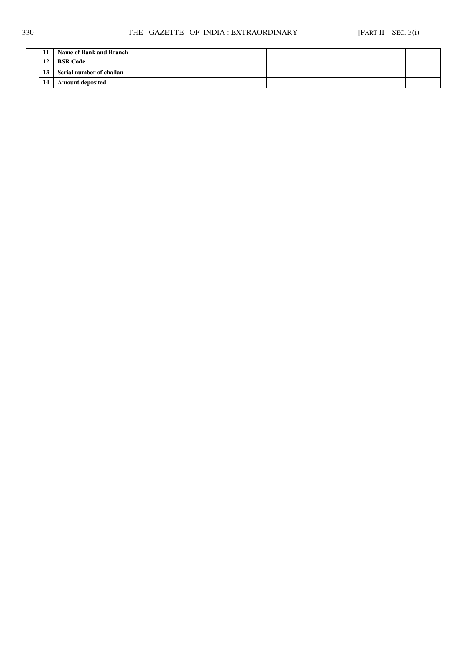|  | Name of Bank and Branch  |  |  |  |
|--|--------------------------|--|--|--|
|  | <b>BSR Code</b>          |  |  |  |
|  | Serial number of challan |  |  |  |
|  | <b>Amount deposited</b>  |  |  |  |
|  |                          |  |  |  |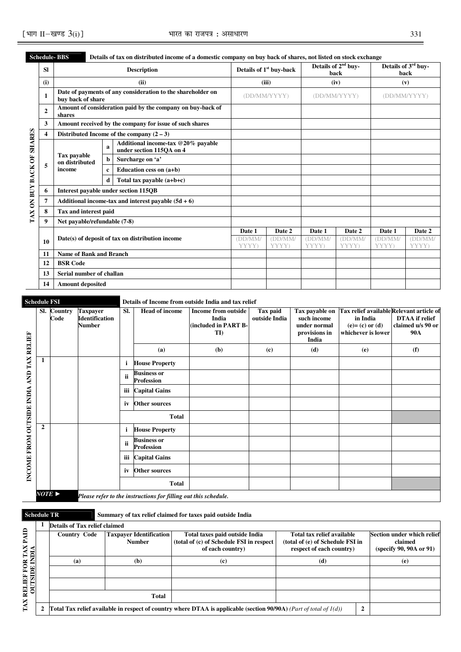|                    |                         | SCREUTHE- DDS                        |              |   | Details of tax on ulstributed income of a domestic company on buy back of shares, not listed on stock exchange |                  |                                     |                  |                                         |                  |                                         |
|--------------------|-------------------------|--------------------------------------|--------------|---|----------------------------------------------------------------------------------------------------------------|------------------|-------------------------------------|------------------|-----------------------------------------|------------------|-----------------------------------------|
|                    | <b>SI</b>               |                                      |              |   | <b>Description</b>                                                                                             |                  | Details of 1 <sup>st</sup> buy-back |                  | Details of 2 <sup>nd</sup> buy-<br>back |                  | Details of 3 <sup>rd</sup> buy-<br>back |
|                    | (i)                     |                                      |              |   | (ii)                                                                                                           |                  | (iii)                               |                  | (iv)                                    | (v)              |                                         |
|                    | $\mathbf{1}$            | buy back of share                    |              |   | Date of payments of any consideration to the shareholder on                                                    |                  | (DD/MM/YYYY)                        |                  | (DD/MM/YYYY)                            | (DD/MM/YYYY)     |                                         |
|                    | $\mathbf{2}$            | shares                               |              |   | Amount of consideration paid by the company on buy-back of                                                     |                  |                                     |                  |                                         |                  |                                         |
|                    | 3                       |                                      |              |   | Amount received by the company for issue of such shares                                                        |                  |                                     |                  |                                         |                  |                                         |
|                    | $\overline{\mathbf{4}}$ |                                      |              |   | Distributed Income of the company $(2-3)$                                                                      |                  |                                     |                  |                                         |                  |                                         |
| <b>SHARES</b>      | 5                       |                                      | $\mathbf{a}$ |   | Additional income-tax @20% payable<br>under section 115OA on 4                                                 |                  |                                     |                  |                                         |                  |                                         |
|                    |                         | <b>Tax payable</b><br>on distributed |              | b | Surcharge on 'a'                                                                                               |                  |                                     |                  |                                         |                  |                                         |
|                    |                         | income                               | $\mathbf c$  |   | Education cess on (a+b)                                                                                        |                  |                                     |                  |                                         |                  |                                         |
|                    |                         |                                      |              | d | Total tax payable $(a+b+c)$                                                                                    |                  |                                     |                  |                                         |                  |                                         |
| TAX ON BUY BACK OF | 6                       |                                      |              |   | Interest payable under section 115OB                                                                           |                  |                                     |                  |                                         |                  |                                         |
|                    | $\overline{7}$          |                                      |              |   | Additional income-tax and interest payable $(5d + 6)$                                                          |                  |                                     |                  |                                         |                  |                                         |
|                    | 8                       | Tax and interest paid                |              |   |                                                                                                                |                  |                                     |                  |                                         |                  |                                         |
|                    | $\boldsymbol{9}$        | Net payable/refundable (7-8)         |              |   |                                                                                                                |                  |                                     |                  |                                         |                  |                                         |
|                    |                         |                                      |              |   |                                                                                                                | Date 1           | Date 2                              | Date 1           | Date 2                                  | Date 1           | Date 2                                  |
|                    | 10                      |                                      |              |   | Date(s) of deposit of tax on distribution income                                                               | (DD/MM/<br>YYYY) | (DD/MM)<br>YYYY)                    | (DD/MM)<br>YYYY) | (DD/MM/<br>YYYY)                        | (DD/MM)<br>YYYY) | (DDMM)<br>YYYY)                         |
|                    | 11                      | <b>Name of Bank and Branch</b>       |              |   |                                                                                                                |                  |                                     |                  |                                         |                  |                                         |
|                    | 12                      | <b>BSR Code</b>                      |              |   |                                                                                                                |                  |                                     |                  |                                         |                  |                                         |
|                    | 13                      | Serial number of challan             |              |   |                                                                                                                |                  |                                     |                  |                                         |                  |                                         |
|                    | 14                      | <b>Amount deposited</b>              |              |   |                                                                                                                |                  |                                     |                  |                                         |                  |                                         |

### **Schedule- BBS Details of tax on distributed income of a domestic company on buy back of shares, not listed on stock exchange**

**Details of Income from outside India and tax relief** 

|                                          | SI.                   | <b>Country</b><br>Code | <b>Taxpayer</b><br><b>Identification</b><br>Number | SI. | <b>Head of income</b>                                          | <b>Income from outside</b><br>India<br>(included in PART B-<br>TI) | Tax paid<br>outside India | Tax payable on<br>such income<br>under normal<br>provisions in<br>India | Tax relief available Relevant article of<br>in India<br>$(e) = (c)$ or $(d)$<br>whichever is lower | <b>DTAA</b> if relief<br>claimed u/s 90 or<br><b>90A</b> |
|------------------------------------------|-----------------------|------------------------|----------------------------------------------------|-----|----------------------------------------------------------------|--------------------------------------------------------------------|---------------------------|-------------------------------------------------------------------------|----------------------------------------------------------------------------------------------------|----------------------------------------------------------|
|                                          |                       |                        |                                                    |     | (a)                                                            | (b)                                                                | (c)                       | (d)                                                                     | (e)                                                                                                | (f)                                                      |
|                                          | 1                     |                        |                                                    | i   | <b>House Property</b>                                          |                                                                    |                           |                                                                         |                                                                                                    |                                                          |
|                                          |                       |                        |                                                    | ii  | <b>Business or</b><br><b>Profession</b>                        |                                                                    |                           |                                                                         |                                                                                                    |                                                          |
|                                          |                       |                        |                                                    | iii | <b>Capital Gains</b>                                           |                                                                    |                           |                                                                         |                                                                                                    |                                                          |
|                                          |                       |                        |                                                    | iv  | <b>Other sources</b>                                           |                                                                    |                           |                                                                         |                                                                                                    |                                                          |
|                                          |                       |                        |                                                    |     | <b>Total</b>                                                   |                                                                    |                           |                                                                         |                                                                                                    |                                                          |
|                                          | $\overline{2}$        |                        |                                                    | i   | <b>House Property</b>                                          |                                                                    |                           |                                                                         |                                                                                                    |                                                          |
| INCOME FROM OUTSIDE INDIA AND TAX RELIEF |                       |                        |                                                    | ii  | <b>Business or</b><br><b>Profession</b>                        |                                                                    |                           |                                                                         |                                                                                                    |                                                          |
|                                          |                       |                        |                                                    | iii | <b>Capital Gains</b>                                           |                                                                    |                           |                                                                         |                                                                                                    |                                                          |
|                                          |                       |                        |                                                    | iv  | <b>Other sources</b>                                           |                                                                    |                           |                                                                         |                                                                                                    |                                                          |
|                                          |                       |                        |                                                    |     | <b>Total</b>                                                   |                                                                    |                           |                                                                         |                                                                                                    |                                                          |
|                                          | $NOTE \triangleright$ |                        |                                                    |     | Please refer to the instructions for filling out this schedule |                                                                    |                           |                                                                         |                                                                                                    |                                                          |

*NOTE* ► *Please refer to the instructions for filling out this schedule.*

## **Schedule TR** Summary of tax relief claimed for taxes paid outside India

|                 | Details of Tax relief claimed                                                                                         |                                                 |                                                                                                |                                                                                            |  |                                                                  |
|-----------------|-----------------------------------------------------------------------------------------------------------------------|-------------------------------------------------|------------------------------------------------------------------------------------------------|--------------------------------------------------------------------------------------------|--|------------------------------------------------------------------|
| ≘<br>TAX<br>DIA | <b>Country Code</b>                                                                                                   | <b>Taxpayer Identification</b><br><b>Number</b> | Total taxes paid outside India<br>(total of (c) of Schedule FSI in respect<br>of each country) | Total tax relief available<br>(total of (e) of Schedule FSI in<br>respect of each country) |  | Section under which relief<br>claimed<br>(specify 90, 90A or 91) |
| ទ្ឋ E           | (a)                                                                                                                   | (b)                                             | (c)                                                                                            | (d)                                                                                        |  | (e)                                                              |
|                 |                                                                                                                       |                                                 |                                                                                                |                                                                                            |  |                                                                  |
| <b>OUTSIDE</b>  |                                                                                                                       |                                                 |                                                                                                |                                                                                            |  |                                                                  |
| ≃               |                                                                                                                       |                                                 |                                                                                                |                                                                                            |  |                                                                  |
| ₫               | Total Tax relief available in respect of country where DTAA is applicable (section 90/90A) (Part of total of $1(d)$ ) |                                                 |                                                                                                |                                                                                            |  |                                                                  |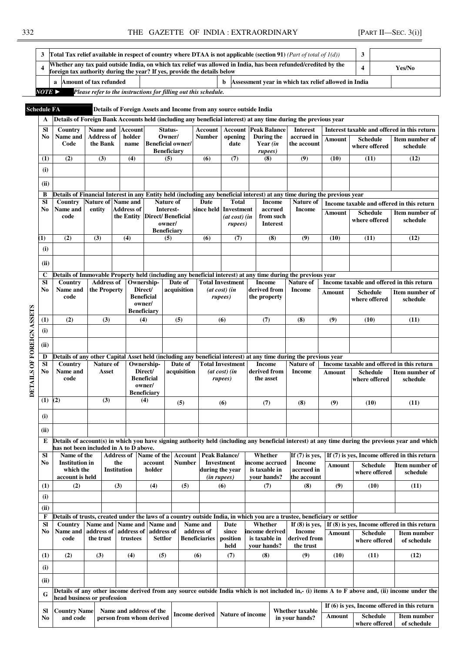$\overline{a}$ 

|                             | a Amount of tax refunded               |                                                                                                                               |                           |                              |                        |                                                |                                                                    | b                                        |  |                                         | Assessment year in which tax relief allowed in India                                                                                         |                       |                                                                                                                                                |                                                                                                                                                                                                                                                                                                                                                                                                                                                                                                                                                                                                                                                                          |
|-----------------------------|----------------------------------------|-------------------------------------------------------------------------------------------------------------------------------|---------------------------|------------------------------|------------------------|------------------------------------------------|--------------------------------------------------------------------|------------------------------------------|--|-----------------------------------------|----------------------------------------------------------------------------------------------------------------------------------------------|-----------------------|------------------------------------------------------------------------------------------------------------------------------------------------|--------------------------------------------------------------------------------------------------------------------------------------------------------------------------------------------------------------------------------------------------------------------------------------------------------------------------------------------------------------------------------------------------------------------------------------------------------------------------------------------------------------------------------------------------------------------------------------------------------------------------------------------------------------------------|
| $NOTE \triangleright$       |                                        |                                                                                                                               |                           |                              |                        |                                                | Please refer to the instructions for filling out this schedule.    |                                          |  |                                         |                                                                                                                                              |                       |                                                                                                                                                |                                                                                                                                                                                                                                                                                                                                                                                                                                                                                                                                                                                                                                                                          |
| <b>Schedule FA</b>          |                                        |                                                                                                                               |                           |                              |                        |                                                | Details of Foreign Assets and Income from any source outside India |                                          |  |                                         |                                                                                                                                              |                       |                                                                                                                                                |                                                                                                                                                                                                                                                                                                                                                                                                                                                                                                                                                                                                                                                                          |
| A                           |                                        |                                                                                                                               |                           |                              |                        |                                                |                                                                    |                                          |  |                                         | Details of Foreign Bank Accounts held (including any beneficial interest) at any time during the previous year                               |                       |                                                                                                                                                |                                                                                                                                                                                                                                                                                                                                                                                                                                                                                                                                                                                                                                                                          |
| <b>SI</b>                   | Country                                | Name and                                                                                                                      |                           | <b>Account</b>               |                        | Status-                                        |                                                                    |                                          |  | <b>Account   Account   Peak Balance</b> | <b>Interest</b>                                                                                                                              |                       |                                                                                                                                                |                                                                                                                                                                                                                                                                                                                                                                                                                                                                                                                                                                                                                                                                          |
| No                          | Name and                               | <b>Address of</b>                                                                                                             |                           | holder                       |                        | Owner/                                         | <b>Number</b>                                                      | opening                                  |  | During the                              | accrued in                                                                                                                                   | <b>Amount</b>         | <b>Schedule</b>                                                                                                                                |                                                                                                                                                                                                                                                                                                                                                                                                                                                                                                                                                                                                                                                                          |
|                             | Code                                   | the Bank                                                                                                                      |                           | name                         |                        | <b>Beneficial owner/</b><br><b>Beneficiary</b> |                                                                    | date                                     |  | Year (in<br>rupees)                     | the account                                                                                                                                  |                       | where offered                                                                                                                                  | schedule                                                                                                                                                                                                                                                                                                                                                                                                                                                                                                                                                                                                                                                                 |
| (1)                         | (2)                                    | (3)                                                                                                                           |                           | (4)                          |                        | (5)                                            | (6)                                                                | (7)                                      |  | (8)                                     | (9)                                                                                                                                          | (10)                  | (11)                                                                                                                                           | (12)                                                                                                                                                                                                                                                                                                                                                                                                                                                                                                                                                                                                                                                                     |
| (i)                         |                                        |                                                                                                                               |                           |                              |                        |                                                |                                                                    |                                          |  |                                         |                                                                                                                                              |                       |                                                                                                                                                |                                                                                                                                                                                                                                                                                                                                                                                                                                                                                                                                                                                                                                                                          |
| (ii)                        |                                        |                                                                                                                               |                           |                              |                        |                                                |                                                                    |                                          |  |                                         |                                                                                                                                              |                       |                                                                                                                                                |                                                                                                                                                                                                                                                                                                                                                                                                                                                                                                                                                                                                                                                                          |
|                             |                                        |                                                                                                                               |                           |                              |                        |                                                |                                                                    |                                          |  |                                         |                                                                                                                                              |                       |                                                                                                                                                |                                                                                                                                                                                                                                                                                                                                                                                                                                                                                                                                                                                                                                                                          |
| B<br><b>SI</b>              | Country                                | Nature of Name and                                                                                                            |                           |                              |                        | <b>Nature of</b>                               | Date                                                               | <b>Total</b>                             |  | <b>Income</b>                           | Details of Financial Interest in any Entity held (including any beneficial interest) at any time during the previous year<br>Nature of       |                       |                                                                                                                                                | Yes/No<br>Interest taxable and offered in this return<br>Item number of<br>Income taxable and offered in this return<br>Item number of<br>schedule<br>(12)<br>Income taxable and offered in this return<br>Item number of<br>schedule<br>(11)<br>Income taxable and offered in this return<br>Item number of<br>schedule<br>(11)<br>Details of account(s) in which you have signing authority held (including any beneficial interest) at any time during the previous year and which<br>If (7) is yes, Income offered in this return<br>Item number of<br>schedule<br>(11)<br>If (8) is yes, Income offered in this return<br><b>Item number</b><br>of schedule<br>(12) |
| No                          | Name and                               | entity                                                                                                                        |                           | <b>Address of</b>            |                        | Interest-                                      | since held Investment                                              |                                          |  | accrued                                 | <b>Income</b>                                                                                                                                | Amount                | <b>Schedule</b>                                                                                                                                |                                                                                                                                                                                                                                                                                                                                                                                                                                                                                                                                                                                                                                                                          |
|                             | code                                   |                                                                                                                               |                           |                              |                        | the Entity                                     | <b>Direct/Beneficial</b><br>owner/                                 |                                          |  | $(at \cos t)$ $(in$<br>rupees)          |                                                                                                                                              | from such<br>Interest |                                                                                                                                                |                                                                                                                                                                                                                                                                                                                                                                                                                                                                                                                                                                                                                                                                          |
|                             |                                        |                                                                                                                               |                           |                              |                        | <b>Beneficiary</b>                             |                                                                    |                                          |  |                                         |                                                                                                                                              |                       |                                                                                                                                                |                                                                                                                                                                                                                                                                                                                                                                                                                                                                                                                                                                                                                                                                          |
| [1]                         | (2)                                    | (3)                                                                                                                           | (4)                       |                              |                        | (5)                                            | (6)                                                                | (7)                                      |  | (8)                                     | (9)                                                                                                                                          | (10)                  | (11)                                                                                                                                           |                                                                                                                                                                                                                                                                                                                                                                                                                                                                                                                                                                                                                                                                          |
| (i)                         |                                        |                                                                                                                               |                           |                              |                        |                                                |                                                                    |                                          |  |                                         |                                                                                                                                              |                       |                                                                                                                                                |                                                                                                                                                                                                                                                                                                                                                                                                                                                                                                                                                                                                                                                                          |
| (ii)                        |                                        |                                                                                                                               |                           |                              |                        |                                                |                                                                    |                                          |  |                                         |                                                                                                                                              |                       |                                                                                                                                                |                                                                                                                                                                                                                                                                                                                                                                                                                                                                                                                                                                                                                                                                          |
| $\mathbf c$                 |                                        |                                                                                                                               |                           |                              |                        |                                                |                                                                    |                                          |  |                                         | Details of Immovable Property held (including any beneficial interest) at any time during the previous year                                  |                       |                                                                                                                                                |                                                                                                                                                                                                                                                                                                                                                                                                                                                                                                                                                                                                                                                                          |
| <b>SI</b><br>N <sub>0</sub> | Country<br>Name and                    | <b>Address of</b><br>the Property                                                                                             |                           | Ownership-<br>Direct/        |                        | Date of<br>acquisition                         |                                                                    | <b>Total Investment</b><br>(at cost) (in |  | <b>Income</b><br>derived from           | Nature of<br><b>Income</b>                                                                                                                   |                       |                                                                                                                                                |                                                                                                                                                                                                                                                                                                                                                                                                                                                                                                                                                                                                                                                                          |
|                             | code                                   |                                                                                                                               |                           | <b>Beneficial</b>            |                        |                                                |                                                                    |                                          |  | the property                            |                                                                                                                                              | Amount                | <b>Schedule</b><br>where offered                                                                                                               |                                                                                                                                                                                                                                                                                                                                                                                                                                                                                                                                                                                                                                                                          |
|                             |                                        |                                                                                                                               |                           | owner/<br><b>Beneficiary</b> |                        |                                                |                                                                    | rupees)                                  |  |                                         |                                                                                                                                              |                       |                                                                                                                                                |                                                                                                                                                                                                                                                                                                                                                                                                                                                                                                                                                                                                                                                                          |
| (1)                         | (2)                                    | (3)                                                                                                                           |                           | (4)                          |                        | (5)                                            |                                                                    | (6)                                      |  | (7)                                     | (8)                                                                                                                                          | (9)                   | (10)                                                                                                                                           |                                                                                                                                                                                                                                                                                                                                                                                                                                                                                                                                                                                                                                                                          |
| (i)                         |                                        |                                                                                                                               |                           |                              |                        |                                                |                                                                    |                                          |  |                                         |                                                                                                                                              |                       |                                                                                                                                                |                                                                                                                                                                                                                                                                                                                                                                                                                                                                                                                                                                                                                                                                          |
|                             |                                        |                                                                                                                               |                           |                              |                        |                                                |                                                                    |                                          |  |                                         |                                                                                                                                              |                       |                                                                                                                                                |                                                                                                                                                                                                                                                                                                                                                                                                                                                                                                                                                                                                                                                                          |
| (ii)                        |                                        |                                                                                                                               |                           |                              |                        |                                                |                                                                    |                                          |  |                                         |                                                                                                                                              |                       |                                                                                                                                                |                                                                                                                                                                                                                                                                                                                                                                                                                                                                                                                                                                                                                                                                          |
| D<br>SI                     | Country                                | Details of any other Capital Asset held (including any beneficial interest) at any time during the previous year<br>Nature of |                           | Ownership-                   |                        | Date of                                        |                                                                    | <b>Total Investment</b>                  |  | <b>Income</b>                           | Nature of                                                                                                                                    |                       |                                                                                                                                                |                                                                                                                                                                                                                                                                                                                                                                                                                                                                                                                                                                                                                                                                          |
| No                          | Name and                               | Asset                                                                                                                         |                           | Direct/                      |                        | acquisition                                    |                                                                    | $(at \cos t)$ $(in$                      |  | derived from                            | <b>Income</b>                                                                                                                                | Amount                | <b>Schedule</b>                                                                                                                                |                                                                                                                                                                                                                                                                                                                                                                                                                                                                                                                                                                                                                                                                          |
|                             | code                                   |                                                                                                                               |                           | <b>Beneficial</b><br>owner/  |                        |                                                |                                                                    | rupees)                                  |  | the asset                               |                                                                                                                                              |                       | where offered                                                                                                                                  |                                                                                                                                                                                                                                                                                                                                                                                                                                                                                                                                                                                                                                                                          |
|                             |                                        |                                                                                                                               |                           | <b>Beneficiary</b>           |                        |                                                |                                                                    |                                          |  |                                         |                                                                                                                                              |                       |                                                                                                                                                |                                                                                                                                                                                                                                                                                                                                                                                                                                                                                                                                                                                                                                                                          |
| (1)                         | (2)                                    | (3)                                                                                                                           |                           | (4)                          |                        | (5)                                            |                                                                    | (6)                                      |  | (7)                                     | (8)                                                                                                                                          | (9)                   | (10)                                                                                                                                           |                                                                                                                                                                                                                                                                                                                                                                                                                                                                                                                                                                                                                                                                          |
| (i)                         |                                        |                                                                                                                               |                           |                              |                        |                                                |                                                                    |                                          |  |                                         |                                                                                                                                              |                       |                                                                                                                                                |                                                                                                                                                                                                                                                                                                                                                                                                                                                                                                                                                                                                                                                                          |
|                             |                                        |                                                                                                                               |                           |                              |                        |                                                |                                                                    |                                          |  |                                         |                                                                                                                                              |                       |                                                                                                                                                |                                                                                                                                                                                                                                                                                                                                                                                                                                                                                                                                                                                                                                                                          |
| (ii)                        |                                        |                                                                                                                               |                           |                              |                        |                                                |                                                                    |                                          |  |                                         |                                                                                                                                              |                       |                                                                                                                                                |                                                                                                                                                                                                                                                                                                                                                                                                                                                                                                                                                                                                                                                                          |
| E                           | has not been included in A to D above. |                                                                                                                               |                           |                              |                        |                                                |                                                                    |                                          |  |                                         |                                                                                                                                              |                       |                                                                                                                                                |                                                                                                                                                                                                                                                                                                                                                                                                                                                                                                                                                                                                                                                                          |
| <b>SI</b>                   | Name of the                            |                                                                                                                               | <b>Address of</b>         |                              | Name of the<br>account | <b>Account</b>                                 |                                                                    | Peak Balance/<br><b>Investment</b>       |  | Whether                                 | If $(7)$ is yes,                                                                                                                             |                       |                                                                                                                                                |                                                                                                                                                                                                                                                                                                                                                                                                                                                                                                                                                                                                                                                                          |
| No                          | <b>Institution</b> in<br>which the     |                                                                                                                               | the<br><b>Institution</b> |                              | holder                 | <b>Number</b>                                  |                                                                    | during the year                          |  | income accrued<br>is taxable in         | Income<br>accrued in                                                                                                                         | Amount                | <b>Schedule</b><br>where offered                                                                                                               |                                                                                                                                                                                                                                                                                                                                                                                                                                                                                                                                                                                                                                                                          |
|                             | account is held                        |                                                                                                                               |                           |                              |                        |                                                |                                                                    | (in rupees)                              |  | your hands?                             | the account                                                                                                                                  |                       |                                                                                                                                                |                                                                                                                                                                                                                                                                                                                                                                                                                                                                                                                                                                                                                                                                          |
| (1)                         | (2)                                    |                                                                                                                               | (3)                       |                              | (4)                    | (5)                                            |                                                                    | (6)                                      |  | (7)                                     | (8)                                                                                                                                          | (9)                   | (10)                                                                                                                                           |                                                                                                                                                                                                                                                                                                                                                                                                                                                                                                                                                                                                                                                                          |
| (i)                         |                                        |                                                                                                                               |                           |                              |                        |                                                |                                                                    |                                          |  |                                         |                                                                                                                                              |                       |                                                                                                                                                |                                                                                                                                                                                                                                                                                                                                                                                                                                                                                                                                                                                                                                                                          |
| (ii)                        |                                        |                                                                                                                               |                           |                              |                        |                                                |                                                                    |                                          |  |                                         |                                                                                                                                              |                       |                                                                                                                                                |                                                                                                                                                                                                                                                                                                                                                                                                                                                                                                                                                                                                                                                                          |
| F<br><b>SI</b>              | Country                                | Name and                                                                                                                      |                           | Name and   Name and          |                        |                                                | Name and                                                           | Date                                     |  | Whether                                 | Details of trusts, created under the laws of a country outside India, in which you are a trustee, beneficiary or settlor<br>If $(8)$ is yes, |                       |                                                                                                                                                |                                                                                                                                                                                                                                                                                                                                                                                                                                                                                                                                                                                                                                                                          |
| No                          | Name and                               | address of                                                                                                                    |                           | address of                   | address of             |                                                | address of                                                         | since                                    |  | income derived                          | <b>Income</b>                                                                                                                                | Amount                | <b>Schedule</b>                                                                                                                                |                                                                                                                                                                                                                                                                                                                                                                                                                                                                                                                                                                                                                                                                          |
|                             | code                                   | the trust                                                                                                                     |                           | trustees                     | <b>Settlor</b>         |                                                | <b>Beneficiaries</b>                                               | position<br>held                         |  | is taxable in<br>your hands?            | derived from<br>the trust                                                                                                                    |                       | where offered                                                                                                                                  |                                                                                                                                                                                                                                                                                                                                                                                                                                                                                                                                                                                                                                                                          |
| (1)                         | (2)                                    | (3)                                                                                                                           |                           | (4)                          | (5)                    |                                                | (6)                                                                | (7)                                      |  | (8)                                     | (9)                                                                                                                                          | (10)                  | (11)                                                                                                                                           |                                                                                                                                                                                                                                                                                                                                                                                                                                                                                                                                                                                                                                                                          |
| (i)                         |                                        |                                                                                                                               |                           |                              |                        |                                                |                                                                    |                                          |  |                                         |                                                                                                                                              |                       |                                                                                                                                                |                                                                                                                                                                                                                                                                                                                                                                                                                                                                                                                                                                                                                                                                          |
|                             |                                        |                                                                                                                               |                           |                              |                        |                                                |                                                                    |                                          |  |                                         |                                                                                                                                              |                       |                                                                                                                                                |                                                                                                                                                                                                                                                                                                                                                                                                                                                                                                                                                                                                                                                                          |
|                             | (ii)                                   |                                                                                                                               |                           |                              |                        |                                                |                                                                    |                                          |  |                                         |                                                                                                                                              |                       |                                                                                                                                                |                                                                                                                                                                                                                                                                                                                                                                                                                                                                                                                                                                                                                                                                          |
| G                           |                                        |                                                                                                                               |                           |                              |                        |                                                |                                                                    |                                          |  |                                         |                                                                                                                                              |                       | Details of any other income derived from any source outside India which is not included in,- (i) items A to F above and, (ii) income under the |                                                                                                                                                                                                                                                                                                                                                                                                                                                                                                                                                                                                                                                                          |